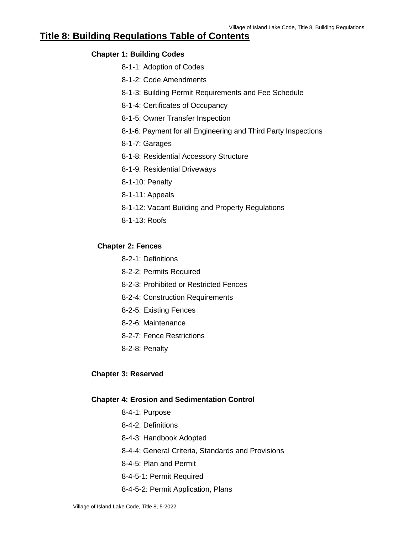# **Title 8: Building Regulations Table of Contents**

## **Chapter 1: Building Codes**

- 8-1-1: Adoption of Codes
- 8-1-2: Code Amendments
- 8-1-3: Building Permit Requirements and Fee Schedule
- 8-1-4: Certificates of Occupancy
- 8-1-5: Owner Transfer Inspection
- 8-1-6: Payment for all Engineering and Third Party Inspections
- 8-1-7: Garages
- 8-1-8: Residential Accessory Structure
- 8-1-9: Residential Driveways
- 8-1-10: Penalty
- 8-1-11: Appeals
- 8-1-12: Vacant Building and Property Regulations
- 8-1-13: Roofs

### **Chapter 2: Fences**

- 8-2-1: Definitions
- 8-2-2: Permits Required
- 8-2-3: Prohibited or Restricted Fences
- 8-2-4: Construction Requirements
- 8-2-5: Existing Fences
- 8-2-6: Maintenance
- 8-2-7: Fence Restrictions
- 8-2-8: Penalty

## **Chapter 3: Reserved**

### **Chapter 4: Erosion and Sedimentation Control**

- 8-4-1: Purpose
- 8-4-2: Definitions
- 8-4-3: Handbook Adopted
- 8-4-4: General Criteria, Standards and Provisions
- 8-4-5: Plan and Permit
- 8-4-5-1: Permit Required
- 8-4-5-2: Permit Application, Plans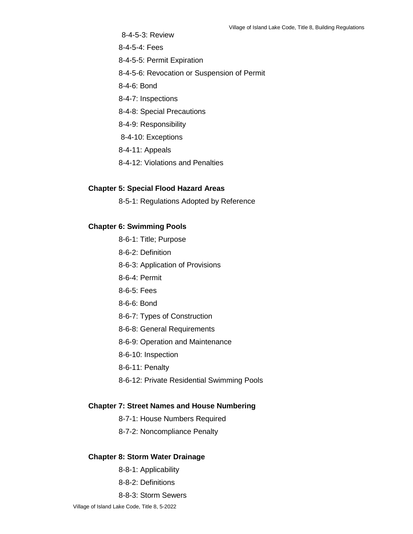8-4-5-3: Review 8-4-5-4: Fees 8-4-5-5: Permit Expiration 8-4-5-6: Revocation or Suspension of Permit 8-4-6: Bond 8-4-7: Inspections

- 8-4-8: Special Precautions
- 8-4-9: Responsibility
- 8-4-10: Exceptions
- 8-4-11: Appeals
- 8-4-12: Violations and Penalties

### **Chapter 5: Special Flood Hazard Areas**

8-5-1: Regulations Adopted by Reference

### **Chapter 6: Swimming Pools**

- 8-6-1: Title; Purpose
- 8-6-2: Definition
- 8-6-3: Application of Provisions
- 8-6-4: Permit
- 8-6-5: Fees
- 8-6-6: Bond
- 8-6-7: Types of Construction
- 8-6-8: General Requirements
- 8-6-9: Operation and Maintenance
- 8-6-10: Inspection
- 8-6-11: Penalty
- 8-6-12: Private Residential Swimming Pools

### **Chapter 7: Street Names and House Numbering**

- 8-7-1: House Numbers Required
- 8-7-2: Noncompliance Penalty

### **Chapter 8: Storm Water Drainage**

- 8-8-1: Applicability
- 8-8-2: Definitions
- 8-8-3: Storm Sewers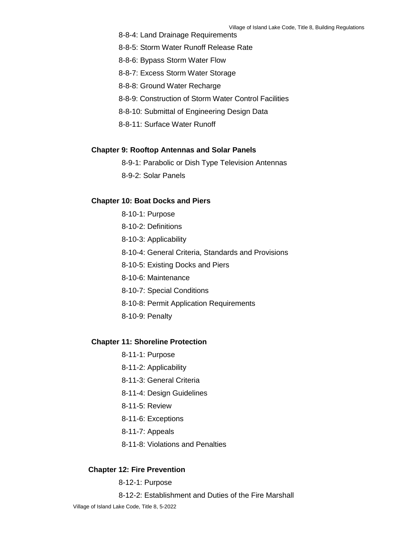- 8-8-4: Land Drainage Requirements
- 8-8-5: Storm Water Runoff Release Rate
- 8-8-6: Bypass Storm Water Flow
- 8-8-7: Excess Storm Water Storage
- 8-8-8: Ground Water Recharge
- 8-8-9: Construction of Storm Water Control Facilities
- 8-8-10: Submittal of Engineering Design Data
- 8-8-11: Surface Water Runoff

### **Chapter 9: Rooftop Antennas and Solar Panels**

- 8-9-1: Parabolic or Dish Type Television Antennas
- 8-9-2: Solar Panels

### **Chapter 10: Boat Docks and Piers**

- 8-10-1: Purpose
- 8-10-2: Definitions
- 8-10-3: Applicability
- 8-10-4: General Criteria, Standards and Provisions
- 8-10-5: Existing Docks and Piers
- 8-10-6: Maintenance
- 8-10-7: Special Conditions
- 8-10-8: Permit Application Requirements
- 8-10-9: Penalty

#### **Chapter 11: Shoreline Protection**

- 8-11-1: Purpose
- 8-11-2: Applicability
- 8-11-3: General Criteria
- 8-11-4: Design Guidelines
- 8-11-5: Review
- 8-11-6: Exceptions
- 8-11-7: Appeals
- 8-11-8: Violations and Penalties

#### **Chapter 12: Fire Prevention**

8-12-1: Purpose

8-12-2: Establishment and Duties of the Fire Marshall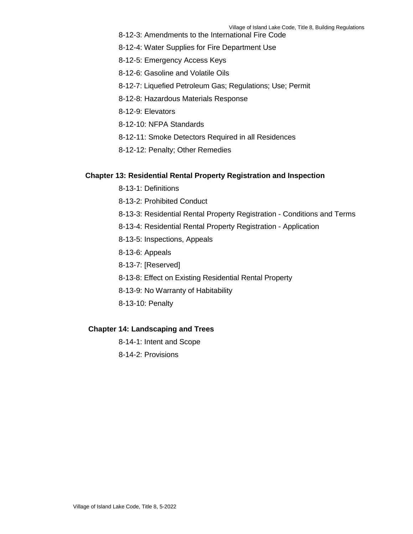- 8-12-3: Amendments to the International Fire Code
- 8-12-4: Water Supplies for Fire Department Use
- 8-12-5: Emergency Access Keys
- 8-12-6: Gasoline and Volatile Oils
- 8-12-7: Liquefied Petroleum Gas; Regulations; Use; Permit
- 8-12-8: Hazardous Materials Response
- 8-12-9: Elevators
- 8-12-10: NFPA Standards
- 8-12-11: Smoke Detectors Required in all Residences
- 8-12-12: Penalty; Other Remedies

### **Chapter 13: Residential Rental Property Registration and Inspection**

- 8-13-1: Definitions
- 8-13-2: Prohibited Conduct
- 8-13-3: Residential Rental Property Registration Conditions and Terms
- 8-13-4: Residential Rental Property Registration Application
- 8-13-5: Inspections, Appeals
- 8-13-6: Appeals
- 8-13-7: [Reserved]
- 8-13-8: Effect on Existing Residential Rental Property
- 8-13-9: No Warranty of Habitability
- 8-13-10: Penalty

#### **Chapter 14: Landscaping and Trees**

- 8-14-1: Intent and Scope
- 8-14-2: Provisions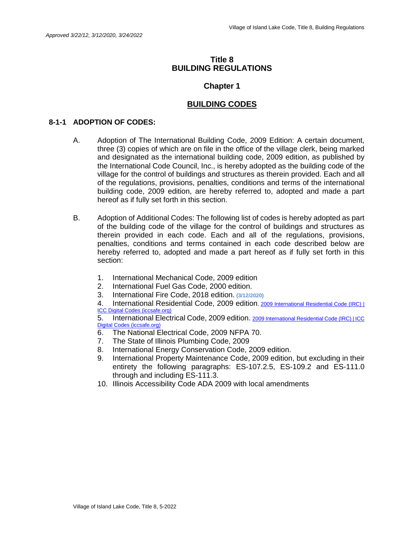### **Title 8 BUILDING REGULATIONS**

## **Chapter 1**

## **BUILDING CODES**

### **8-1-1 ADOPTION OF CODES:**

- A. Adoption of The International Building Code, 2009 Edition: A certain document, three (3) copies of which are on file in the office of the village clerk, being marked and designated as the international building code, 2009 edition, as published by the International Code Council, Inc., is hereby adopted as the building code of the village for the control of buildings and structures as therein provided. Each and all of the regulations, provisions, penalties, conditions and terms of the international building code, 2009 edition, are hereby referred to, adopted and made a part hereof as if fully set forth in this section.
- B. Adoption of Additional Codes: The following list of codes is hereby adopted as part of the building code of the village for the control of buildings and structures as therein provided in each code. Each and all of the regulations, provisions, penalties, conditions and terms contained in each code described below are hereby referred to, adopted and made a part hereof as if fully set forth in this section:
	- 1. International Mechanical Code, 2009 edition
	- 2. International Fuel Gas Code, 2000 edition.
	- 3. International Fire Code, 2018 edition. **(3/12/2020)**
	- 4. International Residential Code, 2009 edition. 2009 International Residential Code (IRC) | [ICC Digital Codes \(iccsafe.org\)](https://codes.iccsafe.org/content/IRC2009)

5. International Electrical Code, 2009 edition. [2009 International Residential Code \(IRC\) | ICC](https://codes.iccsafe.org/content/IRC2009)  [Digital Codes \(iccsafe.org\)](https://codes.iccsafe.org/content/IRC2009)

- 6. The National Electrical Code, 2009 NFPA 70.
- 7. The State of Illinois Plumbing Code, 2009
- 8. International Energy Conservation Code, 2009 edition.
- 9. International Property Maintenance Code, 2009 edition, but excluding in their entirety the following paragraphs: ES-107.2.5, ES-109.2 and ES-111.0 through and including ES-111.3.
- 10. Illinois Accessibility Code ADA 2009 with local amendments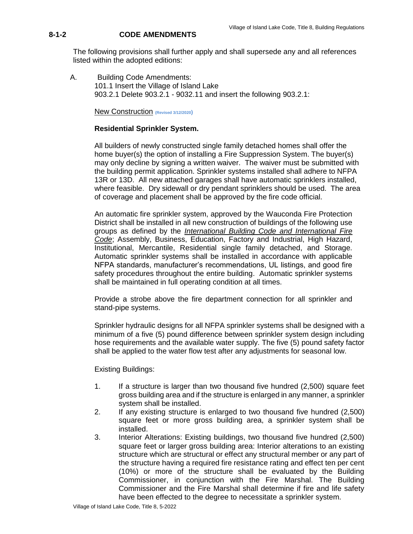## **8-1-2 CODE AMENDMENTS**

The following provisions shall further apply and shall supersede any and all references listed within the adopted editions:

A. Building Code Amendments: 101.1 Insert the Village of Island Lake 903.2.1 Delete 903.2.1 - 9032.11 and insert the following 903.2.1:

New Construction **(Revised 3/12/2020)** 

### **Residential Sprinkler System.**

All builders of newly constructed single family detached homes shall offer the home buyer(s) the option of installing a Fire Suppression System. The buyer(s) may only decline by signing a written waiver. The waiver must be submitted with the building permit application. Sprinkler systems installed shall adhere to NFPA 13R or 13D. All new attached garages shall have automatic sprinklers installed, where feasible. Dry sidewall or dry pendant sprinklers should be used. The area of coverage and placement shall be approved by the fire code official.

An automatic fire sprinkler system, approved by the Wauconda Fire Protection District shall be installed in all new construction of buildings of the following use groups as defined by the *International Building Code and International Fire Code*; Assembly, Business, Education, Factory and Industrial, High Hazard, Institutional, Mercantile, Residential single family detached, and Storage. Automatic sprinkler systems shall be installed in accordance with applicable NFPA standards, manufacturer's recommendations, UL listings, and good fire safety procedures throughout the entire building. Automatic sprinkler systems shall be maintained in full operating condition at all times.

Provide a strobe above the fire department connection for all sprinkler and stand-pipe systems.

Sprinkler hydraulic designs for all NFPA sprinkler systems shall be designed with a minimum of a five (5) pound difference between sprinkler system design including hose requirements and the available water supply. The five (5) pound safety factor shall be applied to the water flow test after any adjustments for seasonal low.

Existing Buildings:

- 1. If a structure is larger than two thousand five hundred (2,500) square feet gross building area and if the structure is enlarged in any manner, a sprinkler system shall be installed.
- 2. If any existing structure is enlarged to two thousand five hundred (2,500) square feet or more gross building area, a sprinkler system shall be installed.
- 3. Interior Alterations: Existing buildings, two thousand five hundred (2,500) square feet or larger gross building area: Interior alterations to an existing structure which are structural or effect any structural member or any part of the structure having a required fire resistance rating and effect ten per cent (10%) or more of the structure shall be evaluated by the Building Commissioner, in conjunction with the Fire Marshal. The Building Commissioner and the Fire Marshal shall determine if fire and life safety have been effected to the degree to necessitate a sprinkler system.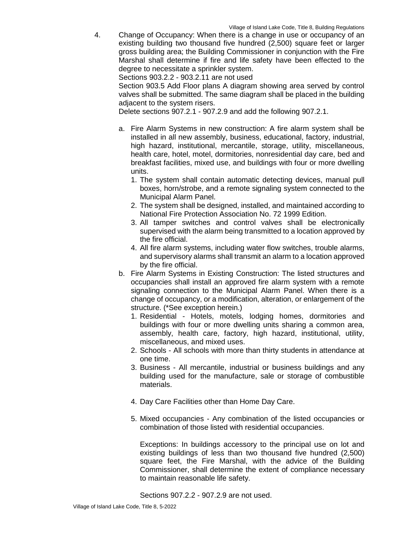4. Change of Occupancy: When there is a change in use or occupancy of an existing building two thousand five hundred (2,500) square feet or larger gross building area; the Building Commissioner in conjunction with the Fire Marshal shall determine if fire and life safety have been effected to the degree to necessitate a sprinkler system.

Sections 903.2.2 - 903.2.11 are not used

Section 903.5 Add Floor plans A diagram showing area served by control valves shall be submitted. The same diagram shall be placed in the building adjacent to the system risers.

Delete sections 907.2.1 - 907.2.9 and add the following 907.2.1.

- a. Fire Alarm Systems in new construction: A fire alarm system shall be installed in all new assembly, business, educational, factory, industrial, high hazard, institutional, mercantile, storage, utility, miscellaneous, health care, hotel, motel, dormitories, nonresidential day care, bed and breakfast facilities, mixed use, and buildings with four or more dwelling units.
	- 1. The system shall contain automatic detecting devices, manual pull boxes, horn/strobe, and a remote signaling system connected to the Municipal Alarm Panel.
	- 2. The system shall be designed, installed, and maintained according to National Fire Protection Association No. 72 1999 Edition.
	- 3. All tamper switches and control valves shall be electronically supervised with the alarm being transmitted to a location approved by the fire official.
	- 4. All fire alarm systems, including water flow switches, trouble alarms, and supervisory alarms shall transmit an alarm to a location approved by the fire official.
- b. Fire Alarm Systems in Existing Construction: The listed structures and occupancies shall install an approved fire alarm system with a remote signaling connection to the Municipal Alarm Panel. When there is a change of occupancy, or a modification, alteration, or enlargement of the structure. (\*See exception herein.)
	- 1. Residential Hotels, motels, lodging homes, dormitories and buildings with four or more dwelling units sharing a common area, assembly, health care, factory, high hazard, institutional, utility, miscellaneous, and mixed uses.
	- 2. Schools All schools with more than thirty students in attendance at one time.
	- 3. Business All mercantile, industrial or business buildings and any building used for the manufacture, sale or storage of combustible materials.
	- 4. Day Care Facilities other than Home Day Care.
	- 5. Mixed occupancies Any combination of the listed occupancies or combination of those listed with residential occupancies.

Exceptions: In buildings accessory to the principal use on lot and existing buildings of less than two thousand five hundred (2,500) square feet, the Fire Marshal, with the advice of the Building Commissioner, shall determine the extent of compliance necessary to maintain reasonable life safety.

Sections 907.2.2 - 907.2.9 are not used.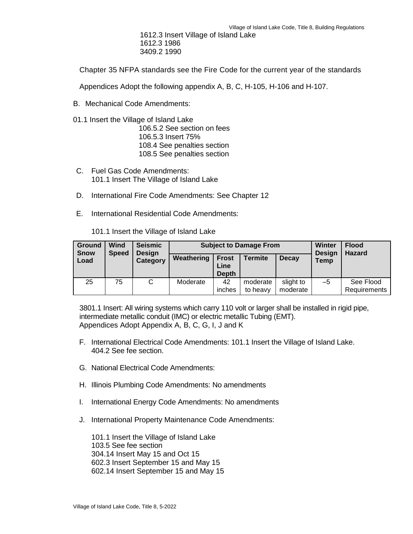1612.3 Insert Village of Island Lake 1612.3 1986 3409.2 1990

Chapter 35 NFPA standards see the Fire Code for the current year of the standards

Appendices Adopt the following appendix A, B, C, H-105, H-106 and H-107.

- B. Mechanical Code Amendments:
- 01.1 Insert the Village of Island Lake

106.5.2 See section on fees 106.5.3 Insert 75% 108.4 See penalties section 108.5 See penalties section

- C. Fuel Gas Code Amendments: 101.1 Insert The Village of Island Lake
- D. International Fire Code Amendments: See Chapter 12
- E. International Residential Code Amendments:

101.1 Insert the Village of Island Lake

| <b>Ground</b><br><b>Snow</b> | Wind<br><b>Speed</b> | <b>Seismic</b><br><b>Design</b><br>Category | <b>Subject to Damage From</b> |                                      |                      |                       | <b>Winter</b><br><b>Design</b> | <b>Flood</b><br><b>Hazard</b> |
|------------------------------|----------------------|---------------------------------------------|-------------------------------|--------------------------------------|----------------------|-----------------------|--------------------------------|-------------------------------|
| Load                         |                      |                                             | Weathering                    | <b>Frost</b><br>Line<br><b>Depth</b> | <b>Termite</b>       | <b>Decay</b>          | <b>Temp</b>                    |                               |
| 25                           | 75                   | С                                           | Moderate                      | 42<br>inches                         | moderate<br>to heavy | slight to<br>moderate | $-5$                           | See Flood<br>Requirements     |

3801.1 Insert: All wiring systems which carry 110 volt or larger shall be installed in rigid pipe, intermediate metallic conduit (IMC) or electric metallic Tubing (EMT). Appendices Adopt Appendix A, B, C, G, I, J and K

- F. International Electrical Code Amendments: 101.1 Insert the Village of Island Lake. 404.2 See fee section.
- G. National Electrical Code Amendments:
- H. Illinois Plumbing Code Amendments: No amendments
- I. International Energy Code Amendments: No amendments
- J. International Property Maintenance Code Amendments:

101.1 Insert the Village of Island Lake 103.5 See fee section 304.14 Insert May 15 and Oct 15 602.3 Insert September 15 and May 15 602.14 Insert September 15 and May 15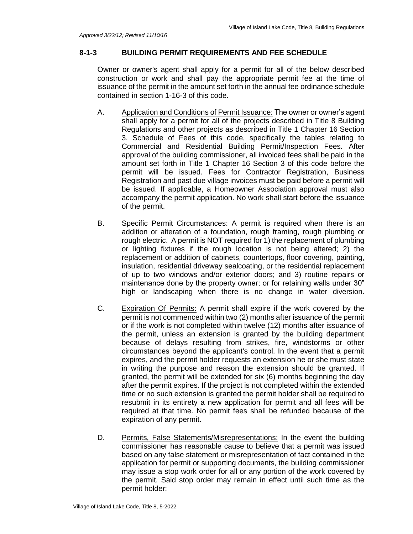### **8-1-3 BUILDING PERMIT REQUIREMENTS AND FEE SCHEDULE**

Owner or owner's agent shall apply for a permit for all of the below described construction or work and shall pay the appropriate permit fee at the time of issuance of the permit in the amount set forth in the annual fee ordinance schedule contained in section 1-16-3 of this code.

- A. Application and Conditions of Permit Issuance: The owner or owner's agent shall apply for a permit for all of the projects described in Title 8 Building Regulations and other projects as described in Title 1 Chapter 16 Section 3, Schedule of Fees of this code, specifically the tables relating to Commercial and Residential Building Permit/Inspection Fees. After approval of the building commissioner, all invoiced fees shall be paid in the amount set forth in Title 1 Chapter 16 Section 3 of this code before the permit will be issued. Fees for Contractor Registration, Business Registration and past due village invoices must be paid before a permit will be issued. If applicable, a Homeowner Association approval must also accompany the permit application. No work shall start before the issuance of the permit.
- B. Specific Permit Circumstances: A permit is required when there is an addition or alteration of a foundation, rough framing, rough plumbing or rough electric. A permit is NOT required for 1) the replacement of plumbing or lighting fixtures if the rough location is not being altered; 2) the replacement or addition of cabinets, countertops, floor covering, painting, insulation, residential driveway sealcoating, or the residential replacement of up to two windows and/or exterior doors; and 3) routine repairs or maintenance done by the property owner; or for retaining walls under 30" high or landscaping when there is no change in water diversion.
- C. Expiration Of Permits: A permit shall expire if the work covered by the permit is not commenced within two (2) months after issuance of the permit or if the work is not completed within twelve (12) months after issuance of the permit, unless an extension is granted by the building department because of delays resulting from strikes, fire, windstorms or other circumstances beyond the applicant's control. In the event that a permit expires, and the permit holder requests an extension he or she must state in writing the purpose and reason the extension should be granted. If granted, the permit will be extended for six (6) months beginning the day after the permit expires. If the project is not completed within the extended time or no such extension is granted the permit holder shall be required to resubmit in its entirety a new application for permit and all fees will be required at that time. No permit fees shall be refunded because of the expiration of any permit.
- D. Permits, False Statements/Misrepresentations: In the event the building commissioner has reasonable cause to believe that a permit was issued based on any false statement or misrepresentation of fact contained in the application for permit or supporting documents, the building commissioner may issue a stop work order for all or any portion of the work covered by the permit. Said stop order may remain in effect until such time as the permit holder: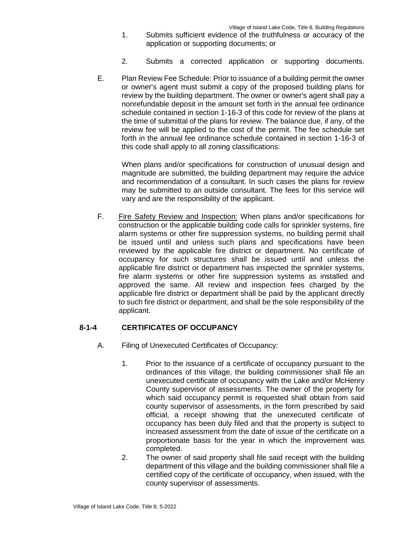- 1. Submits sufficient evidence of the truthfulness or accuracy of the application or supporting documents; or
- 2. Submits a corrected application or supporting documents.
- E. Plan Review Fee Schedule: Prior to issuance of a building permit the owner or owner's agent must submit a copy of the proposed building plans for review by the building department. The owner or owner's agent shall pay a nonrefundable deposit in the amount set forth in the annual fee ordinance schedule contained in section 1-16-3 of this code for review of the plans at the time of submittal of the plans for review. The balance due, if any, of the review fee will be applied to the cost of the permit. The fee schedule set forth in the annual fee ordinance schedule contained in section 1-16-3 of this code shall apply to all zoning classifications:

When plans and/or specifications for construction of unusual design and magnitude are submitted, the building department may require the advice and recommendation of a consultant. In such cases the plans for review may be submitted to an outside consultant. The fees for this service will vary and are the responsibility of the applicant.

F. Fire Safety Review and Inspection: When plans and/or specifications for construction or the applicable building code calls for sprinkler systems, fire alarm systems or other fire suppression systems, no building permit shall be issued until and unless such plans and specifications have been reviewed by the applicable fire district or department. No certificate of occupancy for such structures shall be issued until and unless the applicable fire district or department has inspected the sprinkler systems, fire alarm systems or other fire suppression systems as installed and approved the same. All review and inspection fees charged by the applicable fire district or department shall be paid by the applicant directly to such fire district or department, and shall be the sole responsibility of the applicant.

## **8-1-4 CERTIFICATES OF OCCUPANCY**

- A. Filing of Unexecuted Certificates of Occupancy:
	- 1. Prior to the issuance of a certificate of occupancy pursuant to the ordinances of this village, the building commissioner shall file an unexecuted certificate of occupancy with the Lake and/or McHenry County supervisor of assessments. The owner of the property for which said occupancy permit is requested shall obtain from said county supervisor of assessments, in the form prescribed by said official, a receipt showing that the unexecuted certificate of occupancy has been duly filed and that the property is subject to increased assessment from the date of issue of the certificate on a proportionate basis for the year in which the improvement was completed.
	- 2. The owner of said property shall file said receipt with the building department of this village and the building commissioner shall file a certified copy of the certificate of occupancy, when issued, with the county supervisor of assessments.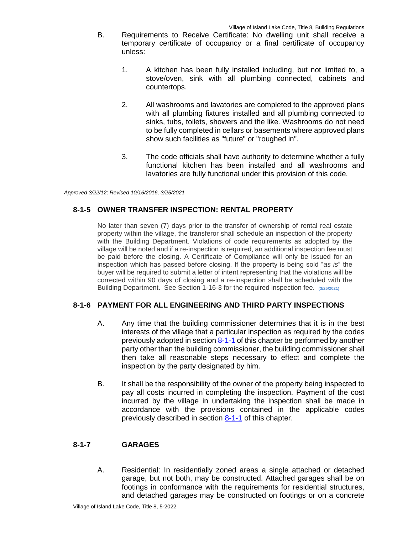- B. Requirements to Receive Certificate: No dwelling unit shall receive a temporary certificate of occupancy or a final certificate of occupancy unless:
	- 1. A kitchen has been fully installed including, but not limited to, a stove/oven, sink with all plumbing connected, cabinets and countertops.
	- 2. All washrooms and lavatories are completed to the approved plans with all plumbing fixtures installed and all plumbing connected to sinks, tubs, toilets, showers and the like. Washrooms do not need to be fully completed in cellars or basements where approved plans show such facilities as "future" or "roughed in".
	- 3. The code officials shall have authority to determine whether a fully functional kitchen has been installed and all washrooms and lavatories are fully functional under this provision of this code.

*Approved 3/22/12; Revised 10/16/2016, 3/25/2021*

## **8-1-5 OWNER TRANSFER INSPECTION: RENTAL PROPERTY**

No later than seven (7) days prior to the transfer of ownership of rental real estate property within the village, the transferor shall schedule an inspection of the property with the Building Department. Violations of code requirements as adopted by the village will be noted and if a re-inspection is required, an additional inspection fee must be paid before the closing. A Certificate of Compliance will only be issued for an inspection which has passed before closing. If the property is being sold "*as is*" the buyer will be required to submit a letter of intent representing that the violations will be corrected within 90 days of closing and a re-inspection shall be scheduled with the Building Department. See Section 1-16-3 for the required inspection fee. **(3/25/2021)**

## **8-1-6 PAYMENT FOR ALL ENGINEERING AND THIRD PARTY INSPECTIONS**

- A. Any time that the building commissioner determines that it is in the best interests of the village that a particular inspection as required by the codes previously adopted in section 8-1-1 of this chapter be performed by another party other than the building commissioner, the building commissioner shall then take all reasonable steps necessary to effect and complete the inspection by the party designated by him.
- B. It shall be the responsibility of the owner of the property being inspected to pay all costs incurred in completing the inspection. Payment of the cost incurred by the village in undertaking the inspection shall be made in accordance with the provisions contained in the applicable codes previously described in section 8-1-1 of this chapter.

## **8-1-7 GARAGES**

A. Residential: In residentially zoned areas a single attached or detached garage, but not both, may be constructed. Attached garages shall be on footings in conformance with the requirements for residential structures, and detached garages may be constructed on footings or on a concrete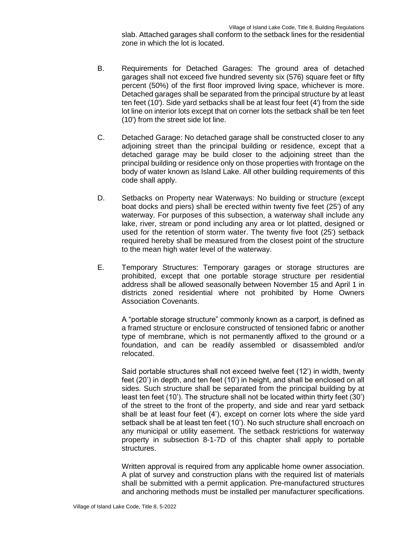slab. Attached garages shall conform to the setback lines for the residential zone in which the lot is located.

- B. Requirements for Detached Garages: The ground area of detached garages shall not exceed five hundred seventy six (576) square feet or fifty percent (50%) of the first floor improved living space, whichever is more. Detached garages shall be separated from the principal structure by at least ten feet (10'). Side yard setbacks shall be at least four feet (4') from the side lot line on interior lots except that on corner lots the setback shall be ten feet (10') from the street side lot line.
- C. Detached Garage: No detached garage shall be constructed closer to any adjoining street than the principal building or residence, except that a detached garage may be build closer to the adjoining street than the principal building or residence only on those properties with frontage on the body of water known as Island Lake. All other building requirements of this code shall apply.
- D. Setbacks on Property near Waterways: No building or structure (except boat docks and piers) shall be erected within twenty five feet (25') of any waterway. For purposes of this subsection, a waterway shall include any lake, river, stream or pond including any area or lot platted, designed or used for the retention of storm water. The twenty five foot (25') setback required hereby shall be measured from the closest point of the structure to the mean high water level of the waterway.
- E. Temporary Structures: Temporary garages or storage structures are prohibited, except that one portable storage structure per residential address shall be allowed seasonally between November 15 and April 1 in districts zoned residential where not prohibited by Home Owners Association Covenants.

A "portable storage structure" commonly known as a carport, is defined as a framed structure or enclosure constructed of tensioned fabric or another type of membrane, which is not permanently affixed to the ground or a foundation, and can be readily assembled or disassembled and/or relocated.

Said portable structures shall not exceed twelve feet (12') in width, twenty feet (20') in depth, and ten feet (10') in height, and shall be enclosed on all sides. Such structure shall be separated from the principal building by at least ten feet (10'). The structure shall not be located within thirty feet (30') of the street to the front of the property, and side and rear yard setback shall be at least four feet (4'), except on corner lots where the side yard setback shall be at least ten feet (10'). No such structure shall encroach on any municipal or utility easement. The setback restrictions for waterway property in subsection 8-1-7D of this chapter shall apply to portable structures.

Written approval is required from any applicable home owner association. A plat of survey and construction plans with the required list of materials shall be submitted with a permit application. Pre-manufactured structures and anchoring methods must be installed per manufacturer specifications.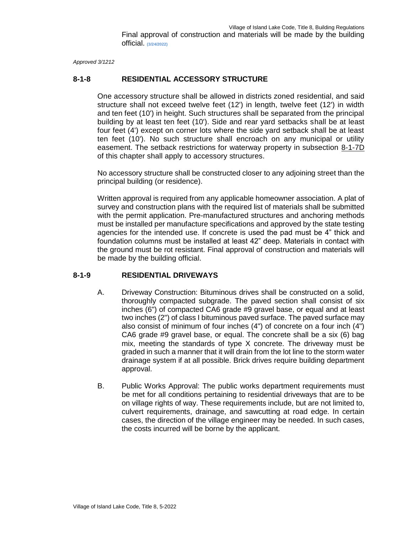*Approved 3/1212*

## **8-1-8 RESIDENTIAL ACCESSORY STRUCTURE**

One accessory structure shall be allowed in districts zoned residential, and said structure shall not exceed twelve feet (12') in length, twelve feet (12') in width and ten feet (10') in height. Such structures shall be separated from the principal building by at least ten feet (10'). Side and rear yard setbacks shall be at least four feet (4') except on corner lots where the side yard setback shall be at least ten feet (10'). No such structure shall encroach on any municipal or utility easement. The setback restrictions for waterway property in subsection 8-1-7D of this chapter shall apply to accessory structures.

No accessory structure shall be constructed closer to any adjoining street than the principal building (or residence).

Written approval is required from any applicable homeowner association. A plat of survey and construction plans with the required list of materials shall be submitted with the permit application. Pre-manufactured structures and anchoring methods must be installed per manufacture specifications and approved by the state testing agencies for the intended use. If concrete is used the pad must be 4" thick and foundation columns must be installed at least 42" deep. Materials in contact with the ground must be rot resistant. Final approval of construction and materials will be made by the building official.

## **8-1-9 RESIDENTIAL DRIVEWAYS**

- A. Driveway Construction: Bituminous drives shall be constructed on a solid, thoroughly compacted subgrade. The paved section shall consist of six inches (6") of compacted CA6 grade #9 gravel base, or equal and at least two inches (2") of class I bituminous paved surface. The paved surface may also consist of minimum of four inches (4") of concrete on a four inch (4") CA6 grade #9 gravel base, or equal. The concrete shall be a six (6) bag mix, meeting the standards of type X concrete. The driveway must be graded in such a manner that it will drain from the lot line to the storm water drainage system if at all possible. Brick drives require building department approval.
- B. Public Works Approval: The public works department requirements must be met for all conditions pertaining to residential driveways that are to be on village rights of way. These requirements include, but are not limited to, culvert requirements, drainage, and sawcutting at road edge. In certain cases, the direction of the village engineer may be needed. In such cases, the costs incurred will be borne by the applicant.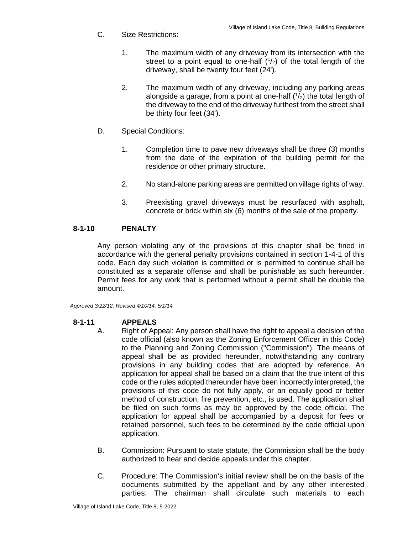- C. Size Restrictions:
	- 1. The maximum width of any driveway from its intersection with the street to a point equal to one-half  $(1/2)$  of the total length of the driveway, shall be twenty four feet (24').
	- 2. The maximum width of any driveway, including any parking areas alongside a garage, from a point at one-half  $(1/2)$  the total length of the driveway to the end of the driveway furthest from the street shall be thirty four feet (34').
- D. Special Conditions:
	- 1. Completion time to pave new driveways shall be three (3) months from the date of the expiration of the building permit for the residence or other primary structure.
	- 2. No stand-alone parking areas are permitted on village rights of way.
	- 3. Preexisting gravel driveways must be resurfaced with asphalt, concrete or brick within six (6) months of the sale of the property.

## **8-1-10 PENALTY**

Any person violating any of the provisions of this chapter shall be fined in accordance with the general penalty provisions contained in section 1-4-1 of this code. Each day such violation is committed or is permitted to continue shall be constituted as a separate offense and shall be punishable as such hereunder. Permit fees for any work that is performed without a permit shall be double the amount.

*Approved 3/22/12; Revised 4/10/14, 5/1/14*

## **8-1-11 APPEALS**

- A. Right of Appeal: Any person shall have the right to appeal a decision of the code official (also known as the Zoning Enforcement Officer in this Code) to the Planning and Zoning Commission ("Commission"). The means of appeal shall be as provided hereunder, notwithstanding any contrary provisions in any building codes that are adopted by reference. An application for appeal shall be based on a claim that the true intent of this code or the rules adopted thereunder have been incorrectly interpreted, the provisions of this code do not fully apply, or an equally good or better method of construction, fire prevention, etc., is used. The application shall be filed on such forms as may be approved by the code official. The application for appeal shall be accompanied by a deposit for fees or retained personnel, such fees to be determined by the code official upon application.
- B. Commission: Pursuant to state statute, the Commission shall be the body authorized to hear and decide appeals under this chapter.
- C. Procedure: The Commission's initial review shall be on the basis of the documents submitted by the appellant and by any other interested parties. The chairman shall circulate such materials to each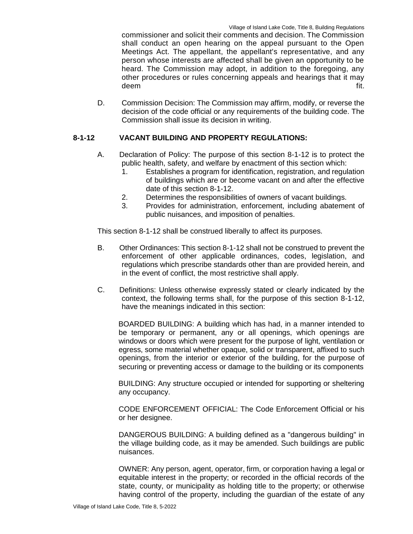commissioner and solicit their comments and decision. The Commission shall conduct an open hearing on the appeal pursuant to the Open Meetings Act. The appellant, the appellant's representative, and any person whose interests are affected shall be given an opportunity to be heard. The Commission may adopt, in addition to the foregoing, any other procedures or rules concerning appeals and hearings that it may deem fit.

D. Commission Decision: The Commission may affirm, modify, or reverse the decision of the code official or any requirements of the building code. The Commission shall issue its decision in writing.

## **8-1-12 VACANT BUILDING AND PROPERTY REGULATIONS:**

- A. Declaration of Policy: The purpose of this section 8-1-12 is to protect the public health, safety, and welfare by enactment of this section which:
	- 1. Establishes a program for identification, registration, and regulation of buildings which are or become vacant on and after the effective date of this section 8-1-12.
	- 2. Determines the responsibilities of owners of vacant buildings.
	- 3. Provides for administration, enforcement, including abatement of public nuisances, and imposition of penalties.

This section 8-1-12 shall be construed liberally to affect its purposes.

- B. Other Ordinances: This section 8-1-12 shall not be construed to prevent the enforcement of other applicable ordinances, codes, legislation, and regulations which prescribe standards other than are provided herein, and in the event of conflict, the most restrictive shall apply.
- C. Definitions: Unless otherwise expressly stated or clearly indicated by the context, the following terms shall, for the purpose of this section 8-1-12, have the meanings indicated in this section:

BOARDED BUILDING: A building which has had, in a manner intended to be temporary or permanent, any or all openings, which openings are windows or doors which were present for the purpose of light, ventilation or egress, some material whether opaque, solid or transparent, affixed to such openings, from the interior or exterior of the building, for the purpose of securing or preventing access or damage to the building or its components

BUILDING: Any structure occupied or intended for supporting or sheltering any occupancy.

CODE ENFORCEMENT OFFICIAL: The Code Enforcement Official or his or her designee.

DANGEROUS BUILDING: A building defined as a "dangerous building" in the village building code, as it may be amended. Such buildings are public nuisances.

OWNER: Any person, agent, operator, firm, or corporation having a legal or equitable interest in the property; or recorded in the official records of the state, county, or municipality as holding title to the property; or otherwise having control of the property, including the guardian of the estate of any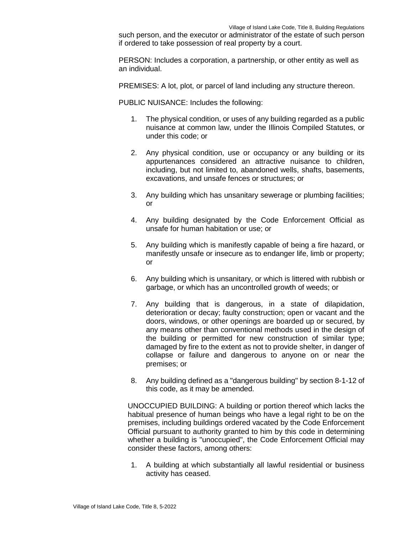such person, and the executor or administrator of the estate of such person if ordered to take possession of real property by a court.

PERSON: Includes a corporation, a partnership, or other entity as well as an individual.

PREMISES: A lot, plot, or parcel of land including any structure thereon.

PUBLIC NUISANCE: Includes the following:

- 1. The physical condition, or uses of any building regarded as a public nuisance at common law, under the Illinois Compiled Statutes, or under this code; or
- 2. Any physical condition, use or occupancy or any building or its appurtenances considered an attractive nuisance to children, including, but not limited to, abandoned wells, shafts, basements, excavations, and unsafe fences or structures; or
- 3. Any building which has unsanitary sewerage or plumbing facilities; or
- 4. Any building designated by the Code Enforcement Official as unsafe for human habitation or use; or
- 5. Any building which is manifestly capable of being a fire hazard, or manifestly unsafe or insecure as to endanger life, limb or property; or
- 6. Any building which is unsanitary, or which is littered with rubbish or garbage, or which has an uncontrolled growth of weeds; or
- 7. Any building that is dangerous, in a state of dilapidation, deterioration or decay; faulty construction; open or vacant and the doors, windows, or other openings are boarded up or secured, by any means other than conventional methods used in the design of the building or permitted for new construction of similar type; damaged by fire to the extent as not to provide shelter, in danger of collapse or failure and dangerous to anyone on or near the premises; or
- 8. Any building defined as a "dangerous building" by section 8-1-12 of this code, as it may be amended.

UNOCCUPIED BUILDING: A building or portion thereof which lacks the habitual presence of human beings who have a legal right to be on the premises, including buildings ordered vacated by the Code Enforcement Official pursuant to authority granted to him by this code in determining whether a building is "unoccupied", the Code Enforcement Official may consider these factors, among others:

1. A building at which substantially all lawful residential or business activity has ceased.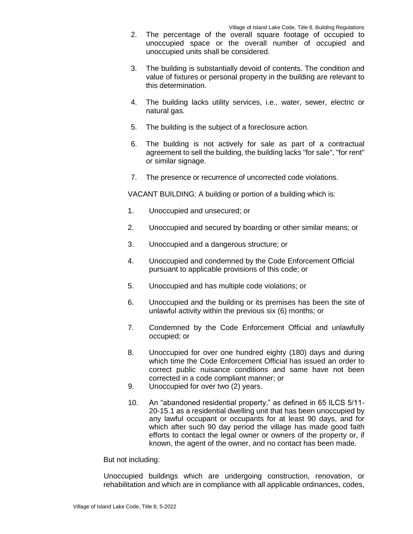- 2. The percentage of the overall square footage of occupied to unoccupied space or the overall number of occupied and unoccupied units shall be considered.
- 3. The building is substantially devoid of contents. The condition and value of fixtures or personal property in the building are relevant to this determination.
- 4. The building lacks utility services, i.e., water, sewer, electric or natural gas.
- 5. The building is the subject of a foreclosure action.
- 6. The building is not actively for sale as part of a contractual agreement to sell the building, the building lacks "for sale", "for rent" or similar signage.
- 7. The presence or recurrence of uncorrected code violations.

VACANT BUILDING: A building or portion of a building which is:

- 1. Unoccupied and unsecured; or
- 2. Unoccupied and secured by boarding or other similar means; or
- 3. Unoccupied and a dangerous structure; or
- 4. Unoccupied and condemned by the Code Enforcement Official pursuant to applicable provisions of this code; or
- 5. Unoccupied and has multiple code violations; or
- 6. Unoccupied and the building or its premises has been the site of unlawful activity within the previous six (6) months; or
- 7. Condemned by the Code Enforcement Official and unlawfully occupied; or
- 8. Unoccupied for over one hundred eighty (180) days and during which time the Code Enforcement Official has issued an order to correct public nuisance conditions and same have not been corrected in a code compliant manner; or
- 9. Unoccupied for over two (2) years.
- 10. An "abandoned residential property," as defined in 65 ILCS 5/11- 20-15.1 as a residential dwelling unit that has been unoccupied by any lawful occupant or occupants for at least 90 days, and for which after such 90 day period the village has made good faith efforts to contact the legal owner or owners of the property or, if known, the agent of the owner, and no contact has been made.

### But not including:

Unoccupied buildings which are undergoing construction, renovation, or rehabilitation and which are in compliance with all applicable ordinances, codes,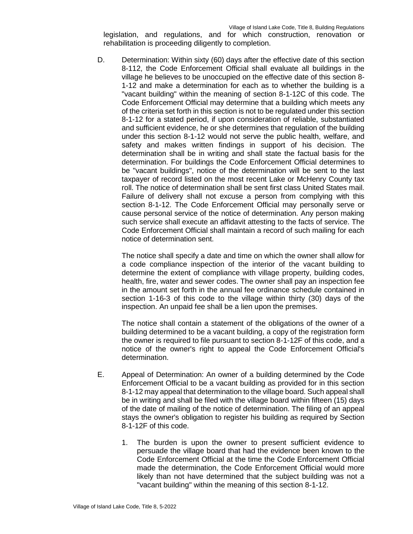legislation, and regulations, and for which construction, renovation or rehabilitation is proceeding diligently to completion.

D. Determination: Within sixty (60) days after the effective date of this section 8-112, the Code Enforcement Official shall evaluate all buildings in the village he believes to be unoccupied on the effective date of this section 8- 1-12 and make a determination for each as to whether the building is a "vacant building" within the meaning of section 8-1-12C of this code. The Code Enforcement Official may determine that a building which meets any of the criteria set forth in this section is not to be regulated under this section 8-1-12 for a stated period, if upon consideration of reliable, substantiated and sufficient evidence, he or she determines that regulation of the building under this section 8-1-12 would not serve the public health, welfare, and safety and makes written findings in support of his decision. The determination shall be in writing and shall state the factual basis for the determination. For buildings the Code Enforcement Official determines to be "vacant buildings", notice of the determination will be sent to the last taxpayer of record listed on the most recent Lake or McHenry County tax roll. The notice of determination shall be sent first class United States mail. Failure of delivery shall not excuse a person from complying with this section 8-1-12. The Code Enforcement Official may personally serve or cause personal service of the notice of determination. Any person making such service shall execute an affidavit attesting to the facts of service. The Code Enforcement Official shall maintain a record of such mailing for each notice of determination sent.

The notice shall specify a date and time on which the owner shall allow for a code compliance inspection of the interior of the vacant building to determine the extent of compliance with village property, building codes, health, fire, water and sewer codes. The owner shall pay an inspection fee in the amount set forth in the annual fee ordinance schedule contained in section 1-16-3 of this code to the village within thirty (30) days of the inspection. An unpaid fee shall be a lien upon the premises.

The notice shall contain a statement of the obligations of the owner of a building determined to be a vacant building, a copy of the registration form the owner is required to file pursuant to section 8-1-12F of this code, and a notice of the owner's right to appeal the Code Enforcement Official's determination.

- E. Appeal of Determination: An owner of a building determined by the Code Enforcement Official to be a vacant building as provided for in this section 8-1-12 may appeal that determination to the village board. Such appeal shall be in writing and shall be filed with the village board within fifteen (15) days of the date of mailing of the notice of determination. The filing of an appeal stays the owner's obligation to register his building as required by Section 8-1-12F of this code.
	- 1. The burden is upon the owner to present sufficient evidence to persuade the village board that had the evidence been known to the Code Enforcement Official at the time the Code Enforcement Official made the determination, the Code Enforcement Official would more likely than not have determined that the subject building was not a "vacant building" within the meaning of this section 8-1-12.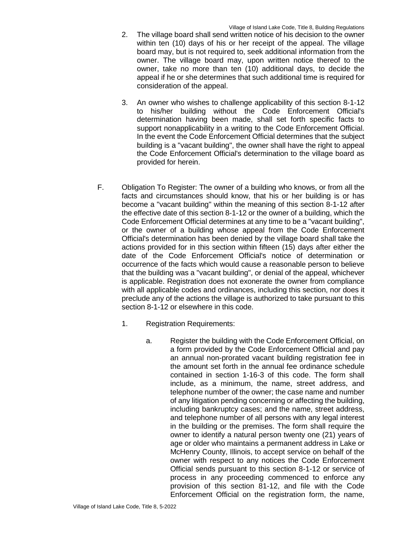- 2. The village board shall send written notice of his decision to the owner within ten (10) days of his or her receipt of the appeal. The village board may, but is not required to, seek additional information from the owner. The village board may, upon written notice thereof to the owner, take no more than ten (10) additional days, to decide the appeal if he or she determines that such additional time is required for consideration of the appeal.
- 3. An owner who wishes to challenge applicability of this section 8-1-12 to his/her building without the Code Enforcement Official's determination having been made, shall set forth specific facts to support nonapplicability in a writing to the Code Enforcement Official. In the event the Code Enforcement Official determines that the subject building is a "vacant building", the owner shall have the right to appeal the Code Enforcement Official's determination to the village board as provided for herein.
- F. Obligation To Register: The owner of a building who knows, or from all the facts and circumstances should know, that his or her building is or has become a "vacant building" within the meaning of this section 8-1-12 after the effective date of this section 8-1-12 or the owner of a building, which the Code Enforcement Official determines at any time to be a "vacant building", or the owner of a building whose appeal from the Code Enforcement Official's determination has been denied by the village board shall take the actions provided for in this section within fifteen (15) days after either the date of the Code Enforcement Official's notice of determination or occurrence of the facts which would cause a reasonable person to believe that the building was a "vacant building", or denial of the appeal, whichever is applicable. Registration does not exonerate the owner from compliance with all applicable codes and ordinances, including this section, nor does it preclude any of the actions the village is authorized to take pursuant to this section 8-1-12 or elsewhere in this code.
	- 1. Registration Requirements:
		- a. Register the building with the Code Enforcement Official, on a form provided by the Code Enforcement Official and pay an annual non-prorated vacant building registration fee in the amount set forth in the annual fee ordinance schedule contained in section 1-16-3 of this code. The form shall include, as a minimum, the name, street address, and telephone number of the owner; the case name and number of any litigation pending concerning or affecting the building, including bankruptcy cases; and the name, street address, and telephone number of all persons with any legal interest in the building or the premises. The form shall require the owner to identify a natural person twenty one (21) years of age or older who maintains a permanent address in Lake or McHenry County, Illinois, to accept service on behalf of the owner with respect to any notices the Code Enforcement Official sends pursuant to this section 8-1-12 or service of process in any proceeding commenced to enforce any provision of this section 81-12, and file with the Code Enforcement Official on the registration form, the name,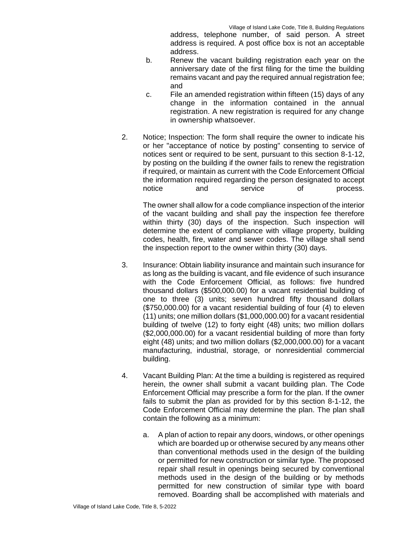address, telephone number, of said person. A street address is required. A post office box is not an acceptable address.

- b. Renew the vacant building registration each year on the anniversary date of the first filing for the time the building remains vacant and pay the required annual registration fee; and
- c. File an amended registration within fifteen (15) days of any change in the information contained in the annual registration. A new registration is required for any change in ownership whatsoever.
- 2. Notice; Inspection: The form shall require the owner to indicate his or her "acceptance of notice by posting" consenting to service of notices sent or required to be sent, pursuant to this section 8-1-12, by posting on the building if the owner fails to renew the registration if required, or maintain as current with the Code Enforcement Official the information required regarding the person designated to accept notice and service of process.

The owner shall allow for a code compliance inspection of the interior of the vacant building and shall pay the inspection fee therefore within thirty (30) days of the inspection. Such inspection will determine the extent of compliance with village property, building codes, health, fire, water and sewer codes. The village shall send the inspection report to the owner within thirty (30) days.

- 3. Insurance: Obtain liability insurance and maintain such insurance for as long as the building is vacant, and file evidence of such insurance with the Code Enforcement Official, as follows: five hundred thousand dollars (\$500,000.00) for a vacant residential building of one to three (3) units; seven hundred fifty thousand dollars (\$750,000.00) for a vacant residential building of four (4) to eleven (11) units; one million dollars (\$1,000,000.00) for a vacant residential building of twelve (12) to forty eight (48) units; two million dollars (\$2,000,000.00) for a vacant residential building of more than forty eight (48) units; and two million dollars (\$2,000,000.00) for a vacant manufacturing, industrial, storage, or nonresidential commercial building.
- 4. Vacant Building Plan: At the time a building is registered as required herein, the owner shall submit a vacant building plan. The Code Enforcement Official may prescribe a form for the plan. If the owner fails to submit the plan as provided for by this section 8-1-12, the Code Enforcement Official may determine the plan. The plan shall contain the following as a minimum:
	- a. A plan of action to repair any doors, windows, or other openings which are boarded up or otherwise secured by any means other than conventional methods used in the design of the building or permitted for new construction or similar type. The proposed repair shall result in openings being secured by conventional methods used in the design of the building or by methods permitted for new construction of similar type with board removed. Boarding shall be accomplished with materials and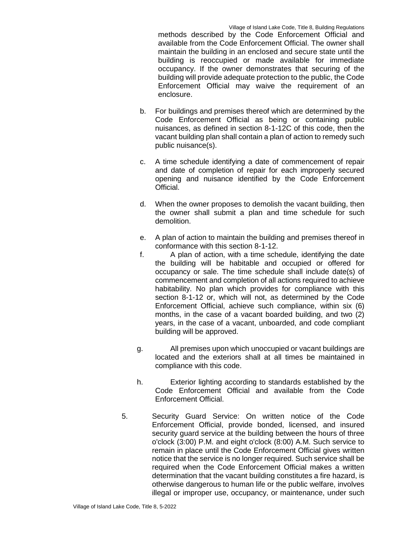methods described by the Code Enforcement Official and available from the Code Enforcement Official. The owner shall maintain the building in an enclosed and secure state until the building is reoccupied or made available for immediate occupancy. If the owner demonstrates that securing of the building will provide adequate protection to the public, the Code Enforcement Official may waive the requirement of an enclosure.

- b. For buildings and premises thereof which are determined by the Code Enforcement Official as being or containing public nuisances, as defined in section 8-1-12C of this code, then the vacant building plan shall contain a plan of action to remedy such public nuisance(s).
- c. A time schedule identifying a date of commencement of repair and date of completion of repair for each improperly secured opening and nuisance identified by the Code Enforcement Official.
- d. When the owner proposes to demolish the vacant building, then the owner shall submit a plan and time schedule for such demolition.
- e. A plan of action to maintain the building and premises thereof in conformance with this section 8-1-12.
- f. A plan of action, with a time schedule, identifying the date the building will be habitable and occupied or offered for occupancy or sale. The time schedule shall include date(s) of commencement and completion of all actions required to achieve habitability. No plan which provides for compliance with this section 8-1-12 or, which will not, as determined by the Code Enforcement Official, achieve such compliance, within six (6) months, in the case of a vacant boarded building, and two (2) years, in the case of a vacant, unboarded, and code compliant building will be approved.
- g. All premises upon which unoccupied or vacant buildings are located and the exteriors shall at all times be maintained in compliance with this code.
- h. Exterior lighting according to standards established by the Code Enforcement Official and available from the Code Enforcement Official.
- 5. Security Guard Service: On written notice of the Code Enforcement Official, provide bonded, licensed, and insured security guard service at the building between the hours of three o'clock (3:00) P.M. and eight o'clock (8:00) A.M. Such service to remain in place until the Code Enforcement Official gives written notice that the service is no longer required. Such service shall be required when the Code Enforcement Official makes a written determination that the vacant building constitutes a fire hazard, is otherwise dangerous to human life or the public welfare, involves illegal or improper use, occupancy, or maintenance, under such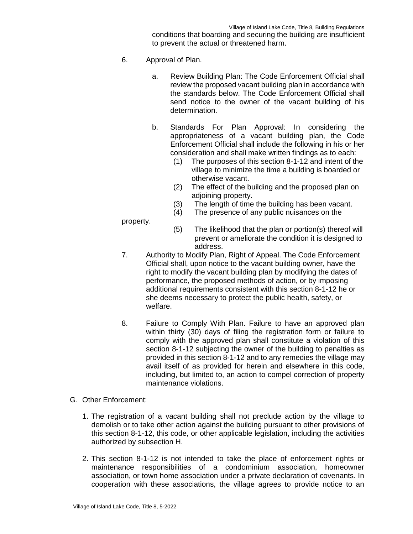conditions that boarding and securing the building are insufficient to prevent the actual or threatened harm.

- 6. Approval of Plan.
	- a. Review Building Plan: The Code Enforcement Official shall review the proposed vacant building plan in accordance with the standards below. The Code Enforcement Official shall send notice to the owner of the vacant building of his determination.
	- b. Standards For Plan Approval: In considering the appropriateness of a vacant building plan, the Code Enforcement Official shall include the following in his or her consideration and shall make written findings as to each:
		- (1) The purposes of this section 8-1-12 and intent of the village to minimize the time a building is boarded or otherwise vacant.
		- (2) The effect of the building and the proposed plan on adjoining property.
		- (3) The length of time the building has been vacant.
		- (4) The presence of any public nuisances on the

property.

- (5) The likelihood that the plan or portion(s) thereof will prevent or ameliorate the condition it is designed to address.
- 7. Authority to Modify Plan, Right of Appeal. The Code Enforcement Official shall, upon notice to the vacant building owner, have the right to modify the vacant building plan by modifying the dates of performance, the proposed methods of action, or by imposing additional requirements consistent with this section 8-1-12 he or she deems necessary to protect the public health, safety, or welfare.
- 8. Failure to Comply With Plan. Failure to have an approved plan within thirty (30) days of filing the registration form or failure to comply with the approved plan shall constitute a violation of this section 8-1-12 subjecting the owner of the building to penalties as provided in this section 8-1-12 and to any remedies the village may avail itself of as provided for herein and elsewhere in this code, including, but limited to, an action to compel correction of property maintenance violations.
- G. Other Enforcement:
	- 1. The registration of a vacant building shall not preclude action by the village to demolish or to take other action against the building pursuant to other provisions of this section 8-1-12, this code, or other applicable legislation, including the activities authorized by subsection H.
	- 2. This section 8-1-12 is not intended to take the place of enforcement rights or maintenance responsibilities of a condominium association, homeowner association, or town home association under a private declaration of covenants. In cooperation with these associations, the village agrees to provide notice to an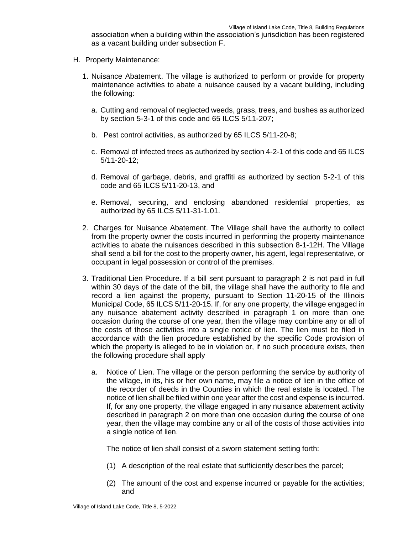association when a building within the association's jurisdiction has been registered as a vacant building under subsection F.

- H. Property Maintenance:
	- 1. Nuisance Abatement. The village is authorized to perform or provide for property maintenance activities to abate a nuisance caused by a vacant building, including the following:
		- a. Cutting and removal of neglected weeds, grass, trees, and bushes as authorized by section 5-3-1 of this code and 65 ILCS 5/11-207;
		- b. Pest control activities, as authorized by 65 ILCS 5/11-20-8;
		- c. Removal of infected trees as authorized by section 4-2-1 of this code and 65 ILCS 5/11-20-12;
		- d. Removal of garbage, debris, and graffiti as authorized by section 5-2-1 of this code and 65 ILCS 5/11-20-13, and
		- e. Removal, securing, and enclosing abandoned residential properties, as authorized by 65 ILCS 5/11-31-1.01.
	- 2. Charges for Nuisance Abatement. The Village shall have the authority to collect from the property owner the costs incurred in performing the property maintenance activities to abate the nuisances described in this subsection 8-1-12H. The Village shall send a bill for the cost to the property owner, his agent, legal representative, or occupant in legal possession or control of the premises.
	- 3. Traditional Lien Procedure. If a bill sent pursuant to paragraph 2 is not paid in full within 30 days of the date of the bill, the village shall have the authority to file and record a lien against the property, pursuant to Section 11-20-15 of the Illinois Municipal Code, 65 ILCS 5/11-20-15. If, for any one property, the village engaged in any nuisance abatement activity described in paragraph 1 on more than one occasion during the course of one year, then the village may combine any or all of the costs of those activities into a single notice of lien. The lien must be filed in accordance with the lien procedure established by the specific Code provision of which the property is alleged to be in violation or, if no such procedure exists, then the following procedure shall apply
		- a. Notice of Lien. The village or the person performing the service by authority of the village, in its, his or her own name, may file a notice of lien in the office of the recorder of deeds in the Counties in which the real estate is located. The notice of lien shall be filed within one year after the cost and expense is incurred. If, for any one property, the village engaged in any nuisance abatement activity described in paragraph 2 on more than one occasion during the course of one year, then the village may combine any or all of the costs of those activities into a single notice of lien.

The notice of lien shall consist of a sworn statement setting forth:

- (1) A description of the real estate that sufficiently describes the parcel;
- (2) The amount of the cost and expense incurred or payable for the activities; and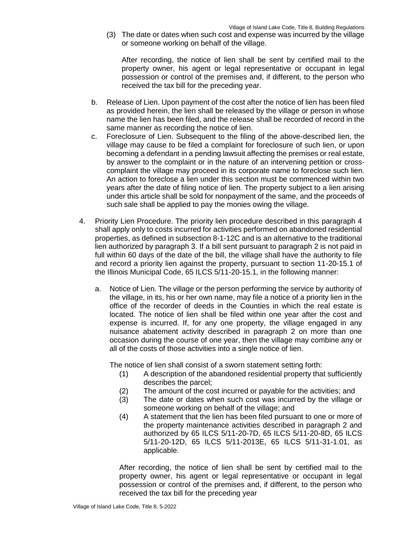(3) The date or dates when such cost and expense was incurred by the village or someone working on behalf of the village.

After recording, the notice of lien shall be sent by certified mail to the property owner, his agent or legal representative or occupant in legal possession or control of the premises and, if different, to the person who received the tax bill for the preceding year.

- b. Release of Lien. Upon payment of the cost after the notice of lien has been filed as provided herein, the lien shall be released by the village or person in whose name the lien has been filed, and the release shall be recorded of record in the same manner as recording the notice of lien.
- c. Foreclosure of Lien. Subsequent to the filing of the above-described lien, the village may cause to be filed a complaint for foreclosure of such lien, or upon becoming a defendant in a pending lawsuit affecting the premises or real estate, by answer to the complaint or in the nature of an intervening petition or crosscomplaint the village may proceed in its corporate name to foreclose such lien. An action to foreclose a lien under this section must be commenced within two years after the date of filing notice of lien. The property subject to a lien arising under this article shall be sold for nonpayment of the same, and the proceeds of such sale shall be applied to pay the monies owing the village.
- 4. Priority Lien Procedure. The priority lien procedure described in this paragraph 4 shall apply only to costs incurred for activities performed on abandoned residential properties, as defined in subsection 8-1-12C and is an alternative to the traditional lien authorized by paragraph 3. If a bill sent pursuant to paragraph 2 is not paid in full within 60 days of the date of the bill, the village shall have the authority to file and record a priority lien against the property, pursuant to section 11-20-15.1 of the Illinois Municipal Code, 65 ILCS 5/11-20-15.1, in the following manner:
	- a. Notice of Lien. The village or the person performing the service by authority of the village, in its, his or her own name, may file a notice of a priority lien in the office of the recorder of deeds in the Counties in which the real estate is located. The notice of lien shall be filed within one year after the cost and expense is incurred. If, for any one property, the village engaged in any nuisance abatement activity described in paragraph 2 on more than one occasion during the course of one year, then the village may combine any or all of the costs of those activities into a single notice of lien.

The notice of lien shall consist of a sworn statement setting forth:

- (1) A description of the abandoned residential property that sufficiently describes the parcel;
- (2) The amount of the cost incurred or payable for the activities; and
- (3) The date or dates when such cost was incurred by the village or someone working on behalf of the village; and
- (4) A statement that the lien has been filed pursuant to one or more of the property maintenance activities described in paragraph 2 and authorized by 65 ILCS 5/11-20-7D, 65 ILCS 5/11-20-8D, 65 ILCS 5/11-20-12D, 65 ILCS 5/11-2013E, 65 ILCS 5/11-31-1.01, as applicable.

After recording, the notice of lien shall be sent by certified mail to the property owner, his agent or legal representative or occupant in legal possession or control of the premises and, if different, to the person who received the tax bill for the preceding year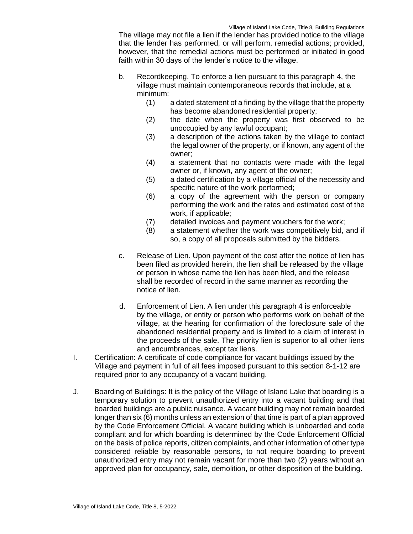The village may not file a lien if the lender has provided notice to the village that the lender has performed, or will perform, remedial actions; provided, however, that the remedial actions must be performed or initiated in good faith within 30 days of the lender's notice to the village.

- b. Recordkeeping. To enforce a lien pursuant to this paragraph 4, the village must maintain contemporaneous records that include, at a minimum:
	- (1) a dated statement of a finding by the village that the property has become abandoned residential property;
	- (2) the date when the property was first observed to be unoccupied by any lawful occupant;
	- (3) a description of the actions taken by the village to contact the legal owner of the property, or if known, any agent of the owner;
	- (4) a statement that no contacts were made with the legal owner or, if known, any agent of the owner;
	- (5) a dated certification by a village official of the necessity and specific nature of the work performed;
	- (6) a copy of the agreement with the person or company performing the work and the rates and estimated cost of the work, if applicable;
	- (7) detailed invoices and payment vouchers for the work;
	- (8) a statement whether the work was competitively bid, and if so, a copy of all proposals submitted by the bidders.
- c. Release of Lien. Upon payment of the cost after the notice of lien has been filed as provided herein, the lien shall be released by the village or person in whose name the lien has been filed, and the release shall be recorded of record in the same manner as recording the notice of lien.
- d. Enforcement of Lien. A lien under this paragraph 4 is enforceable by the village, or entity or person who performs work on behalf of the village, at the hearing for confirmation of the foreclosure sale of the abandoned residential property and is limited to a claim of interest in the proceeds of the sale. The priority lien is superior to all other liens and encumbrances, except tax liens.
- I. Certification: A certificate of code compliance for vacant buildings issued by the Village and payment in full of all fees imposed pursuant to this section 8-1-12 are required prior to any occupancy of a vacant building.
- J. Boarding of Buildings: It is the policy of the Village of Island Lake that boarding is a temporary solution to prevent unauthorized entry into a vacant building and that boarded buildings are a public nuisance. A vacant building may not remain boarded longer than six (6) months unless an extension of that time is part of a plan approved by the Code Enforcement Official. A vacant building which is unboarded and code compliant and for which boarding is determined by the Code Enforcement Official on the basis of police reports, citizen complaints, and other information of other type considered reliable by reasonable persons, to not require boarding to prevent unauthorized entry may not remain vacant for more than two (2) years without an approved plan for occupancy, sale, demolition, or other disposition of the building.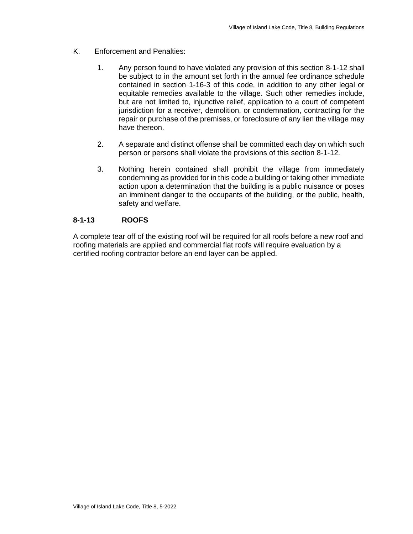- K. Enforcement and Penalties:
	- 1. Any person found to have violated any provision of this section 8-1-12 shall be subject to in the amount set forth in the annual fee ordinance schedule contained in section 1-16-3 of this code, in addition to any other legal or equitable remedies available to the village. Such other remedies include, but are not limited to, injunctive relief, application to a court of competent jurisdiction for a receiver, demolition, or condemnation, contracting for the repair or purchase of the premises, or foreclosure of any lien the village may have thereon.
	- 2. A separate and distinct offense shall be committed each day on which such person or persons shall violate the provisions of this section 8-1-12.
	- 3. Nothing herein contained shall prohibit the village from immediately condemning as provided for in this code a building or taking other immediate action upon a determination that the building is a public nuisance or poses an imminent danger to the occupants of the building, or the public, health, safety and welfare.

## **8-1-13 ROOFS**

A complete tear off of the existing roof will be required for all roofs before a new roof and roofing materials are applied and commercial flat roofs will require evaluation by a certified roofing contractor before an end layer can be applied.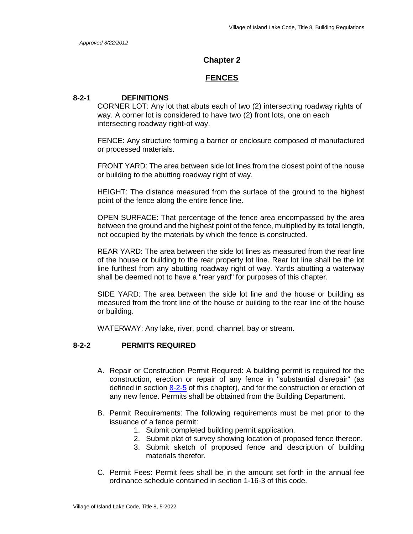### **Chapter 2**

### **FENCES**

### **8-2-1 DEFINITIONS**

CORNER LOT: Any lot that abuts each of two (2) intersecting roadway rights of way. A corner lot is considered to have two (2) front lots, one on each intersecting roadway right-of way.

FENCE: Any structure forming a barrier or enclosure composed of manufactured or processed materials.

FRONT YARD: The area between side lot lines from the closest point of the house or building to the abutting roadway right of way.

HEIGHT: The distance measured from the surface of the ground to the highest point of the fence along the entire fence line.

OPEN SURFACE: That percentage of the fence area encompassed by the area between the ground and the highest point of the fence, multiplied by its total length, not occupied by the materials by which the fence is constructed.

REAR YARD: The area between the side lot lines as measured from the rear line of the house or building to the rear property lot line. Rear lot line shall be the lot line furthest from any abutting roadway right of way. Yards abutting a waterway shall be deemed not to have a "rear yard" for purposes of this chapter.

SIDE YARD: The area between the side lot line and the house or building as measured from the front line of the house or building to the rear line of the house or building.

WATERWAY: Any lake, river, pond, channel, bay or stream.

### **8-2-2 PERMITS REQUIRED**

- A. Repair or Construction Permit Required: A building permit is required for the construction, erection or repair of any fence in "substantial disrepair" (as defined in section 8-2-5 of this chapter), and for the construction or erection of any new fence. Permits shall be obtained from the Building Department.
- B. Permit Requirements: The following requirements must be met prior to the issuance of a fence permit:
	- 1. Submit completed building permit application.
	- 2. Submit plat of survey showing location of proposed fence thereon.
	- 3. Submit sketch of proposed fence and description of building materials therefor.
- C. Permit Fees: Permit fees shall be in the amount set forth in the annual fee ordinance schedule contained in section 1-16-3 of this code.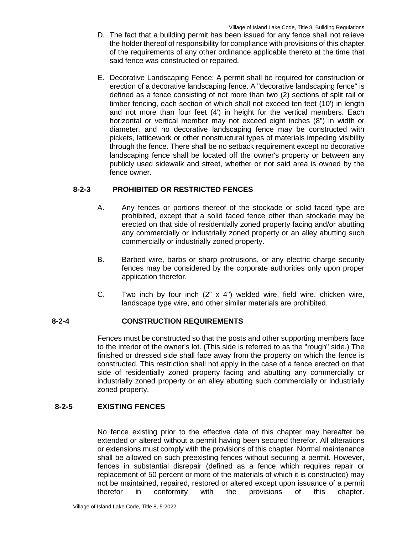- D. The fact that a building permit has been issued for any fence shall not relieve the holder thereof of responsibility for compliance with provisions of this chapter of the requirements of any other ordinance applicable thereto at the time that said fence was constructed or repaired.
- E. Decorative Landscaping Fence: A permit shall be required for construction or erection of a decorative landscaping fence. A "decorative landscaping fence" is defined as a fence consisting of not more than two (2) sections of split rail or timber fencing, each section of which shall not exceed ten feet (10') in length and not more than four feet (4') in height for the vertical members. Each horizontal or vertical member may not exceed eight inches (8") in width or diameter, and no decorative landscaping fence may be constructed with pickets, latticework or other nonstructural types of materials impeding visibility through the fence. There shall be no setback requirement except no decorative landscaping fence shall be located off the owner's property or between any publicly used sidewalk and street, whether or not said area is owned by the fence owner.

## **8-2-3 PROHIBITED OR RESTRICTED FENCES**

- A. Any fences or portions thereof of the stockade or solid faced type are prohibited, except that a solid faced fence other than stockade may be erected on that side of residentially zoned property facing and/or abutting any commercially or industrially zoned property or an alley abutting such commercially or industrially zoned property.
- B. Barbed wire, barbs or sharp protrusions, or any electric charge security fences may be considered by the corporate authorities only upon proper application therefor.
- C. Two inch by four inch  $(2'' \times 4'')$  welded wire, field wire, chicken wire, landscape type wire, and other similar materials are prohibited.

## **8-2-4 CONSTRUCTION REQUIREMENTS**

Fences must be constructed so that the posts and other supporting members face to the interior of the owner's lot. (This side is referred to as the "rough" side.) The finished or dressed side shall face away from the property on which the fence is constructed. This restriction shall not apply in the case of a fence erected on that side of residentially zoned property facing and abutting any commercially or industrially zoned property or an alley abutting such commercially or industrially zoned property.

## **8-2-5 EXISTING FENCES**

No fence existing prior to the effective date of this chapter may hereafter be extended or altered without a permit having been secured therefor. All alterations or extensions must comply with the provisions of this chapter. Normal maintenance shall be allowed on such preexisting fences without securing a permit. However, fences in substantial disrepair (defined as a fence which requires repair or replacement of 50 percent or more of the materials of which it is constructed) may not be maintained, repaired, restored or altered except upon issuance of a permit therefor in conformity with the provisions of this chapter.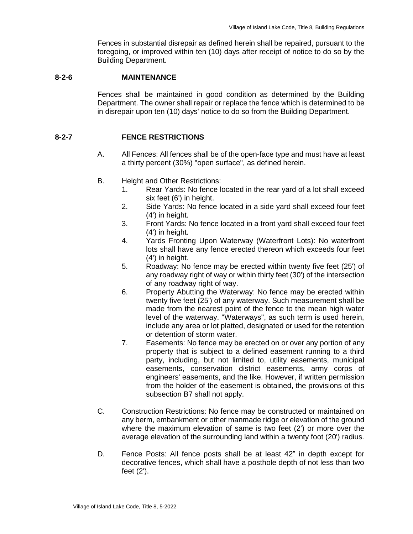Fences in substantial disrepair as defined herein shall be repaired, pursuant to the foregoing, or improved within ten (10) days after receipt of notice to do so by the Building Department.

### **8-2-6 MAINTENANCE**

Fences shall be maintained in good condition as determined by the Building Department. The owner shall repair or replace the fence which is determined to be in disrepair upon ten (10) days' notice to do so from the Building Department.

### **8-2-7 FENCE RESTRICTIONS**

- A. All Fences: All fences shall be of the open-face type and must have at least a thirty percent (30%) "open surface", as defined herein.
- B. Height and Other Restrictions:
	- 1. Rear Yards: No fence located in the rear yard of a lot shall exceed six feet (6') in height.
	- 2. Side Yards: No fence located in a side yard shall exceed four feet (4') in height.
	- 3. Front Yards: No fence located in a front yard shall exceed four feet (4') in height.
	- 4. Yards Fronting Upon Waterway (Waterfront Lots): No waterfront lots shall have any fence erected thereon which exceeds four feet (4') in height.
	- 5. Roadway: No fence may be erected within twenty five feet (25') of any roadway right of way or within thirty feet (30') of the intersection of any roadway right of way.
	- 6. Property Abutting the Waterway: No fence may be erected within twenty five feet (25') of any waterway. Such measurement shall be made from the nearest point of the fence to the mean high water level of the waterway. "Waterways", as such term is used herein, include any area or lot platted, designated or used for the retention or detention of storm water.
	- 7. Easements: No fence may be erected on or over any portion of any property that is subject to a defined easement running to a third party, including, but not limited to, utility easements, municipal easements, conservation district easements, army corps of engineers' easements, and the like. However, if written permission from the holder of the easement is obtained, the provisions of this subsection B7 shall not apply.
- C. Construction Restrictions: No fence may be constructed or maintained on any berm, embankment or other manmade ridge or elevation of the ground where the maximum elevation of same is two feet (2') or more over the average elevation of the surrounding land within a twenty foot (20') radius.
- D. Fence Posts: All fence posts shall be at least 42" in depth except for decorative fences, which shall have a posthole depth of not less than two feet (2').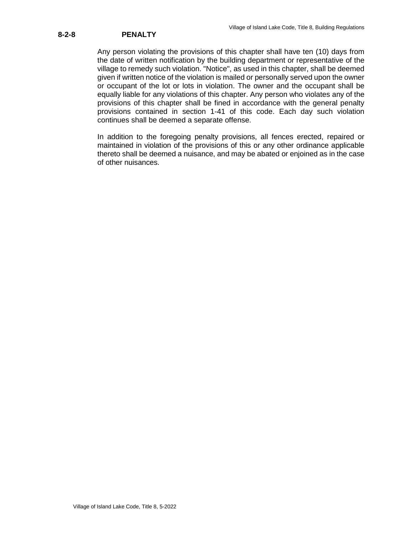## **8-2-8 PENALTY**

Any person violating the provisions of this chapter shall have ten (10) days from the date of written notification by the building department or representative of the village to remedy such violation. "Notice", as used in this chapter, shall be deemed given if written notice of the violation is mailed or personally served upon the owner or occupant of the lot or lots in violation. The owner and the occupant shall be equally liable for any violations of this chapter. Any person who violates any of the provisions of this chapter shall be fined in accordance with the general penalty provisions contained in section 1-41 of this code. Each day such violation continues shall be deemed a separate offense.

In addition to the foregoing penalty provisions, all fences erected, repaired or maintained in violation of the provisions of this or any other ordinance applicable thereto shall be deemed a nuisance, and may be abated or enjoined as in the case of other nuisances.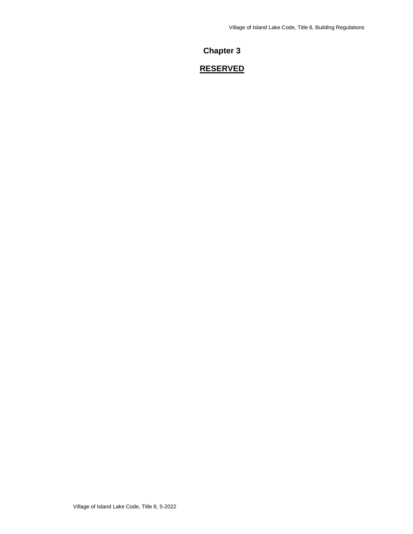## **Chapter 3**

## **RESERVED**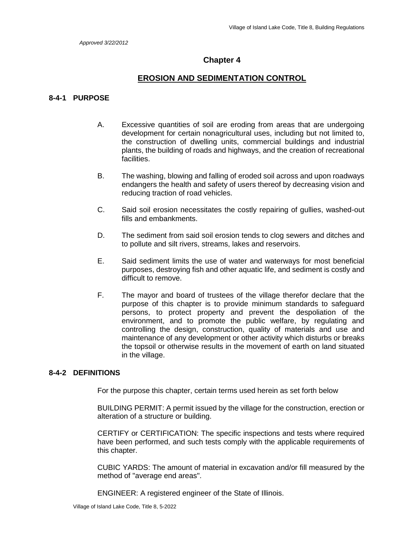## **Chapter 4**

### **EROSION AND SEDIMENTATION CONTROL**

### **8-4-1 PURPOSE**

- A. Excessive quantities of soil are eroding from areas that are undergoing development for certain nonagricultural uses, including but not limited to, the construction of dwelling units, commercial buildings and industrial plants, the building of roads and highways, and the creation of recreational facilities.
- B. The washing, blowing and falling of eroded soil across and upon roadways endangers the health and safety of users thereof by decreasing vision and reducing traction of road vehicles.
- C. Said soil erosion necessitates the costly repairing of gullies, washed-out fills and embankments.
- D. The sediment from said soil erosion tends to clog sewers and ditches and to pollute and silt rivers, streams, lakes and reservoirs.
- E. Said sediment limits the use of water and waterways for most beneficial purposes, destroying fish and other aquatic life, and sediment is costly and difficult to remove.
- F. The mayor and board of trustees of the village therefor declare that the purpose of this chapter is to provide minimum standards to safeguard persons, to protect property and prevent the despoliation of the environment, and to promote the public welfare, by regulating and controlling the design, construction, quality of materials and use and maintenance of any development or other activity which disturbs or breaks the topsoil or otherwise results in the movement of earth on land situated in the village.

### **8-4-2 DEFINITIONS**

For the purpose this chapter, certain terms used herein as set forth below

BUILDING PERMIT: A permit issued by the village for the construction, erection or alteration of a structure or building.

CERTIFY or CERTIFICATION: The specific inspections and tests where required have been performed, and such tests comply with the applicable requirements of this chapter.

CUBIC YARDS: The amount of material in excavation and/or fill measured by the method of "average end areas".

ENGINEER: A registered engineer of the State of Illinois.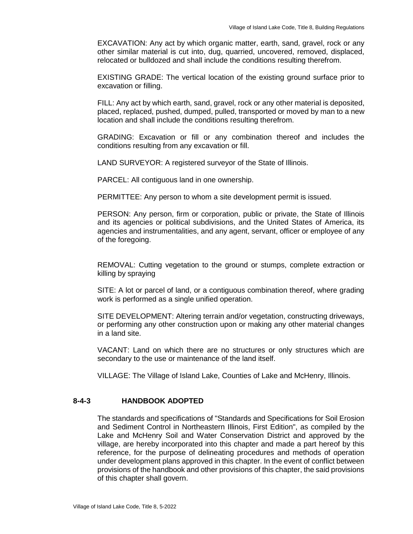EXCAVATION: Any act by which organic matter, earth, sand, gravel, rock or any other similar material is cut into, dug, quarried, uncovered, removed, displaced, relocated or bulldozed and shall include the conditions resulting therefrom.

EXISTING GRADE: The vertical location of the existing ground surface prior to excavation or filling.

FILL: Any act by which earth, sand, gravel, rock or any other material is deposited, placed, replaced, pushed, dumped, pulled, transported or moved by man to a new location and shall include the conditions resulting therefrom.

GRADING: Excavation or fill or any combination thereof and includes the conditions resulting from any excavation or fill.

LAND SURVEYOR: A registered surveyor of the State of Illinois.

PARCEL: All contiguous land in one ownership.

PERMITTEE: Any person to whom a site development permit is issued.

PERSON: Any person, firm or corporation, public or private, the State of Illinois and its agencies or political subdivisions, and the United States of America, its agencies and instrumentalities, and any agent, servant, officer or employee of any of the foregoing.

REMOVAL: Cutting vegetation to the ground or stumps, complete extraction or killing by spraying

SITE: A lot or parcel of land, or a contiguous combination thereof, where grading work is performed as a single unified operation.

SITE DEVELOPMENT: Altering terrain and/or vegetation, constructing driveways, or performing any other construction upon or making any other material changes in a land site.

VACANT: Land on which there are no structures or only structures which are secondary to the use or maintenance of the land itself.

VILLAGE: The Village of Island Lake, Counties of Lake and McHenry, Illinois.

### **8-4-3 HANDBOOK ADOPTED**

The standards and specifications of "Standards and Specifications for Soil Erosion and Sediment Control in Northeastern Illinois, First Edition", as compiled by the Lake and McHenry Soil and Water Conservation District and approved by the village, are hereby incorporated into this chapter and made a part hereof by this reference, for the purpose of delineating procedures and methods of operation under development plans approved in this chapter. In the event of conflict between provisions of the handbook and other provisions of this chapter, the said provisions of this chapter shall govern.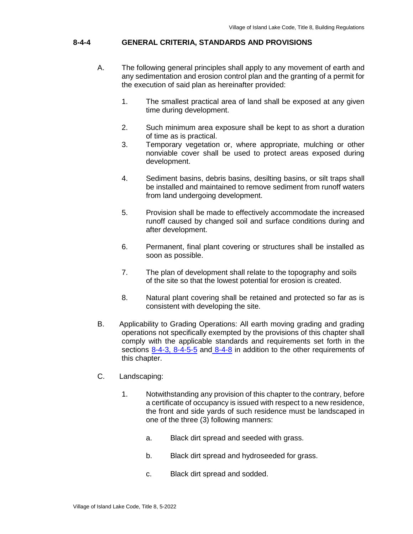## **8-4-4 GENERAL CRITERIA, STANDARDS AND PROVISIONS**

- A. The following general principles shall apply to any movement of earth and any sedimentation and erosion control plan and the granting of a permit for the execution of said plan as hereinafter provided:
	- 1. The smallest practical area of land shall be exposed at any given time during development.
	- 2. Such minimum area exposure shall be kept to as short a duration of time as is practical.
	- 3. Temporary vegetation or, where appropriate, mulching or other nonviable cover shall be used to protect areas exposed during development.
	- 4. Sediment basins, debris basins, desilting basins, or silt traps shall be installed and maintained to remove sediment from runoff waters from land undergoing development.
	- 5. Provision shall be made to effectively accommodate the increased runoff caused by changed soil and surface conditions during and after development.
	- 6. Permanent, final plant covering or structures shall be installed as soon as possible.
	- 7. The plan of development shall relate to the topography and soils of the site so that the lowest potential for erosion is created.
	- 8. Natural plant covering shall be retained and protected so far as is consistent with developing the site.
- B. Applicability to Grading Operations: All earth moving grading and grading operations not specifically exempted by the provisions of this chapter shall comply with the applicable standards and requirements set forth in the sections 8-4-3, 8-4-5-5 and 8-4-8 in addition to the other requirements of this chapter.
- C. Landscaping:
	- 1. Notwithstanding any provision of this chapter to the contrary, before a certificate of occupancy is issued with respect to a new residence, the front and side yards of such residence must be landscaped in one of the three (3) following manners:
		- a. Black dirt spread and seeded with grass.
		- b. Black dirt spread and hydroseeded for grass.
		- c. Black dirt spread and sodded.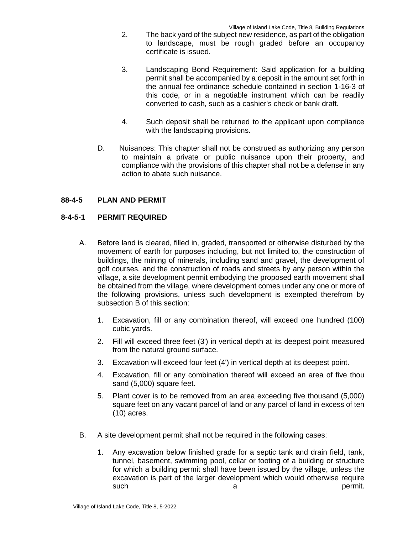- 2. The back yard of the subject new residence, as part of the obligation to landscape, must be rough graded before an occupancy certificate is issued.
- 3. Landscaping Bond Requirement: Said application for a building permit shall be accompanied by a deposit in the amount set forth in the annual fee ordinance schedule contained in section 1-16-3 of this code, or in a negotiable instrument which can be readily converted to cash, such as a cashier's check or bank draft.
- 4. Such deposit shall be returned to the applicant upon compliance with the landscaping provisions.
- D. Nuisances: This chapter shall not be construed as authorizing any person to maintain a private or public nuisance upon their property, and compliance with the provisions of this chapter shall not be a defense in any action to abate such nuisance.

## **88-4-5 PLAN AND PERMIT**

### **8-4-5-1 PERMIT REQUIRED**

- A. Before land is cleared, filled in, graded, transported or otherwise disturbed by the movement of earth for purposes including, but not limited to, the construction of buildings, the mining of minerals, including sand and gravel, the development of golf courses, and the construction of roads and streets by any person within the village, a site development permit embodying the proposed earth movement shall be obtained from the village, where development comes under any one or more of the following provisions, unless such development is exempted therefrom by subsection B of this section:
	- 1. Excavation, fill or any combination thereof, will exceed one hundred (100) cubic yards.
	- 2. Fill will exceed three feet (3') in vertical depth at its deepest point measured from the natural ground surface.
	- 3. Excavation will exceed four feet (4') in vertical depth at its deepest point.
	- 4. Excavation, fill or any combination thereof will exceed an area of five thou sand (5,000) square feet.
	- 5. Plant cover is to be removed from an area exceeding five thousand (5,000) square feet on any vacant parcel of land or any parcel of land in excess of ten (10) acres.
- B. A site development permit shall not be required in the following cases:
	- 1. Any excavation below finished grade for a septic tank and drain field, tank, tunnel, basement, swimming pool, cellar or footing of a building or structure for which a building permit shall have been issued by the village, unless the excavation is part of the larger development which would otherwise require such a permit.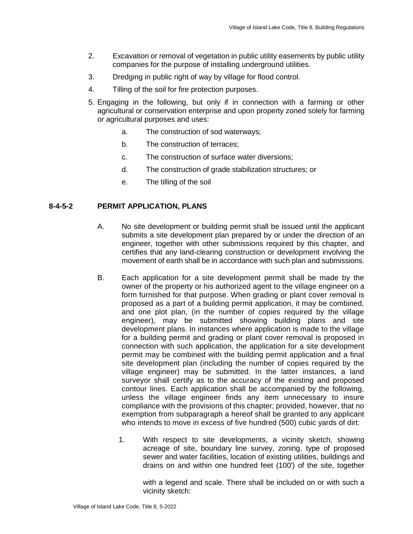- 2. Excavation or removal of vegetation in public utility easements by public utility companies for the purpose of installing underground utilities.
- 3. Dredging in public right of way by village for flood control.
- 4. Tilling of the soil for fire protection purposes.
- 5. Engaging in the following, but only if in connection with a farming or other agricultural or conservation enterprise and upon property zoned solely for farming or agricultural purposes and uses:
	- a. The construction of sod waterways;
	- b. The construction of terraces;
	- c. The construction of surface water diversions;
	- d. The construction of grade stabilization structures; or
	- e. The tilling of the soil

### **8-4-5-2 PERMIT APPLICATION, PLANS**

- A. No site development or building permit shall be issued until the applicant submits a site development plan prepared by or under the direction of an engineer, together with other submissions required by this chapter, and certifies that any land-clearing construction or development involving the movement of earth shall be in accordance with such plan and submissions.
- B. Each application for a site development permit shall be made by the owner of the property or his authorized agent to the village engineer on a form furnished for that purpose. When grading or plant cover removal is proposed as a part of a building permit application, it may be combined, and one plot plan, (in the number of copies required by the village engineer), may be submitted showing building plans and site development plans. In instances where application is made to the village for a building permit and grading or plant cover removal is proposed in connection with such application, the application for a site development permit may be combined with the building permit application and a final site development plan (including the number of copies required by the village engineer) may be submitted. In the latter instances, a land surveyor shall certify as to the accuracy of the existing and proposed contour lines. Each application shall be accompanied by the following, unless the village engineer finds any item unnecessary to insure compliance with the provisions of this chapter; provided, however, that no exemption from subparagraph a hereof shall be granted to any applicant who intends to move in excess of five hundred (500) cubic yards of dirt:
	- 1. With respect to site developments, a vicinity sketch, showing acreage of site, boundary line survey, zoning, type of proposed sewer and water facilities, location of existing utilities, buildings and drains on and within one hundred feet (100') of the site, together

with a legend and scale. There shall be included on or with such a vicinity sketch: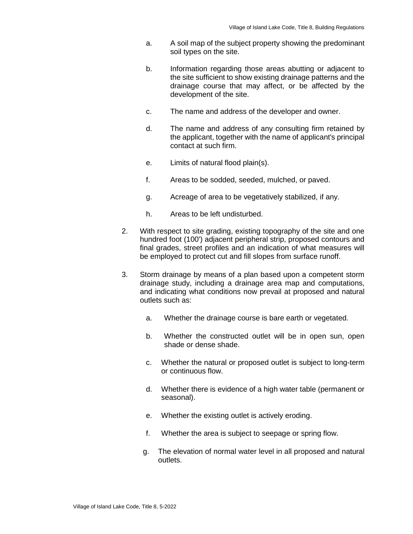- a. A soil map of the subject property showing the predominant soil types on the site.
- b. Information regarding those areas abutting or adjacent to the site sufficient to show existing drainage patterns and the drainage course that may affect, or be affected by the development of the site.
- c. The name and address of the developer and owner.
- d. The name and address of any consulting firm retained by the applicant, together with the name of applicant's principal contact at such firm.
- e. Limits of natural flood plain(s).
- f. Areas to be sodded, seeded, mulched, or paved.
- g. Acreage of area to be vegetatively stabilized, if any.
- h. Areas to be left undisturbed.
- 2. With respect to site grading, existing topography of the site and one hundred foot (100') adjacent peripheral strip, proposed contours and final grades, street profiles and an indication of what measures will be employed to protect cut and fill slopes from surface runoff.
- 3. Storm drainage by means of a plan based upon a competent storm drainage study, including a drainage area map and computations, and indicating what conditions now prevail at proposed and natural outlets such as:
	- a. Whether the drainage course is bare earth or vegetated.
	- b. Whether the constructed outlet will be in open sun, open shade or dense shade.
	- c. Whether the natural or proposed outlet is subject to long-term or continuous flow.
	- d. Whether there is evidence of a high water table (permanent or seasonal).
	- e. Whether the existing outlet is actively eroding.
	- f. Whether the area is subject to seepage or spring flow.
	- g. The elevation of normal water level in all proposed and natural outlets.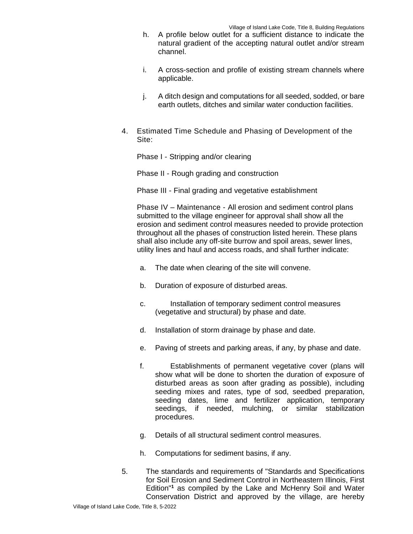- h. A profile below outlet for a sufficient distance to indicate the natural gradient of the accepting natural outlet and/or stream channel.
- i. A cross-section and profile of existing stream channels where applicable.
- j. A ditch design and computations for all seeded, sodded, or bare earth outlets, ditches and similar water conduction facilities.
- 4. Estimated Time Schedule and Phasing of Development of the Site:

Phase I - Stripping and/or clearing

Phase II - Rough grading and construction

Phase III - Final grading and vegetative establishment

Phase IV – Maintenance - All erosion and sediment control plans submitted to the village engineer for approval shall show all the erosion and sediment control measures needed to provide protection throughout all the phases of construction listed herein. These plans shall also include any off-site burrow and spoil areas, sewer lines, utility lines and haul and access roads, and shall further indicate:

- a. The date when clearing of the site will convene.
- b. Duration of exposure of disturbed areas.
- c. Installation of temporary sediment control measures (vegetative and structural) by phase and date.
- d. Installation of storm drainage by phase and date.
- e. Paving of streets and parking areas, if any, by phase and date.
- f. Establishments of permanent vegetative cover (plans will show what will be done to shorten the duration of exposure of disturbed areas as soon after grading as possible), including seeding mixes and rates, type of sod, seedbed preparation, seeding dates, lime and fertilizer application, temporary seedings, if needed, mulching, or similar stabilization procedures.
- g. Details of all structural sediment control measures.
- h. Computations for sediment basins, if any.
- 5. The standards and requirements of "Standards and Specifications for Soil Erosion and Sediment Control in Northeastern Illinois, First Edition"**<sup>1</sup>** as compiled by the Lake and McHenry Soil and Water Conservation District and approved by the village, are hereby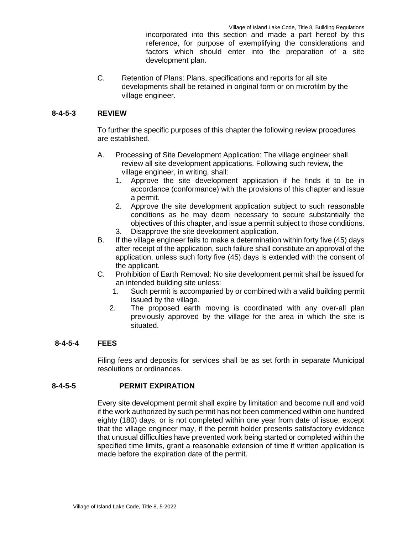Village of Island Lake Code, Title 8, Building Regulations incorporated into this section and made a part hereof by this reference, for purpose of exemplifying the considerations and factors which should enter into the preparation of a site development plan.

C. Retention of Plans: Plans, specifications and reports for all site developments shall be retained in original form or on microfilm by the village engineer.

# **8-4-5-3 REVIEW**

To further the specific purposes of this chapter the following review procedures are established.

- A. Processing of Site Development Application: The village engineer shall review all site development applications. Following such review, the village engineer, in writing, shall:
	- 1. Approve the site development application if he finds it to be in accordance (conformance) with the provisions of this chapter and issue a permit.
	- 2. Approve the site development application subject to such reasonable conditions as he may deem necessary to secure substantially the objectives of this chapter, and issue a permit subject to those conditions.
	- 3. Disapprove the site development application.
- B. If the village engineer fails to make a determination within forty five (45) days after receipt of the application, such failure shall constitute an approval of the application, unless such forty five (45) days is extended with the consent of the applicant.
- C. Prohibition of Earth Removal: No site development permit shall be issued for an intended building site unless:
	- 1. Such permit is accompanied by or combined with a valid building permit issued by the village.
	- 2. The proposed earth moving is coordinated with any over-all plan previously approved by the village for the area in which the site is situated.

## **8-4-5-4 FEES**

Filing fees and deposits for services shall be as set forth in separate Municipal resolutions or ordinances.

# **8-4-5-5 PERMIT EXPIRATION**

Every site development permit shall expire by limitation and become null and void if the work authorized by such permit has not been commenced within one hundred eighty (180) days, or is not completed within one year from date of issue, except that the village engineer may, if the permit holder presents satisfactory evidence that unusual difficulties have prevented work being started or completed within the specified time limits, grant a reasonable extension of time if written application is made before the expiration date of the permit.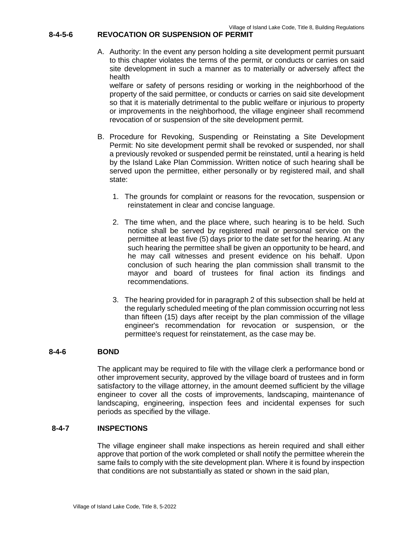## **8-4-5-6 REVOCATION OR SUSPENSION OF PERMIT**

A. Authority: In the event any person holding a site development permit pursuant to this chapter violates the terms of the permit, or conducts or carries on said site development in such a manner as to materially or adversely affect the health

welfare or safety of persons residing or working in the neighborhood of the property of the said permittee, or conducts or carries on said site development so that it is materially detrimental to the public welfare or injurious to property or improvements in the neighborhood, the village engineer shall recommend revocation of or suspension of the site development permit.

- B. Procedure for Revoking, Suspending or Reinstating a Site Development Permit: No site development permit shall be revoked or suspended, nor shall a previously revoked or suspended permit be reinstated, until a hearing is held by the Island Lake Plan Commission. Written notice of such hearing shall be served upon the permittee, either personally or by registered mail, and shall state:
	- 1. The grounds for complaint or reasons for the revocation, suspension or reinstatement in clear and concise language.
	- 2. The time when, and the place where, such hearing is to be held. Such notice shall be served by registered mail or personal service on the permittee at least five (5) days prior to the date set for the hearing. At any such hearing the permittee shall be given an opportunity to be heard, and he may call witnesses and present evidence on his behalf. Upon conclusion of such hearing the plan commission shall transmit to the mayor and board of trustees for final action its findings and recommendations.
	- 3. The hearing provided for in paragraph 2 of this subsection shall be held at the regularly scheduled meeting of the plan commission occurring not less than fifteen (15) days after receipt by the plan commission of the village engineer's recommendation for revocation or suspension, or the permittee's request for reinstatement, as the case may be.

## **8-4-6 BOND**

The applicant may be required to file with the village clerk a performance bond or other improvement security, approved by the village board of trustees and in form satisfactory to the village attorney, in the amount deemed sufficient by the village engineer to cover all the costs of improvements, landscaping, maintenance of landscaping, engineering, inspection fees and incidental expenses for such periods as specified by the village.

## **8-4-7 INSPECTIONS**

The village engineer shall make inspections as herein required and shall either approve that portion of the work completed or shall notify the permittee wherein the same fails to comply with the site development plan. Where it is found by inspection that conditions are not substantially as stated or shown in the said plan,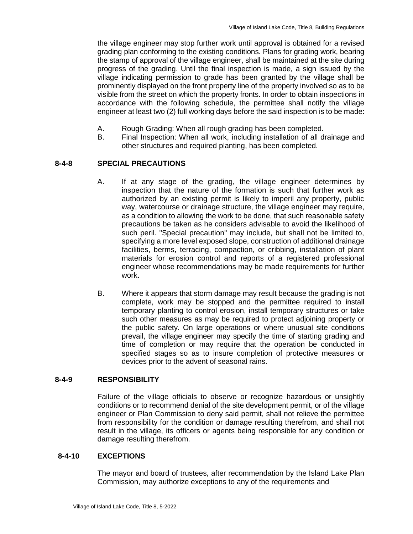the village engineer may stop further work until approval is obtained for a revised grading plan conforming to the existing conditions. Plans for grading work, bearing the stamp of approval of the village engineer, shall be maintained at the site during progress of the grading. Until the final inspection is made, a sign issued by the village indicating permission to grade has been granted by the village shall be prominently displayed on the front property line of the property involved so as to be visible from the street on which the property fronts. In order to obtain inspections in accordance with the following schedule, the permittee shall notify the village engineer at least two (2) full working days before the said inspection is to be made:

- A. Rough Grading: When all rough grading has been completed.
- B. Final Inspection: When all work, including installation of all drainage and other structures and required planting, has been completed.

# **8-4-8 SPECIAL PRECAUTIONS**

- A. If at any stage of the grading, the village engineer determines by inspection that the nature of the formation is such that further work as authorized by an existing permit is likely to imperil any property, public way, watercourse or drainage structure, the village engineer may require, as a condition to allowing the work to be done, that such reasonable safety precautions be taken as he considers advisable to avoid the likelihood of such peril. "Special precaution" may include, but shall not be limited to, specifying a more level exposed slope, construction of additional drainage facilities, berms, terracing, compaction, or cribbing, installation of plant materials for erosion control and reports of a registered professional engineer whose recommendations may be made requirements for further work.
- B. Where it appears that storm damage may result because the grading is not complete, work may be stopped and the permittee required to install temporary planting to control erosion, install temporary structures or take such other measures as may be required to protect adjoining property or the public safety. On large operations or where unusual site conditions prevail, the village engineer may specify the time of starting grading and time of completion or may require that the operation be conducted in specified stages so as to insure completion of protective measures or devices prior to the advent of seasonal rains.

## **8-4-9 RESPONSIBILITY**

Failure of the village officials to observe or recognize hazardous or unsightly conditions or to recommend denial of the site development permit, or of the village engineer or Plan Commission to deny said permit, shall not relieve the permittee from responsibility for the condition or damage resulting therefrom, and shall not result in the village, its officers or agents being responsible for any condition or damage resulting therefrom.

## **8-4-10 EXCEPTIONS**

The mayor and board of trustees, after recommendation by the Island Lake Plan Commission, may authorize exceptions to any of the requirements and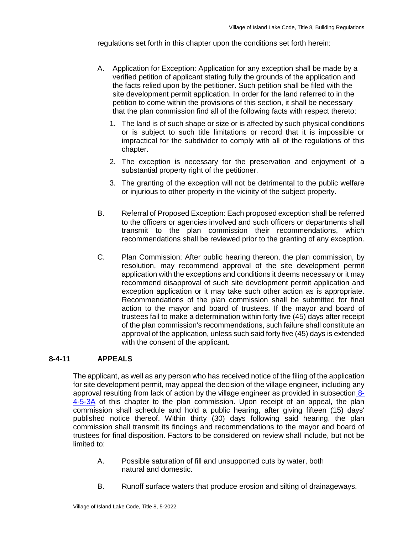regulations set forth in this chapter upon the conditions set forth herein:

- A. Application for Exception: Application for any exception shall be made by a verified petition of applicant stating fully the grounds of the application and the facts relied upon by the petitioner. Such petition shall be filed with the site development permit application. In order for the land referred to in the petition to come within the provisions of this section, it shall be necessary that the plan commission find all of the following facts with respect thereto:
	- 1. The land is of such shape or size or is affected by such physical conditions or is subject to such title limitations or record that it is impossible or impractical for the subdivider to comply with all of the regulations of this chapter.
	- 2. The exception is necessary for the preservation and enjoyment of a substantial property right of the petitioner.
	- 3. The granting of the exception will not be detrimental to the public welfare or injurious to other property in the vicinity of the subject property.
- B. Referral of Proposed Exception: Each proposed exception shall be referred to the officers or agencies involved and such officers or departments shall transmit to the plan commission their recommendations, which recommendations shall be reviewed prior to the granting of any exception.
- C. Plan Commission: After public hearing thereon, the plan commission, by resolution, may recommend approval of the site development permit application with the exceptions and conditions it deems necessary or it may recommend disapproval of such site development permit application and exception application or it may take such other action as is appropriate. Recommendations of the plan commission shall be submitted for final action to the mayor and board of trustees. If the mayor and board of trustees fail to make a determination within forty five (45) days after receipt of the plan commission's recommendations, such failure shall constitute an approval of the application, unless such said forty five (45) days is extended with the consent of the applicant.

# **8-4-11 APPEALS**

The applicant, as well as any person who has received notice of the filing of the application for site development permit, may appeal the decision of the village engineer, including any approval resulting from lack of action by the village engineer as provided in subsection 8- 4-5-3A of this chapter to the plan commission. Upon receipt of an appeal, the plan commission shall schedule and hold a public hearing, after giving fifteen (15) days' published notice thereof. Within thirty (30) days following said hearing, the plan commission shall transmit its findings and recommendations to the mayor and board of trustees for final disposition. Factors to be considered on review shall include, but not be limited to:

- A. Possible saturation of fill and unsupported cuts by water, both natural and domestic.
- B. Runoff surface waters that produce erosion and silting of drainageways.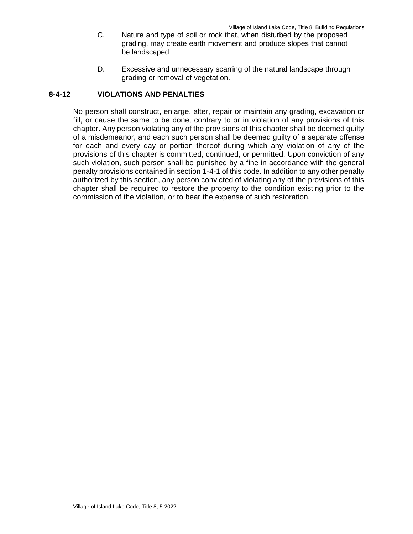- C. Nature and type of soil or rock that, when disturbed by the proposed grading, may create earth movement and produce slopes that cannot be landscaped
- D. Excessive and unnecessary scarring of the natural landscape through grading or removal of vegetation.

#### **8-4-12 VIOLATIONS AND PENALTIES**

No person shall construct, enlarge, alter, repair or maintain any grading, excavation or fill, or cause the same to be done, contrary to or in violation of any provisions of this chapter. Any person violating any of the provisions of this chapter shall be deemed guilty of a misdemeanor, and each such person shall be deemed guilty of a separate offense for each and every day or portion thereof during which any violation of any of the provisions of this chapter is committed, continued, or permitted. Upon conviction of any such violation, such person shall be punished by a fine in accordance with the general penalty provisions contained in section 1-4-1 of this code. In addition to any other penalty authorized by this section, any person convicted of violating any of the provisions of this chapter shall be required to restore the property to the condition existing prior to the commission of the violation, or to bear the expense of such restoration.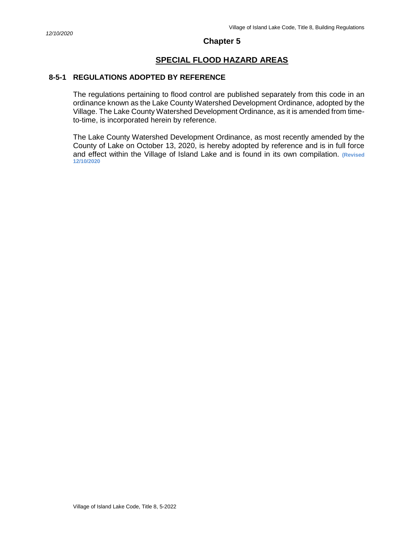# **SPECIAL FLOOD HAZARD AREAS**

## **8-5-1 REGULATIONS ADOPTED BY REFERENCE**

The regulations pertaining to flood control are published separately from this code in an ordinance known as the Lake County Watershed Development Ordinance, adopted by the Village. The Lake County Watershed Development Ordinance, as it is amended from timeto-time, is incorporated herein by reference.

The Lake County Watershed Development Ordinance, as most recently amended by the County of Lake on October 13, 2020, is hereby adopted by reference and is in full force and effect within the Village of Island Lake and is found in its own compilation. **(Revised 12/10/2020**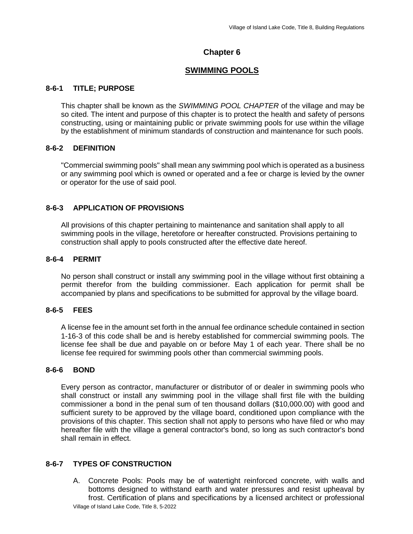# **SWIMMING POOLS**

# **8-6-1 TITLE; PURPOSE**

This chapter shall be known as the *SWIMMING POOL CHAPTER* of the village and may be so cited. The intent and purpose of this chapter is to protect the health and safety of persons constructing, using or maintaining public or private swimming pools for use within the village by the establishment of minimum standards of construction and maintenance for such pools.

# **8-6-2 DEFINITION**

"Commercial swimming pools" shall mean any swimming pool which is operated as a business or any swimming pool which is owned or operated and a fee or charge is levied by the owner or operator for the use of said pool.

# **8-6-3 APPLICATION OF PROVISIONS**

All provisions of this chapter pertaining to maintenance and sanitation shall apply to all swimming pools in the village, heretofore or hereafter constructed. Provisions pertaining to construction shall apply to pools constructed after the effective date hereof.

# **8-6-4 PERMIT**

No person shall construct or install any swimming pool in the village without first obtaining a permit therefor from the building commissioner. Each application for permit shall be accompanied by plans and specifications to be submitted for approval by the village board.

# **8-6-5 FEES**

A license fee in the amount set forth in the annual fee ordinance schedule contained in section 1-16-3 of this code shall be and is hereby established for commercial swimming pools. The license fee shall be due and payable on or before May 1 of each year. There shall be no license fee required for swimming pools other than commercial swimming pools.

# **8-6-6 BOND**

Every person as contractor, manufacturer or distributor of or dealer in swimming pools who shall construct or install any swimming pool in the village shall first file with the building commissioner a bond in the penal sum of ten thousand dollars (\$10,000.00) with good and sufficient surety to be approved by the village board, conditioned upon compliance with the provisions of this chapter. This section shall not apply to persons who have filed or who may hereafter file with the village a general contractor's bond, so long as such contractor's bond shall remain in effect.

# **8-6-7 TYPES OF CONSTRUCTION**

Village of Island Lake Code, Title 8, 5-2022 A. Concrete Pools: Pools may be of watertight reinforced concrete, with walls and bottoms designed to withstand earth and water pressures and resist upheaval by frost. Certification of plans and specifications by a licensed architect or professional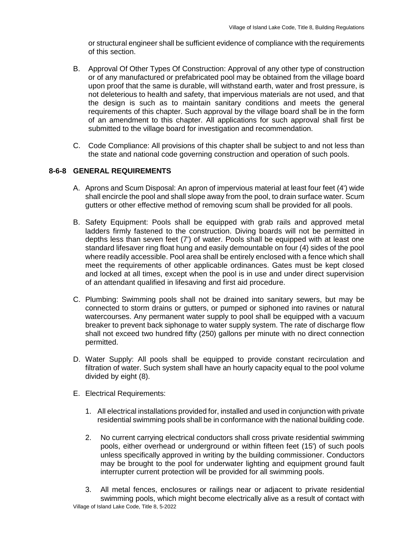or structural engineer shall be sufficient evidence of compliance with the requirements of this section.

- B. Approval Of Other Types Of Construction: Approval of any other type of construction or of any manufactured or prefabricated pool may be obtained from the village board upon proof that the same is durable, will withstand earth, water and frost pressure, is not deleterious to health and safety, that impervious materials are not used, and that the design is such as to maintain sanitary conditions and meets the general requirements of this chapter. Such approval by the village board shall be in the form of an amendment to this chapter. All applications for such approval shall first be submitted to the village board for investigation and recommendation.
- C. Code Compliance: All provisions of this chapter shall be subject to and not less than the state and national code governing construction and operation of such pools.

# **8-6-8 GENERAL REQUIREMENTS**

- A. Aprons and Scum Disposal: An apron of impervious material at least four feet (4') wide shall encircle the pool and shall slope away from the pool, to drain surface water. Scum gutters or other effective method of removing scum shall be provided for all pools.
- B. Safety Equipment: Pools shall be equipped with grab rails and approved metal ladders firmly fastened to the construction. Diving boards will not be permitted in depths less than seven feet (7') of water. Pools shall be equipped with at least one standard lifesaver ring float hung and easily demountable on four (4) sides of the pool where readily accessible. Pool area shall be entirely enclosed with a fence which shall meet the requirements of other applicable ordinances. Gates must be kept closed and locked at all times, except when the pool is in use and under direct supervision of an attendant qualified in lifesaving and first aid procedure.
- C. Plumbing: Swimming pools shall not be drained into sanitary sewers, but may be connected to storm drains or gutters, or pumped or siphoned into ravines or natural watercourses. Any permanent water supply to pool shall be equipped with a vacuum breaker to prevent back siphonage to water supply system. The rate of discharge flow shall not exceed two hundred fifty (250) gallons per minute with no direct connection permitted.
- D. Water Supply: All pools shall be equipped to provide constant recirculation and filtration of water. Such system shall have an hourly capacity equal to the pool volume divided by eight (8).
- E. Electrical Requirements:
	- 1. All electrical installations provided for, installed and used in conjunction with private residential swimming pools shall be in conformance with the national building code.
	- 2. No current carrying electrical conductors shall cross private residential swimming pools, either overhead or underground or within fifteen feet (15') of such pools unless specifically approved in writing by the building commissioner. Conductors may be brought to the pool for underwater lighting and equipment ground fault interrupter current protection will be provided for all swimming pools.
- Village of Island Lake Code, Title 8, 5-2022 3. All metal fences, enclosures or railings near or adjacent to private residential swimming pools, which might become electrically alive as a result of contact with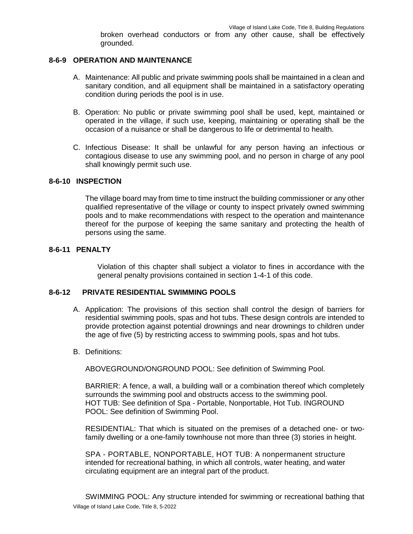broken overhead conductors or from any other cause, shall be effectively grounded.

## **8-6-9 OPERATION AND MAINTENANCE**

- A. Maintenance: All public and private swimming pools shall be maintained in a clean and sanitary condition, and all equipment shall be maintained in a satisfactory operating condition during periods the pool is in use.
- B. Operation: No public or private swimming pool shall be used, kept, maintained or operated in the village, if such use, keeping, maintaining or operating shall be the occasion of a nuisance or shall be dangerous to life or detrimental to health.
- C. Infectious Disease: It shall be unlawful for any person having an infectious or contagious disease to use any swimming pool, and no person in charge of any pool shall knowingly permit such use.

#### **8-6-10 INSPECTION**

The village board may from time to time instruct the building commissioner or any other qualified representative of the village or county to inspect privately owned swimming pools and to make recommendations with respect to the operation and maintenance thereof for the purpose of keeping the same sanitary and protecting the health of persons using the same.

## **8-6-11 PENALTY**

Violation of this chapter shall subject a violator to fines in accordance with the general penalty provisions contained in section 1-4-1 of this code.

## **8-6-12 PRIVATE RESIDENTIAL SWIMMING POOLS**

- A. Application: The provisions of this section shall control the design of barriers for residential swimming pools, spas and hot tubs. These design controls are intended to provide protection against potential drownings and near drownings to children under the age of five (5) by restricting access to swimming pools, spas and hot tubs.
- B. Definitions:

ABOVEGROUND/ONGROUND POOL: See definition of Swimming Pool.

BARRIER: A fence, a wall, a building wall or a combination thereof which completely surrounds the swimming pool and obstructs access to the swimming pool. HOT TUB: See definition of Spa - Portable, Nonportable, Hot Tub. INGROUND POOL: See definition of Swimming Pool.

RESIDENTIAL: That which is situated on the premises of a detached one- or twofamily dwelling or a one-family townhouse not more than three (3) stories in height.

SPA - PORTABLE, NONPORTABLE, HOT TUB: A nonpermanent structure intended for recreational bathing, in which all controls, water heating, and water circulating equipment are an integral part of the product.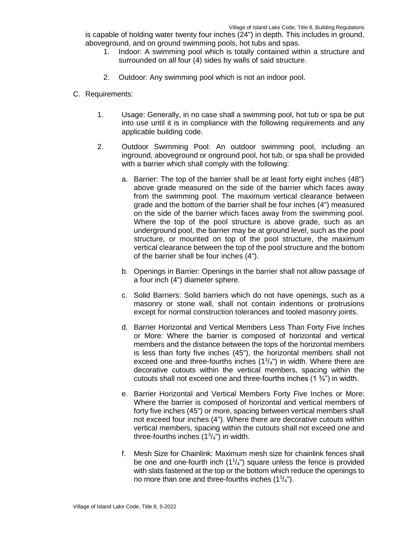is capable of holding water twenty four inches (24") in depth. This includes in ground, aboveground, and on ground swimming pools, hot tubs and spas.

- 1. Indoor: A swimming pool which is totally contained within a structure and surrounded on all four (4) sides by walls of said structure.
- 2. Outdoor: Any swimming pool which is not an indoor pool.
- C. Requirements:
	- 1. Usage: Generally, in no case shall a swimming pool, hot tub or spa be put into use until it is in compliance with the following requirements and any applicable building code.
	- 2. Outdoor Swimming Pool: An outdoor swimming pool, including an inground, aboveground or onground pool, hot tub, or spa shall be provided with a barrier which shall comply with the following:
		- a. Barrier: The top of the barrier shall be at least forty eight inches (48") above grade measured on the side of the barrier which faces away from the swimming pool. The maximum vertical clearance between grade and the bottom of the barrier shall be four inches (4") measured on the side of the barrier which faces away from the swimming pool. Where the top of the pool structure is above grade, such as an underground pool, the barrier may be at ground level, such as the pool structure, or mounted on top of the pool structure, the maximum vertical clearance between the top of the pool structure and the bottom of the barrier shall be four inches (4").
		- b. Openings in Barrier: Openings in the barrier shall not allow passage of a four inch (4") diameter sphere.
		- c. Solid Barriers: Solid barriers which do not have openings, such as a masonry or stone wall, shall not contain indentions or protrusions except for normal construction tolerances and tooled masonry joints.
		- d. Barrier Horizontal and Vertical Members Less Than Forty Five Inches or More: Where the barrier is composed of horizontal and vertical members and the distance between the tops of the horizontal members is less than forty five inches (45"), the horizontal members shall not exceed one and three-fourths inches  $(1^3/4^n)$  in width. Where there are decorative cutouts within the vertical members, spacing within the cutouts shall not exceed one and three-fourths inches  $(1 \frac{3}{4})$  in width.
		- e. Barrier Horizontal and Vertical Members Forty Five Inches or More: Where the barrier is composed of horizontal and vertical members of forty five inches (45") or more, spacing between vertical members shall not exceed four inches (4"). Where there are decorative cutouts within vertical members, spacing within the cutouts shall not exceed one and three-fourths inches  $(1<sup>3</sup>/<sub>4</sub>")$  in width.
		- f. Mesh Size for Chainlink: Maximum mesh size for chainlink fences shall be one and one-fourth inch  $(1<sup>1</sup>/<sub>4</sub>)$  square unless the fence is provided with slats fastened at the top or the bottom which reduce the openings to no more than one and three-fourths inches  $(1^3/4")$ .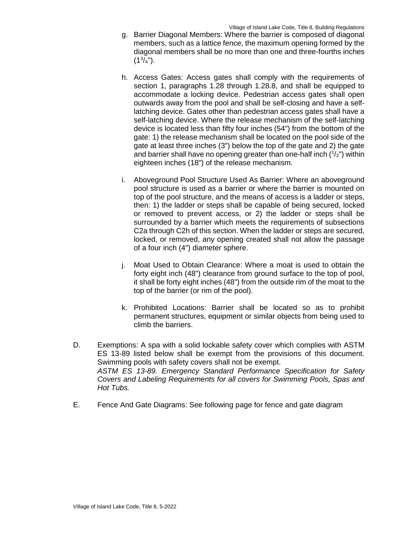- g. Barrier Diagonal Members: Where the barrier is composed of diagonal members, such as a lattice fence, the maximum opening formed by the diagonal members shall be no more than one and three-fourths inches  $(1^3/4")$ .
- h. Access Gates: Access gates shall comply with the requirements of section 1, paragraphs 1.28 through 1.28.8, and shall be equipped to accommodate a locking device. Pedestrian access gates shall open outwards away from the pool and shall be self-closing and have a selflatching device. Gates other than pedestrian access gates shall have a self-latching device. Where the release mechanism of the self-latching device is located less than fifty four inches (54") from the bottom of the gate: 1) the release mechanism shall be located on the pool side of the gate at least three inches (3") below the top of the gate and 2) the gate and barrier shall have no opening greater than one-half inch  $(1/z)$  within eighteen inches (18") of the release mechanism.
- i. Aboveground Pool Structure Used As Barrier: Where an aboveground pool structure is used as a barrier or where the barrier is mounted on top of the pool structure, and the means of access is a ladder or steps, then: 1) the ladder or steps shall be capable of being secured, locked or removed to prevent access, or 2) the ladder or steps shall be surrounded by a barrier which meets the requirements of subsections C2a through C2h of this section. When the ladder or steps are secured, locked, or removed, any opening created shall not allow the passage of a four inch (4") diameter sphere.
- j. Moat Used to Obtain Clearance: Where a moat is used to obtain the forty eight inch (48") clearance from ground surface to the top of pool, it shall be forty eight inches (48") from the outside rim of the moat to the top of the barrier (or rim of the pool).
- k. Prohibited Locations: Barrier shall be located so as to prohibit permanent structures, equipment or similar objects from being used to climb the barriers.
- D. Exemptions: A spa with a solid lockable safety cover which complies with ASTM ES 13-89 listed below shall be exempt from the provisions of this document. Swimming pools with safety covers shall not be exempt. *ASTM ES 13-89. Emergency Standard Performance Specification for Safety Covers and Labeling Requirements for all covers for Swimming Pools, Spas and Hot Tubs.*
- E. Fence And Gate Diagrams: See following page for fence and gate diagram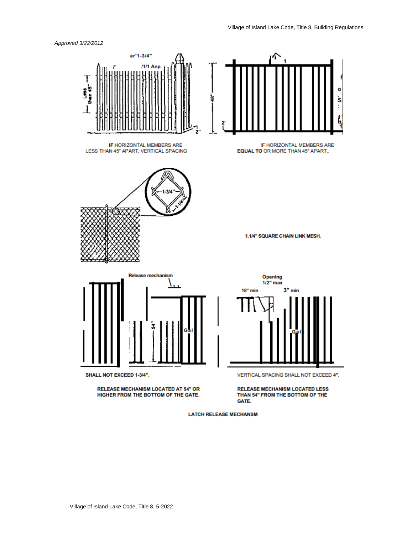



**LATCH RELEASE MECHANSM**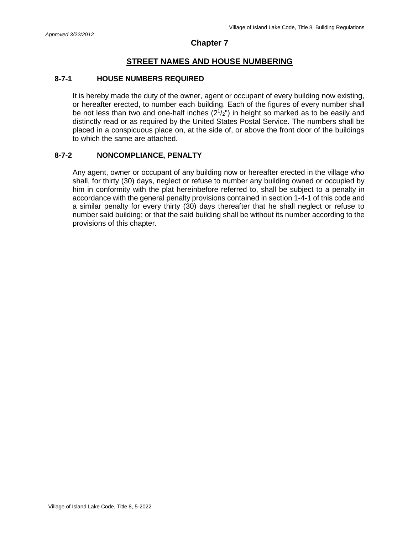# **STREET NAMES AND HOUSE NUMBERING**

## **8-7-1 HOUSE NUMBERS REQUIRED**

It is hereby made the duty of the owner, agent or occupant of every building now existing, or hereafter erected, to number each building. Each of the figures of every number shall be not less than two and one-half inches  $(2^{1}/2^{n})$  in height so marked as to be easily and distinctly read or as required by the United States Postal Service. The numbers shall be placed in a conspicuous place on, at the side of, or above the front door of the buildings to which the same are attached.

## **8-7-2 NONCOMPLIANCE, PENALTY**

Any agent, owner or occupant of any building now or hereafter erected in the village who shall, for thirty (30) days, neglect or refuse to number any building owned or occupied by him in conformity with the plat hereinbefore referred to, shall be subject to a penalty in accordance with the general penalty provisions contained in section 1-4-1 of this code and a similar penalty for every thirty (30) days thereafter that he shall neglect or refuse to number said building; or that the said building shall be without its number according to the provisions of this chapter.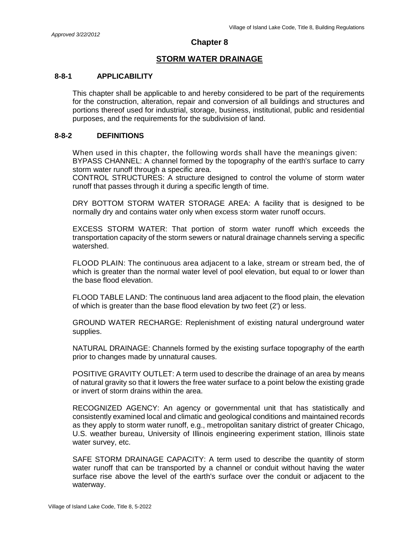# **STORM WATER DRAINAGE**

## **8-8-1 APPLICABILITY**

This chapter shall be applicable to and hereby considered to be part of the requirements for the construction, alteration, repair and conversion of all buildings and structures and portions thereof used for industrial, storage, business, institutional, public and residential purposes, and the requirements for the subdivision of land.

#### **8-8-2 DEFINITIONS**

When used in this chapter, the following words shall have the meanings given: BYPASS CHANNEL: A channel formed by the topography of the earth's surface to carry storm water runoff through a specific area.

CONTROL STRUCTURES: A structure designed to control the volume of storm water runoff that passes through it during a specific length of time.

DRY BOTTOM STORM WATER STORAGE AREA: A facility that is designed to be normally dry and contains water only when excess storm water runoff occurs.

EXCESS STORM WATER: That portion of storm water runoff which exceeds the transportation capacity of the storm sewers or natural drainage channels serving a specific watershed.

FLOOD PLAIN: The continuous area adjacent to a lake, stream or stream bed, the of which is greater than the normal water level of pool elevation, but equal to or lower than the base flood elevation.

FLOOD TABLE LAND: The continuous land area adjacent to the flood plain, the elevation of which is greater than the base flood elevation by two feet (2') or less.

GROUND WATER RECHARGE: Replenishment of existing natural underground water supplies.

NATURAL DRAINAGE: Channels formed by the existing surface topography of the earth prior to changes made by unnatural causes.

POSITIVE GRAVITY OUTLET: A term used to describe the drainage of an area by means of natural gravity so that it lowers the free water surface to a point below the existing grade or invert of storm drains within the area.

RECOGNIZED AGENCY: An agency or governmental unit that has statistically and consistently examined local and climatic and geological conditions and maintained records as they apply to storm water runoff, e.g., metropolitan sanitary district of greater Chicago, U.S. weather bureau, University of Illinois engineering experiment station, Illinois state water survey, etc.

SAFE STORM DRAINAGE CAPACITY: A term used to describe the quantity of storm water runoff that can be transported by a channel or conduit without having the water surface rise above the level of the earth's surface over the conduit or adjacent to the waterway.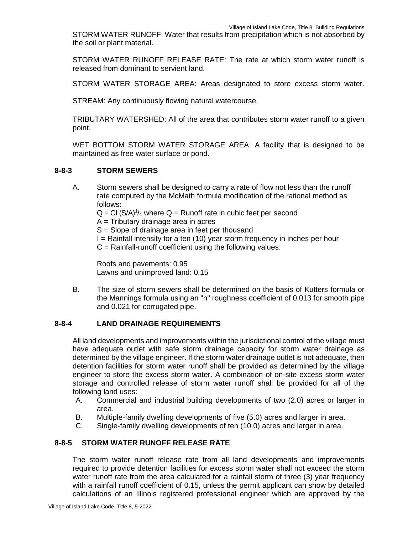STORM WATER RUNOFF: Water that results from precipitation which is not absorbed by the soil or plant material.

STORM WATER RUNOFF RELEASE RATE: The rate at which storm water runoff is released from dominant to servient land.

STORM WATER STORAGE AREA: Areas designated to store excess storm water.

STREAM: Any continuously flowing natural watercourse.

TRIBUTARY WATERSHED: All of the area that contributes storm water runoff to a given point.

WET BOTTOM STORM WATER STORAGE AREA: A facility that is designed to be maintained as free water surface or pond.

#### **8-8-3 STORM SEWERS**

A. Storm sewers shall be designed to carry a rate of flow not less than the runoff rate computed by the McMath formula modification of the rational method as follows:  $Q = Cl (S/A)^{1/4}$  where  $Q =$  Runoff rate in cubic feet per second  $A =$ Tributary drainage area in acres S = Slope of drainage area in feet per thousand  $I =$  Rainfall intensity for a ten (10) year storm frequency in inches per hour  $C =$  Rainfall-runoff coefficient using the following values:

Roofs and pavements: 0.95 Lawns and unimproved land: 0.15

B. The size of storm sewers shall be determined on the basis of Kutters formula or the Mannings formula using an "n" roughness coefficient of 0.013 for smooth pipe and 0.021 for corrugated pipe.

## **8-8-4 LAND DRAINAGE REQUIREMENTS**

All land developments and improvements within the jurisdictional control of the village must have adequate outlet with safe storm drainage capacity for storm water drainage as determined by the village engineer. If the storm water drainage outlet is not adequate, then detention facilities for storm water runoff shall be provided as determined by the village engineer to store the excess storm water. A combination of on-site excess storm water storage and controlled release of storm water runoff shall be provided for all of the following land uses:

- A. Commercial and industrial building developments of two (2.0) acres or larger in area.
- B. Multiple-family dwelling developments of five (5.0) acres and larger in area.
- C. Single-family dwelling developments of ten (10.0) acres and larger in area.

# **8-8-5 STORM WATER RUNOFF RELEASE RATE**

The storm water runoff release rate from all land developments and improvements required to provide detention facilities for excess storm water shall not exceed the storm water runoff rate from the area calculated for a rainfall storm of three (3) year frequency with a rainfall runoff coefficient of 0.15, unless the permit applicant can show by detailed calculations of an Illinois registered professional engineer which are approved by the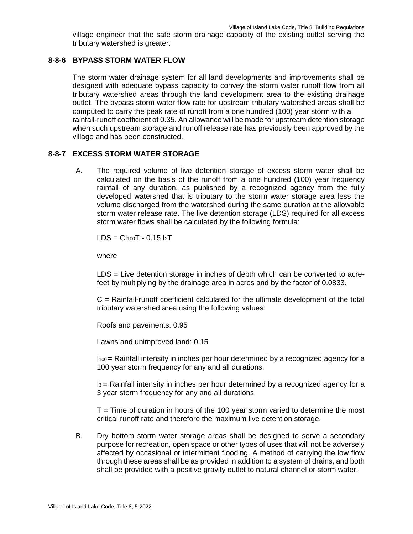village engineer that the safe storm drainage capacity of the existing outlet serving the tributary watershed is greater.

# **8-8-6 BYPASS STORM WATER FLOW**

The storm water drainage system for all land developments and improvements shall be designed with adequate bypass capacity to convey the storm water runoff flow from all tributary watershed areas through the land development area to the existing drainage outlet. The bypass storm water flow rate for upstream tributary watershed areas shall be computed to carry the peak rate of runoff from a one hundred (100) year storm with a rainfall-runoff coefficient of 0.35. An allowance will be made for upstream detention storage when such upstream storage and runoff release rate has previously been approved by the village and has been constructed.

# **8-8-7 EXCESS STORM WATER STORAGE**

A. The required volume of live detention storage of excess storm water shall be calculated on the basis of the runoff from a one hundred (100) year frequency rainfall of any duration, as published by a recognized agency from the fully developed watershed that is tributary to the storm water storage area less the volume discharged from the watershed during the same duration at the allowable storm water release rate. The live detention storage (LDS) required for all excess storm water flows shall be calculated by the following formula:

 $LDS = Cl<sub>100</sub>T - 0.15$  I<sub>3</sub>T

where

LDS = Live detention storage in inches of depth which can be converted to acrefeet by multiplying by the drainage area in acres and by the factor of 0.0833.

C = Rainfall-runoff coefficient calculated for the ultimate development of the total tributary watershed area using the following values:

Roofs and pavements: 0.95

Lawns and unimproved land: 0.15

I100 = Rainfall intensity in inches per hour determined by a recognized agency for a 100 year storm frequency for any and all durations.

I3 = Rainfall intensity in inches per hour determined by a recognized agency for a 3 year storm frequency for any and all durations.

 $T =$  Time of duration in hours of the 100 year storm varied to determine the most critical runoff rate and therefore the maximum live detention storage.

B. Dry bottom storm water storage areas shall be designed to serve a secondary purpose for recreation, open space or other types of uses that will not be adversely affected by occasional or intermittent flooding. A method of carrying the low flow through these areas shall be as provided in addition to a system of drains, and both shall be provided with a positive gravity outlet to natural channel or storm water.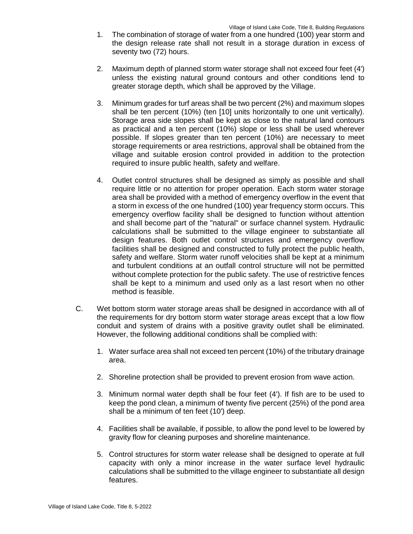- 1. The combination of storage of water from a one hundred (100) year storm and the design release rate shall not result in a storage duration in excess of seventy two (72) hours.
- 2. Maximum depth of planned storm water storage shall not exceed four feet (4') unless the existing natural ground contours and other conditions lend to greater storage depth, which shall be approved by the Village.
- 3. Minimum grades for turf areas shall be two percent (2%) and maximum slopes shall be ten percent (10%) (ten [10] units horizontally to one unit vertically). Storage area side slopes shall be kept as close to the natural land contours as practical and a ten percent (10%) slope or less shall be used wherever possible. If slopes greater than ten percent (10%) are necessary to meet storage requirements or area restrictions, approval shall be obtained from the village and suitable erosion control provided in addition to the protection required to insure public health, safety and welfare.
- 4. Outlet control structures shall be designed as simply as possible and shall require little or no attention for proper operation. Each storm water storage area shall be provided with a method of emergency overflow in the event that a storm in excess of the one hundred (100) year frequency storm occurs. This emergency overflow facility shall be designed to function without attention and shall become part of the "natural" or surface channel system. Hydraulic calculations shall be submitted to the village engineer to substantiate all design features. Both outlet control structures and emergency overflow facilities shall be designed and constructed to fully protect the public health, safety and welfare. Storm water runoff velocities shall be kept at a minimum and turbulent conditions at an outfall control structure will not be permitted without complete protection for the public safety. The use of restrictive fences shall be kept to a minimum and used only as a last resort when no other method is feasible.
- C. Wet bottom storm water storage areas shall be designed in accordance with all of the requirements for dry bottom storm water storage areas except that a low flow conduit and system of drains with a positive gravity outlet shall be eliminated. However, the following additional conditions shall be complied with:
	- 1. Water surface area shall not exceed ten percent (10%) of the tributary drainage area.
	- 2. Shoreline protection shall be provided to prevent erosion from wave action.
	- 3. Minimum normal water depth shall be four feet (4'). If fish are to be used to keep the pond clean, a minimum of twenty five percent (25%) of the pond area shall be a minimum of ten feet (10') deep.
	- 4. Facilities shall be available, if possible, to allow the pond level to be lowered by gravity flow for cleaning purposes and shoreline maintenance.
	- 5. Control structures for storm water release shall be designed to operate at full capacity with only a minor increase in the water surface level hydraulic calculations shall be submitted to the village engineer to substantiate all design features.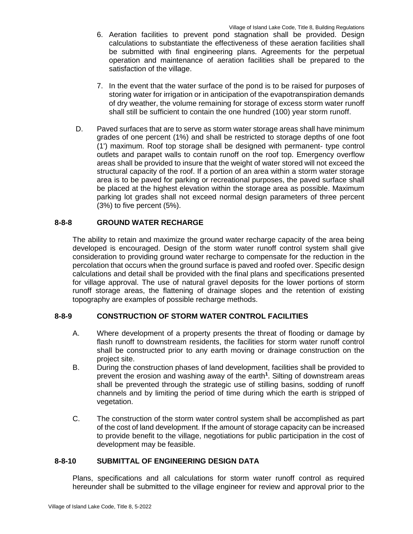- 6. Aeration facilities to prevent pond stagnation shall be provided. Design calculations to substantiate the effectiveness of these aeration facilities shall be submitted with final engineering plans. Agreements for the perpetual operation and maintenance of aeration facilities shall be prepared to the satisfaction of the village.
- 7. In the event that the water surface of the pond is to be raised for purposes of storing water for irrigation or in anticipation of the evapotranspiration demands of dry weather, the volume remaining for storage of excess storm water runoff shall still be sufficient to contain the one hundred (100) year storm runoff.
- D. Paved surfaces that are to serve as storm water storage areas shall have minimum grades of one percent (1%) and shall be restricted to storage depths of one foot (1') maximum. Roof top storage shall be designed with permanent- type control outlets and parapet walls to contain runoff on the roof top. Emergency overflow areas shall be provided to insure that the weight of water stored will not exceed the structural capacity of the roof. If a portion of an area within a storm water storage area is to be paved for parking or recreational purposes, the paved surface shall be placed at the highest elevation within the storage area as possible. Maximum parking lot grades shall not exceed normal design parameters of three percent (3%) to five percent (5%).

# **8-8-8 GROUND WATER RECHARGE**

The ability to retain and maximize the ground water recharge capacity of the area being developed is encouraged. Design of the storm water runoff control system shall give consideration to providing ground water recharge to compensate for the reduction in the percolation that occurs when the ground surface is paved and roofed over. Specific design calculations and detail shall be provided with the final plans and specifications presented for village approval. The use of natural gravel deposits for the lower portions of storm runoff storage areas, the flattening of drainage slopes and the retention of existing topography are examples of possible recharge methods.

# **8-8-9 CONSTRUCTION OF STORM WATER CONTROL FACILITIES**

- A. Where development of a property presents the threat of flooding or damage by flash runoff to downstream residents, the facilities for storm water runoff control shall be constructed prior to any earth moving or drainage construction on the project site.
- B. During the construction phases of land development, facilities shall be provided to prevent the erosion and washing away of the earth**<sup>1</sup>** . Silting of downstream areas shall be prevented through the strategic use of stilling basins, sodding of runoff channels and by limiting the period of time during which the earth is stripped of vegetation.
- C. The construction of the storm water control system shall be accomplished as part of the cost of land development. If the amount of storage capacity can be increased to provide benefit to the village, negotiations for public participation in the cost of development may be feasible.

## **8-8-10 SUBMITTAL OF ENGINEERING DESIGN DATA**

Plans, specifications and all calculations for storm water runoff control as required hereunder shall be submitted to the village engineer for review and approval prior to the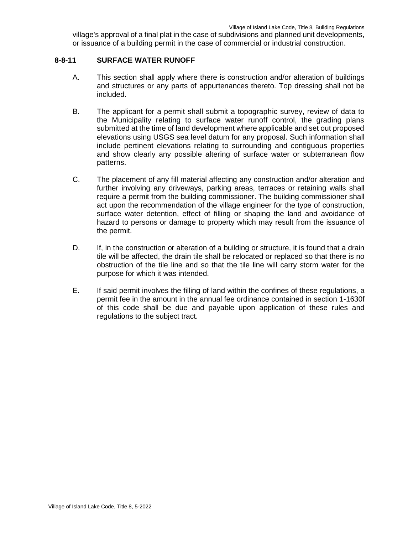village's approval of a final plat in the case of subdivisions and planned unit developments, or issuance of a building permit in the case of commercial or industrial construction.

## **8-8-11 SURFACE WATER RUNOFF**

- A. This section shall apply where there is construction and/or alteration of buildings and structures or any parts of appurtenances thereto. Top dressing shall not be included.
- B. The applicant for a permit shall submit a topographic survey, review of data to the Municipality relating to surface water runoff control, the grading plans submitted at the time of land development where applicable and set out proposed elevations using USGS sea level datum for any proposal. Such information shall include pertinent elevations relating to surrounding and contiguous properties and show clearly any possible altering of surface water or subterranean flow patterns.
- C. The placement of any fill material affecting any construction and/or alteration and further involving any driveways, parking areas, terraces or retaining walls shall require a permit from the building commissioner. The building commissioner shall act upon the recommendation of the village engineer for the type of construction, surface water detention, effect of filling or shaping the land and avoidance of hazard to persons or damage to property which may result from the issuance of the permit.
- D. If, in the construction or alteration of a building or structure, it is found that a drain tile will be affected, the drain tile shall be relocated or replaced so that there is no obstruction of the tile line and so that the tile line will carry storm water for the purpose for which it was intended.
- E. If said permit involves the filling of land within the confines of these regulations, a permit fee in the amount in the annual fee ordinance contained in section 1-1630f of this code shall be due and payable upon application of these rules and regulations to the subject tract.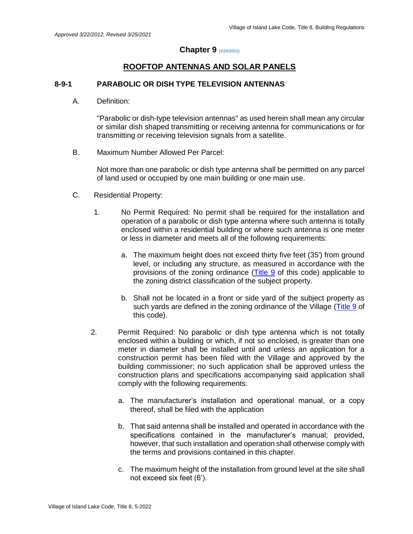# **Chapter 9 (3/25/2021)**

# **ROOFTOP ANTENNAS AND SOLAR PANELS**

## **8-9-1 PARABOLIC OR DISH TYPE TELEVISION ANTENNAS**

A. Definition:

"Parabolic or dish-type television antennas" as used herein shall mean any circular or similar dish shaped transmitting or receiving antenna for communications or for transmitting or receiving television signals from a satellite.

B. Maximum Number Allowed Per Parcel:

Not more than one parabolic or dish type antenna shall be permitted on any parcel of land used or occupied by one main building or one main use.

- C. Residential Property:
	- 1. No Permit Required: No permit shall be required for the installation and operation of a parabolic or dish type antenna where such antenna is totally enclosed within a residential building or where such antenna is one meter or less in diameter and meets all of the following requirements:
		- a. The maximum height does not exceed thirty five feet (35') from ground level, or including any structure, as measured in accordance with the provisions of the zoning ordinance (Title 9 of this code) applicable to the zoning district classification of the subject property.
		- b. Shall not be located in a front or side yard of the subject property as such yards are defined in the zoning ordinance of the Village (Title 9 of this code).
	- 2. Permit Required: No parabolic or dish type antenna which is not totally enclosed within a building or which, if not so enclosed, is greater than one meter in diameter shall be installed until and unless an application for a construction permit has been filed with the Village and approved by the building commissioner; no such application shall be approved unless the construction plans and specifications accompanying said application shall comply with the following requirements:
		- a. The manufacturer's installation and operational manual, or a copy thereof, shall be filed with the application
		- b. That said antenna shall be installed and operated in accordance with the specifications contained in the manufacturer's manual; provided, however, that such installation and operation shall otherwise comply with the terms and provisions contained in this chapter.
		- c. The maximum height of the installation from ground level at the site shall not exceed six feet (6').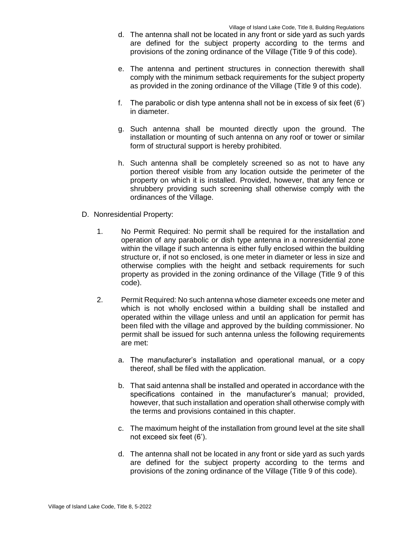- d. The antenna shall not be located in any front or side yard as such yards are defined for the subject property according to the terms and provisions of the zoning ordinance of the Village (Title 9 of this code).
- e. The antenna and pertinent structures in connection therewith shall comply with the minimum setback requirements for the subject property as provided in the zoning ordinance of the Village (Title 9 of this code).
- f. The parabolic or dish type antenna shall not be in excess of six feet (6') in diameter.
- g. Such antenna shall be mounted directly upon the ground. The installation or mounting of such antenna on any roof or tower or similar form of structural support is hereby prohibited.
- h. Such antenna shall be completely screened so as not to have any portion thereof visible from any location outside the perimeter of the property on which it is installed. Provided, however, that any fence or shrubbery providing such screening shall otherwise comply with the ordinances of the Village.
- D. Nonresidential Property:
	- 1. No Permit Required: No permit shall be required for the installation and operation of any parabolic or dish type antenna in a nonresidential zone within the village if such antenna is either fully enclosed within the building structure or, if not so enclosed, is one meter in diameter or less in size and otherwise complies with the height and setback requirements for such property as provided in the zoning ordinance of the Village (Title 9 of this code).
	- 2. Permit Required: No such antenna whose diameter exceeds one meter and which is not wholly enclosed within a building shall be installed and operated within the village unless and until an application for permit has been filed with the village and approved by the building commissioner. No permit shall be issued for such antenna unless the following requirements are met:
		- a. The manufacturer's installation and operational manual, or a copy thereof, shall be filed with the application.
		- b. That said antenna shall be installed and operated in accordance with the specifications contained in the manufacturer's manual; provided, however, that such installation and operation shall otherwise comply with the terms and provisions contained in this chapter.
		- c. The maximum height of the installation from ground level at the site shall not exceed six feet (6').
		- d. The antenna shall not be located in any front or side yard as such yards are defined for the subject property according to the terms and provisions of the zoning ordinance of the Village (Title 9 of this code).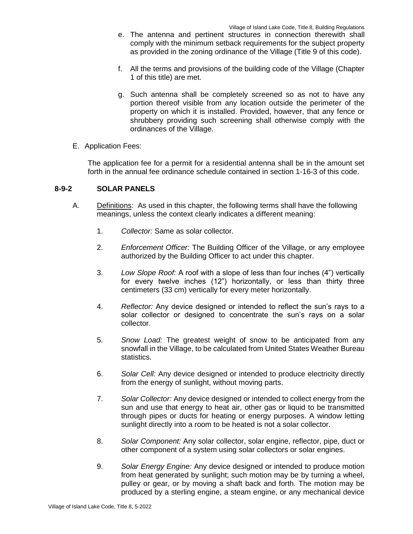- e. The antenna and pertinent structures in connection therewith shall comply with the minimum setback requirements for the subject property as provided in the zoning ordinance of the Village (Title 9 of this code).
- f. All the terms and provisions of the building code of the Village (Chapter 1 of this title) are met.
- g. Such antenna shall be completely screened so as not to have any portion thereof visible from any location outside the perimeter of the property on which it is installed. Provided, however, that any fence or shrubbery providing such screening shall otherwise comply with the ordinances of the Village.
- E. Application Fees:

The application fee for a permit for a residential antenna shall be in the amount set forth in the annual fee ordinance schedule contained in section 1-16-3 of this code.

## **8-9-2 SOLAR PANELS**

- A. Definitions: As used in this chapter, the following terms shall have the following meanings, unless the context clearly indicates a different meaning:
	- 1. *Collector:* Same as solar collector.
	- 2. *Enforcement Officer:* The Building Officer of the Village, or any employee authorized by the Building Officer to act under this chapter.
	- 3. *Low Slope Roof:* A roof with a slope of less than four inches (4") vertically for every twelve inches (12") horizontally, or less than thirty three centimeters (33 cm) vertically for every meter horizontally.
	- 4. *Reflector:* Any device designed or intended to reflect the sun's rays to a solar collector or designed to concentrate the sun's rays on a solar collector.
	- 5. *Snow Load:* The greatest weight of snow to be anticipated from any snowfall in the Village, to be calculated from United States Weather Bureau statistics.
	- 6. *Solar Cell:* Any device designed or intended to produce electricity directly from the energy of sunlight, without moving parts.
	- 7. *Solar Collector:* Any device designed or intended to collect energy from the sun and use that energy to heat air, other gas or liquid to be transmitted through pipes or ducts for heating or energy purposes. A window letting sunlight directly into a room to be heated is not a solar collector.
	- 8. *Solar Component:* Any solar collector, solar engine, reflector, pipe, duct or other component of a system using solar collectors or solar engines.
	- 9. *Solar Energy Engine:* Any device designed or intended to produce motion from heat generated by sunlight; such motion may be by turning a wheel, pulley or gear, or by moving a shaft back and forth. The motion may be produced by a sterling engine, a steam engine, or any mechanical device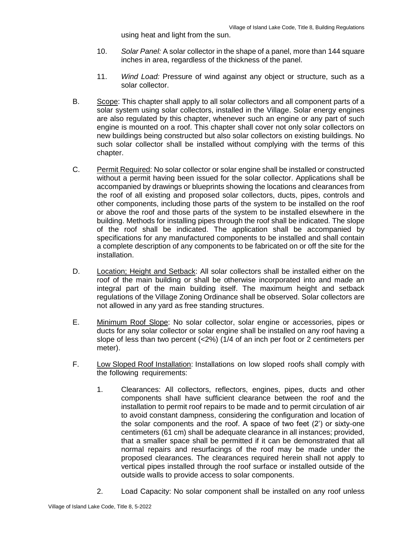using heat and light from the sun.

- 10. *Solar Panel:* A solar collector in the shape of a panel, more than 144 square inches in area, regardless of the thickness of the panel.
- 11. *Wind Load:* Pressure of wind against any object or structure, such as a solar collector.
- B. Scope: This chapter shall apply to all solar collectors and all component parts of a solar system using solar collectors, installed in the Village. Solar energy engines are also regulated by this chapter, whenever such an engine or any part of such engine is mounted on a roof. This chapter shall cover not only solar collectors on new buildings being constructed but also solar collectors on existing buildings. No such solar collector shall be installed without complying with the terms of this chapter.
- C. Permit Required: No solar collector or solar engine shall be installed or constructed without a permit having been issued for the solar collector. Applications shall be accompanied by drawings or blueprints showing the locations and clearances from the roof of all existing and proposed solar collectors, ducts, pipes, controls and other components, including those parts of the system to be installed on the roof or above the roof and those parts of the system to be installed elsewhere in the building. Methods for installing pipes through the roof shall be indicated. The slope of the roof shall be indicated. The application shall be accompanied by specifications for any manufactured components to be installed and shall contain a complete description of any components to be fabricated on or off the site for the installation.
- D. Location; Height and Setback: All solar collectors shall be installed either on the roof of the main building or shall be otherwise incorporated into and made an integral part of the main building itself. The maximum height and setback regulations of the Village Zoning Ordinance shall be observed. Solar collectors are not allowed in any yard as free standing structures.
- E. Minimum Roof Slope: No solar collector, solar engine or accessories, pipes or ducts for any solar collector or solar engine shall be installed on any roof having a slope of less than two percent (<2%) (1/4 of an inch per foot or 2 centimeters per meter).
- F. Low Sloped Roof Installation: Installations on low sloped roofs shall comply with the following requirements:
	- 1. Clearances: All collectors, reflectors, engines, pipes, ducts and other components shall have sufficient clearance between the roof and the installation to permit roof repairs to be made and to permit circulation of air to avoid constant dampness, considering the configuration and location of the solar components and the roof. A space of two feet (2') or sixty-one centimeters (61 cm) shall be adequate clearance in all instances; provided, that a smaller space shall be permitted if it can be demonstrated that all normal repairs and resurfacings of the roof may be made under the proposed clearances. The clearances required herein shall not apply to vertical pipes installed through the roof surface or installed outside of the outside walls to provide access to solar components.
	- 2. Load Capacity: No solar component shall be installed on any roof unless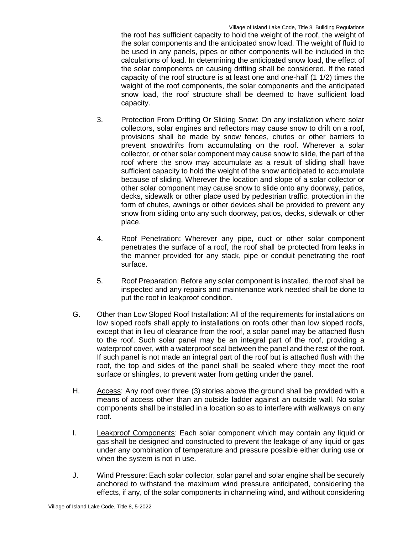the roof has sufficient capacity to hold the weight of the roof, the weight of the solar components and the anticipated snow load. The weight of fluid to be used in any panels, pipes or other components will be included in the calculations of load. In determining the anticipated snow load, the effect of the solar components on causing drifting shall be considered. If the rated capacity of the roof structure is at least one and one-half (1 1/2) times the weight of the roof components, the solar components and the anticipated snow load, the roof structure shall be deemed to have sufficient load capacity.

- 3. Protection From Drifting Or Sliding Snow: On any installation where solar collectors, solar engines and reflectors may cause snow to drift on a roof, provisions shall be made by snow fences, chutes or other barriers to prevent snowdrifts from accumulating on the roof. Wherever a solar collector, or other solar component may cause snow to slide, the part of the roof where the snow may accumulate as a result of sliding shall have sufficient capacity to hold the weight of the snow anticipated to accumulate because of sliding. Wherever the location and slope of a solar collector or other solar component may cause snow to slide onto any doorway, patios, decks, sidewalk or other place used by pedestrian traffic, protection in the form of chutes, awnings or other devices shall be provided to prevent any snow from sliding onto any such doorway, patios, decks, sidewalk or other place.
- 4. Roof Penetration: Wherever any pipe, duct or other solar component penetrates the surface of a roof, the roof shall be protected from leaks in the manner provided for any stack, pipe or conduit penetrating the roof surface.
- 5. Roof Preparation: Before any solar component is installed, the roof shall be inspected and any repairs and maintenance work needed shall be done to put the roof in leakproof condition.
- G. Other than Low Sloped Roof Installation: All of the requirements for installations on low sloped roofs shall apply to installations on roofs other than low sloped roofs, except that in lieu of clearance from the roof, a solar panel may be attached flush to the roof. Such solar panel may be an integral part of the roof, providing a waterproof cover, with a waterproof seal between the panel and the rest of the roof. If such panel is not made an integral part of the roof but is attached flush with the roof, the top and sides of the panel shall be sealed where they meet the roof surface or shingles, to prevent water from getting under the panel.
- H. Access: Any roof over three (3) stories above the ground shall be provided with a means of access other than an outside ladder against an outside wall. No solar components shall be installed in a location so as to interfere with walkways on any roof.
- I. Leakproof Components: Each solar component which may contain any liquid or gas shall be designed and constructed to prevent the leakage of any liquid or gas under any combination of temperature and pressure possible either during use or when the system is not in use.
- J. Wind Pressure: Each solar collector, solar panel and solar engine shall be securely anchored to withstand the maximum wind pressure anticipated, considering the effects, if any, of the solar components in channeling wind, and without considering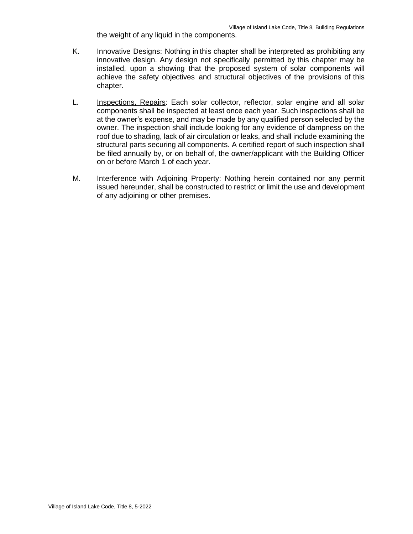the weight of any liquid in the components.

- K. Innovative Designs: Nothing in this chapter shall be interpreted as prohibiting any innovative design. Any design not specifically permitted by this chapter may be installed, upon a showing that the proposed system of solar components will achieve the safety objectives and structural objectives of the provisions of this chapter.
- L. Inspections, Repairs: Each solar collector, reflector, solar engine and all solar components shall be inspected at least once each year. Such inspections shall be at the owner's expense, and may be made by any qualified person selected by the owner. The inspection shall include looking for any evidence of dampness on the roof due to shading, lack of air circulation or leaks, and shall include examining the structural parts securing all components. A certified report of such inspection shall be filed annually by, or on behalf of, the owner/applicant with the Building Officer on or before March 1 of each year.
- M. Interference with Adjoining Property: Nothing herein contained nor any permit issued hereunder, shall be constructed to restrict or limit the use and development of any adjoining or other premises.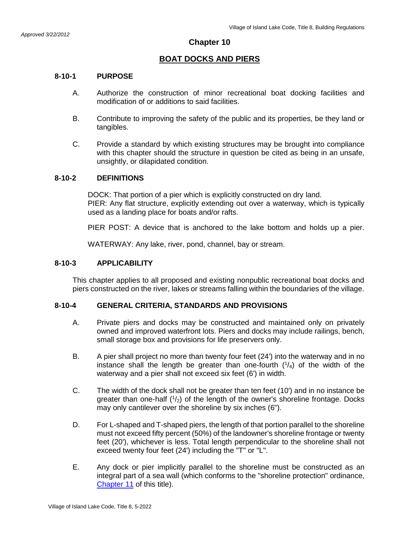# **BOAT DOCKS AND PIERS**

## **8-10-1 PURPOSE**

- A. Authorize the construction of minor recreational boat docking facilities and modification of or additions to said facilities.
- B. Contribute to improving the safety of the public and its properties, be they land or tangibles.
- C. Provide a standard by which existing structures may be brought into compliance with this chapter should the structure in question be cited as being in an unsafe, unsightly, or dilapidated condition.

## **8-10-2 DEFINITIONS**

DOCK: That portion of a pier which is explicitly constructed on dry land. PIER: Any flat structure, explicitly extending out over a waterway, which is typically used as a landing place for boats and/or rafts.

PIER POST: A device that is anchored to the lake bottom and holds up a pier.

WATERWAY: Any lake, river, pond, channel, bay or stream.

## **8-10-3 APPLICABILITY**

This chapter applies to all proposed and existing nonpublic recreational boat docks and piers constructed on the river, lakes or streams falling within the boundaries of the village.

## **8-10-4 GENERAL CRITERIA, STANDARDS AND PROVISIONS**

- A. Private piers and docks may be constructed and maintained only on privately owned and improved waterfront lots. Piers and docks may include railings, bench, small storage box and provisions for life preservers only.
- B. A pier shall project no more than twenty four feet (24') into the waterway and in no instance shall the length be greater than one-fourth  $(1/4)$  of the width of the waterway and a pier shall not exceed six feet (6') in width.
- C. The width of the dock shall not be greater than ten feet (10') and in no instance be greater than one-half  $(1/2)$  of the length of the owner's shoreline frontage. Docks may only cantilever over the shoreline by six inches (6").
- D. For L-shaped and T-shaped piers, the length of that portion parallel to the shoreline must not exceed fifty percent (50%) of the landowner's shoreline frontage or twenty feet (20'), whichever is less. Total length perpendicular to the shoreline shall not exceed twenty four feet (24') including the "T" or "L".
- E. Any dock or pier implicitly parallel to the shoreline must be constructed as an integral part of a sea wall (which conforms to the "shoreline protection" ordinance, Chapter 11 of this title).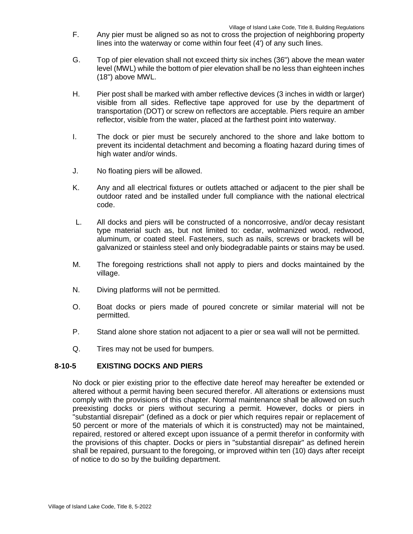- F. Any pier must be aligned so as not to cross the projection of neighboring property lines into the waterway or come within four feet (4') of any such lines.
- G. Top of pier elevation shall not exceed thirty six inches (36") above the mean water level (MWL) while the bottom of pier elevation shall be no less than eighteen inches (18") above MWL.
- H. Pier post shall be marked with amber reflective devices (3 inches in width or larger) visible from all sides. Reflective tape approved for use by the department of transportation (DOT) or screw on reflectors are acceptable. Piers require an amber reflector, visible from the water, placed at the farthest point into waterway.
- I. The dock or pier must be securely anchored to the shore and lake bottom to prevent its incidental detachment and becoming a floating hazard during times of high water and/or winds.
- J. No floating piers will be allowed.
- K. Any and all electrical fixtures or outlets attached or adjacent to the pier shall be outdoor rated and be installed under full compliance with the national electrical code.
- L. All docks and piers will be constructed of a noncorrosive, and/or decay resistant type material such as, but not limited to: cedar, wolmanized wood, redwood, aluminum, or coated steel. Fasteners, such as nails, screws or brackets will be galvanized or stainless steel and only biodegradable paints or stains may be used.
- M. The foregoing restrictions shall not apply to piers and docks maintained by the village.
- N. Diving platforms will not be permitted.
- O. Boat docks or piers made of poured concrete or similar material will not be permitted.
- P. Stand alone shore station not adjacent to a pier or sea wall will not be permitted.
- Q. Tires may not be used for bumpers.

## **8-10-5 EXISTING DOCKS AND PIERS**

No dock or pier existing prior to the effective date hereof may hereafter be extended or altered without a permit having been secured therefor. All alterations or extensions must comply with the provisions of this chapter. Normal maintenance shall be allowed on such preexisting docks or piers without securing a permit. However, docks or piers in "substantial disrepair" (defined as a dock or pier which requires repair or replacement of 50 percent or more of the materials of which it is constructed) may not be maintained, repaired, restored or altered except upon issuance of a permit therefor in conformity with the provisions of this chapter. Docks or piers in "substantial disrepair" as defined herein shall be repaired, pursuant to the foregoing, or improved within ten (10) days after receipt of notice to do so by the building department.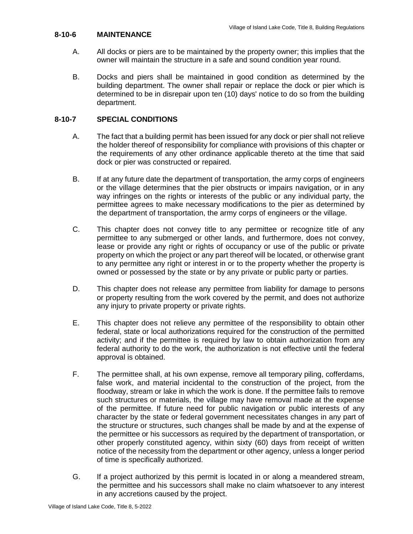## **8-10-6 MAINTENANCE**

- A. All docks or piers are to be maintained by the property owner; this implies that the owner will maintain the structure in a safe and sound condition year round.
- B. Docks and piers shall be maintained in good condition as determined by the building department. The owner shall repair or replace the dock or pier which is determined to be in disrepair upon ten (10) days' notice to do so from the building department.

## **8-10-7 SPECIAL CONDITIONS**

- A. The fact that a building permit has been issued for any dock or pier shall not relieve the holder thereof of responsibility for compliance with provisions of this chapter or the requirements of any other ordinance applicable thereto at the time that said dock or pier was constructed or repaired.
- B. If at any future date the department of transportation, the army corps of engineers or the village determines that the pier obstructs or impairs navigation, or in any way infringes on the rights or interests of the public or any individual party, the permittee agrees to make necessary modifications to the pier as determined by the department of transportation, the army corps of engineers or the village.
- C. This chapter does not convey title to any permittee or recognize title of any permittee to any submerged or other lands, and furthermore, does not convey, lease or provide any right or rights of occupancy or use of the public or private property on which the project or any part thereof will be located, or otherwise grant to any permittee any right or interest in or to the property whether the property is owned or possessed by the state or by any private or public party or parties.
- D. This chapter does not release any permittee from liability for damage to persons or property resulting from the work covered by the permit, and does not authorize any injury to private property or private rights.
- E. This chapter does not relieve any permittee of the responsibility to obtain other federal, state or local authorizations required for the construction of the permitted activity; and if the permittee is required by law to obtain authorization from any federal authority to do the work, the authorization is not effective until the federal approval is obtained.
- F. The permittee shall, at his own expense, remove all temporary piling, cofferdams, false work, and material incidental to the construction of the project, from the floodway, stream or lake in which the work is done. If the permittee fails to remove such structures or materials, the village may have removal made at the expense of the permittee. If future need for public navigation or public interests of any character by the state or federal government necessitates changes in any part of the structure or structures, such changes shall be made by and at the expense of the permittee or his successors as required by the department of transportation, or other properly constituted agency, within sixty (60) days from receipt of written notice of the necessity from the department or other agency, unless a longer period of time is specifically authorized.
- G. If a project authorized by this permit is located in or along a meandered stream, the permittee and his successors shall make no claim whatsoever to any interest in any accretions caused by the project.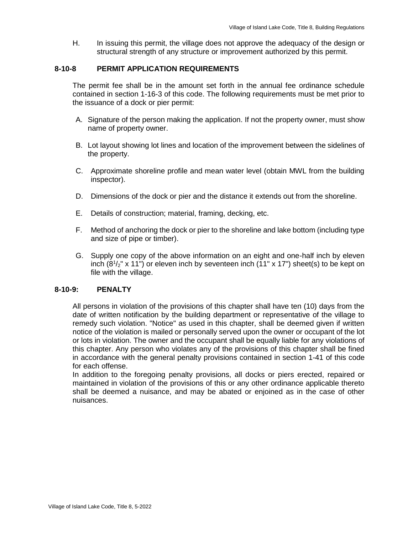H. In issuing this permit, the village does not approve the adequacy of the design or structural strength of any structure or improvement authorized by this permit.

## **8-10-8 PERMIT APPLICATION REQUIREMENTS**

The permit fee shall be in the amount set forth in the annual fee ordinance schedule contained in section 1-16-3 of this code. The following requirements must be met prior to the issuance of a dock or pier permit:

- A. Signature of the person making the application. If not the property owner, must show name of property owner.
- B. Lot layout showing lot lines and location of the improvement between the sidelines of the property.
- C. Approximate shoreline profile and mean water level (obtain MWL from the building inspector).
- D. Dimensions of the dock or pier and the distance it extends out from the shoreline.
- E. Details of construction; material, framing, decking, etc.
- F. Method of anchoring the dock or pier to the shoreline and lake bottom (including type and size of pipe or timber).
- G. Supply one copy of the above information on an eight and one-half inch by eleven inch  $(8<sup>1</sup>/<sub>2</sub>" x 11")$  or eleven inch by seventeen inch  $(11" x 17")$  sheet(s) to be kept on file with the village.

## **8-10-9: PENALTY**

All persons in violation of the provisions of this chapter shall have ten (10) days from the date of written notification by the building department or representative of the village to remedy such violation. "Notice" as used in this chapter, shall be deemed given if written notice of the violation is mailed or personally served upon the owner or occupant of the lot or lots in violation. The owner and the occupant shall be equally liable for any violations of this chapter. Any person who violates any of the provisions of this chapter shall be fined in accordance with the general penalty provisions contained in section 1-41 of this code for each offense.

In addition to the foregoing penalty provisions, all docks or piers erected, repaired or maintained in violation of the provisions of this or any other ordinance applicable thereto shall be deemed a nuisance, and may be abated or enjoined as in the case of other nuisances.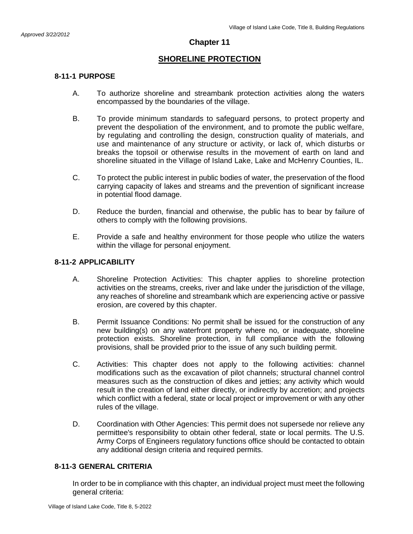# **SHORELINE PROTECTION**

# **8-11-1 PURPOSE**

- A. To authorize shoreline and streambank protection activities along the waters encompassed by the boundaries of the village.
- B. To provide minimum standards to safeguard persons, to protect property and prevent the despoliation of the environment, and to promote the public welfare, by regulating and controlling the design, construction quality of materials, and use and maintenance of any structure or activity, or lack of, which disturbs or breaks the topsoil or otherwise results in the movement of earth on land and shoreline situated in the Village of Island Lake, Lake and McHenry Counties, IL.
- C. To protect the public interest in public bodies of water, the preservation of the flood carrying capacity of lakes and streams and the prevention of significant increase in potential flood damage.
- D. Reduce the burden, financial and otherwise, the public has to bear by failure of others to comply with the following provisions.
- E. Provide a safe and healthy environment for those people who utilize the waters within the village for personal enjoyment.

# **8-11-2 APPLICABILITY**

- A. Shoreline Protection Activities: This chapter applies to shoreline protection activities on the streams, creeks, river and lake under the jurisdiction of the village, any reaches of shoreline and streambank which are experiencing active or passive erosion, are covered by this chapter.
- B. Permit Issuance Conditions: No permit shall be issued for the construction of any new building(s) on any waterfront property where no, or inadequate, shoreline protection exists. Shoreline protection, in full compliance with the following provisions, shall be provided prior to the issue of any such building permit.
- C. Activities: This chapter does not apply to the following activities: channel modifications such as the excavation of pilot channels; structural channel control measures such as the construction of dikes and jetties; any activity which would result in the creation of land either directly, or indirectly by accretion; and projects which conflict with a federal, state or local project or improvement or with any other rules of the village.
- D. Coordination with Other Agencies: This permit does not supersede nor relieve any permittee's responsibility to obtain other federal, state or local permits. The U.S. Army Corps of Engineers regulatory functions office should be contacted to obtain any additional design criteria and required permits.

# **8-11-3 GENERAL CRITERIA**

In order to be in compliance with this chapter, an individual project must meet the following general criteria: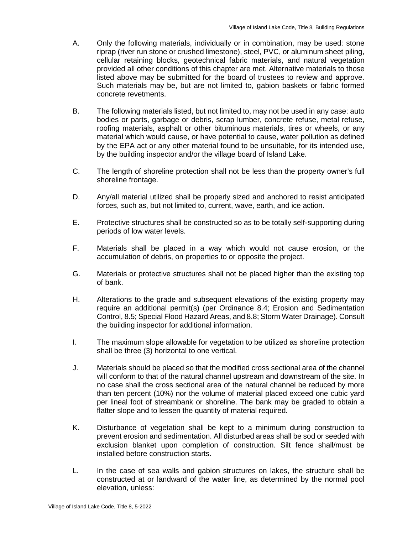- A. Only the following materials, individually or in combination, may be used: stone riprap (river run stone or crushed limestone), steel, PVC, or aluminum sheet piling, cellular retaining blocks, geotechnical fabric materials, and natural vegetation provided all other conditions of this chapter are met. Alternative materials to those listed above may be submitted for the board of trustees to review and approve. Such materials may be, but are not limited to, gabion baskets or fabric formed concrete revetments.
- B. The following materials listed, but not limited to, may not be used in any case: auto bodies or parts, garbage or debris, scrap lumber, concrete refuse, metal refuse, roofing materials, asphalt or other bituminous materials, tires or wheels, or any material which would cause, or have potential to cause, water pollution as defined by the EPA act or any other material found to be unsuitable, for its intended use, by the building inspector and/or the village board of Island Lake.
- C. The length of shoreline protection shall not be less than the property owner's full shoreline frontage.
- D. Any/all material utilized shall be properly sized and anchored to resist anticipated forces, such as, but not limited to, current, wave, earth, and ice action.
- E. Protective structures shall be constructed so as to be totally self-supporting during periods of low water levels.
- F. Materials shall be placed in a way which would not cause erosion, or the accumulation of debris, on properties to or opposite the project.
- G. Materials or protective structures shall not be placed higher than the existing top of bank.
- H. Alterations to the grade and subsequent elevations of the existing property may require an additional permit(s) (per Ordinance 8.4; Erosion and Sedimentation Control, 8.5; Special Flood Hazard Areas, and 8.8; Storm Water Drainage). Consult the building inspector for additional information.
- I. The maximum slope allowable for vegetation to be utilized as shoreline protection shall be three (3) horizontal to one vertical.
- J. Materials should be placed so that the modified cross sectional area of the channel will conform to that of the natural channel upstream and downstream of the site. In no case shall the cross sectional area of the natural channel be reduced by more than ten percent (10%) nor the volume of material placed exceed one cubic yard per lineal foot of streambank or shoreline. The bank may be graded to obtain a flatter slope and to lessen the quantity of material required.
- K. Disturbance of vegetation shall be kept to a minimum during construction to prevent erosion and sedimentation. All disturbed areas shall be sod or seeded with exclusion blanket upon completion of construction. Silt fence shall/must be installed before construction starts.
- L. In the case of sea walls and gabion structures on lakes, the structure shall be constructed at or landward of the water line, as determined by the normal pool elevation, unless: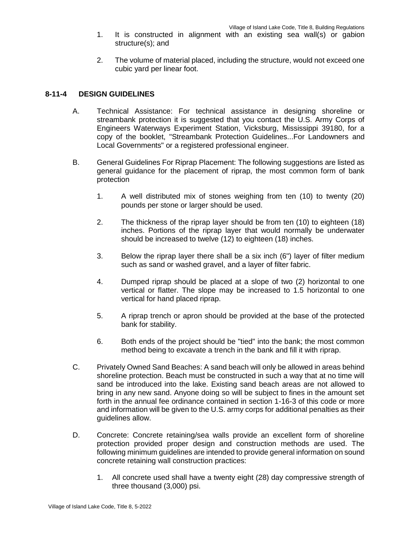- 1. It is constructed in alignment with an existing sea wall(s) or gabion structure(s); and
- 2. The volume of material placed, including the structure, would not exceed one cubic yard per linear foot.

## **8-11-4 DESIGN GUIDELINES**

- A. Technical Assistance: For technical assistance in designing shoreline or streambank protection it is suggested that you contact the U.S. Army Corps of Engineers Waterways Experiment Station, Vicksburg, Mississippi 39180, for a copy of the booklet, "Streambank Protection Guidelines...For Landowners and Local Governments" or a registered professional engineer.
- B. General Guidelines For Riprap Placement: The following suggestions are listed as general guidance for the placement of riprap, the most common form of bank protection
	- 1. A well distributed mix of stones weighing from ten (10) to twenty (20) pounds per stone or larger should be used.
	- 2. The thickness of the riprap layer should be from ten (10) to eighteen (18) inches. Portions of the riprap layer that would normally be underwater should be increased to twelve (12) to eighteen (18) inches.
	- 3. Below the riprap layer there shall be a six inch (6") layer of filter medium such as sand or washed gravel, and a layer of filter fabric.
	- 4. Dumped riprap should be placed at a slope of two (2) horizontal to one vertical or flatter. The slope may be increased to 1.5 horizontal to one vertical for hand placed riprap.
	- 5. A riprap trench or apron should be provided at the base of the protected bank for stability.
	- 6. Both ends of the project should be "tied" into the bank; the most common method being to excavate a trench in the bank and fill it with riprap.
- C. Privately Owned Sand Beaches: A sand beach will only be allowed in areas behind shoreline protection. Beach must be constructed in such a way that at no time will sand be introduced into the lake. Existing sand beach areas are not allowed to bring in any new sand. Anyone doing so will be subject to fines in the amount set forth in the annual fee ordinance contained in section 1-16-3 of this code or more and information will be given to the U.S. army corps for additional penalties as their guidelines allow.
- D. Concrete: Concrete retaining/sea walls provide an excellent form of shoreline protection provided proper design and construction methods are used. The following minimum guidelines are intended to provide general information on sound concrete retaining wall construction practices:
	- 1. All concrete used shall have a twenty eight (28) day compressive strength of three thousand (3,000) psi.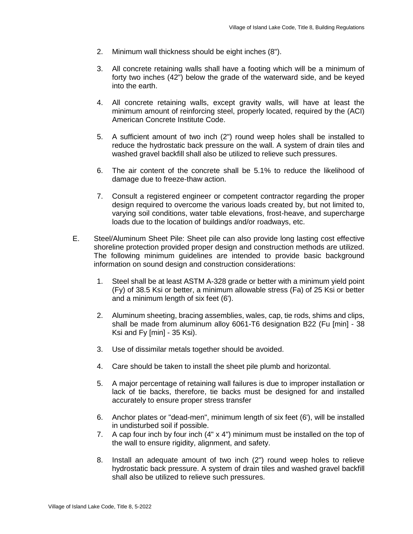- 2. Minimum wall thickness should be eight inches (8").
- 3. All concrete retaining walls shall have a footing which will be a minimum of forty two inches (42") below the grade of the waterward side, and be keyed into the earth.
- 4. All concrete retaining walls, except gravity walls, will have at least the minimum amount of reinforcing steel, properly located, required by the (ACI) American Concrete Institute Code.
- 5. A sufficient amount of two inch (2") round weep holes shall be installed to reduce the hydrostatic back pressure on the wall. A system of drain tiles and washed gravel backfill shall also be utilized to relieve such pressures.
- 6. The air content of the concrete shall be 5.1% to reduce the likelihood of damage due to freeze-thaw action.
- 7. Consult a registered engineer or competent contractor regarding the proper design required to overcome the various loads created by, but not limited to, varying soil conditions, water table elevations, frost-heave, and supercharge loads due to the location of buildings and/or roadways, etc.
- E. Steel/Aluminum Sheet Pile: Sheet pile can also provide long lasting cost effective shoreline protection provided proper design and construction methods are utilized. The following minimum guidelines are intended to provide basic background information on sound design and construction considerations:
	- 1. Steel shall be at least ASTM A-328 grade or better with a minimum yield point (Fy) of 38.5 Ksi or better, a minimum allowable stress (Fa) of 25 Ksi or better and a minimum length of six feet (6').
	- 2. Aluminum sheeting, bracing assemblies, wales, cap, tie rods, shims and clips, shall be made from aluminum alloy 6061-T6 designation B22 (Fu [min] - 38 Ksi and Fy [min] - 35 Ksi).
	- 3. Use of dissimilar metals together should be avoided.
	- 4. Care should be taken to install the sheet pile plumb and horizontal.
	- 5. A major percentage of retaining wall failures is due to improper installation or lack of tie backs, therefore, tie backs must be designed for and installed accurately to ensure proper stress transfer
	- 6. Anchor plates or "dead-men", minimum length of six feet (6'), will be installed in undisturbed soil if possible.
	- 7. A cap four inch by four inch (4" x 4") minimum must be installed on the top of the wall to ensure rigidity, alignment, and safety.
	- 8. Install an adequate amount of two inch (2") round weep holes to relieve hydrostatic back pressure. A system of drain tiles and washed gravel backfill shall also be utilized to relieve such pressures.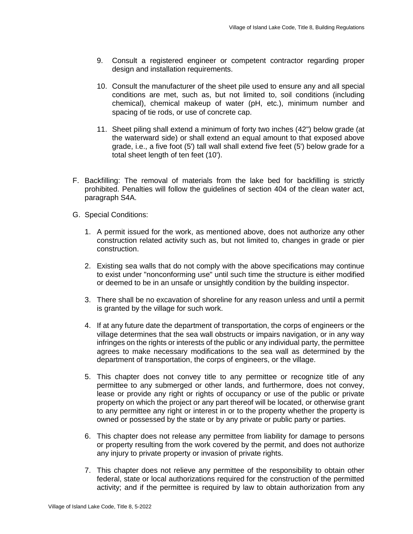- 9. Consult a registered engineer or competent contractor regarding proper design and installation requirements.
- 10. Consult the manufacturer of the sheet pile used to ensure any and all special conditions are met, such as, but not limited to, soil conditions (including chemical), chemical makeup of water (pH, etc.), minimum number and spacing of tie rods, or use of concrete cap.
- 11. Sheet piling shall extend a minimum of forty two inches (42") below grade (at the waterward side) or shall extend an equal amount to that exposed above grade, i.e., a five foot (5') tall wall shall extend five feet (5') below grade for a total sheet length of ten feet (10').
- F. Backfilling: The removal of materials from the lake bed for backfilling is strictly prohibited. Penalties will follow the guidelines of section 404 of the clean water act, paragraph S4A.
- G. Special Conditions:
	- 1. A permit issued for the work, as mentioned above, does not authorize any other construction related activity such as, but not limited to, changes in grade or pier construction.
	- 2. Existing sea walls that do not comply with the above specifications may continue to exist under "nonconforming use" until such time the structure is either modified or deemed to be in an unsafe or unsightly condition by the building inspector.
	- 3. There shall be no excavation of shoreline for any reason unless and until a permit is granted by the village for such work.
	- 4. If at any future date the department of transportation, the corps of engineers or the village determines that the sea wall obstructs or impairs navigation, or in any way infringes on the rights or interests of the public or any individual party, the permittee agrees to make necessary modifications to the sea wall as determined by the department of transportation, the corps of engineers, or the village.
	- 5. This chapter does not convey title to any permittee or recognize title of any permittee to any submerged or other lands, and furthermore, does not convey, lease or provide any right or rights of occupancy or use of the public or private property on which the project or any part thereof will be located, or otherwise grant to any permittee any right or interest in or to the property whether the property is owned or possessed by the state or by any private or public party or parties.
	- 6. This chapter does not release any permittee from liability for damage to persons or property resulting from the work covered by the permit, and does not authorize any injury to private property or invasion of private rights.
	- 7. This chapter does not relieve any permittee of the responsibility to obtain other federal, state or local authorizations required for the construction of the permitted activity; and if the permittee is required by law to obtain authorization from any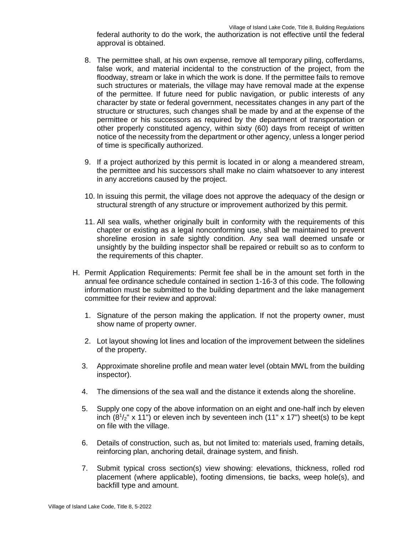federal authority to do the work, the authorization is not effective until the federal approval is obtained.

- 8. The permittee shall, at his own expense, remove all temporary piling, cofferdams, false work, and material incidental to the construction of the project, from the floodway, stream or lake in which the work is done. If the permittee fails to remove such structures or materials, the village may have removal made at the expense of the permittee. If future need for public navigation, or public interests of any character by state or federal government, necessitates changes in any part of the structure or structures, such changes shall be made by and at the expense of the permittee or his successors as required by the department of transportation or other properly constituted agency, within sixty (60) days from receipt of written notice of the necessity from the department or other agency, unless a longer period of time is specifically authorized.
- 9. If a project authorized by this permit is located in or along a meandered stream, the permittee and his successors shall make no claim whatsoever to any interest in any accretions caused by the project.
- 10. In issuing this permit, the village does not approve the adequacy of the design or structural strength of any structure or improvement authorized by this permit.
- 11. All sea walls, whether originally built in conformity with the requirements of this chapter or existing as a legal nonconforming use, shall be maintained to prevent shoreline erosion in safe sightly condition. Any sea wall deemed unsafe or unsightly by the building inspector shall be repaired or rebuilt so as to conform to the requirements of this chapter.
- H. Permit Application Requirements: Permit fee shall be in the amount set forth in the annual fee ordinance schedule contained in section 1-16-3 of this code. The following information must be submitted to the building department and the lake management committee for their review and approval:
	- 1. Signature of the person making the application. If not the property owner, must show name of property owner.
	- 2. Lot layout showing lot lines and location of the improvement between the sidelines of the property.
	- 3. Approximate shoreline profile and mean water level (obtain MWL from the building inspector).
	- 4. The dimensions of the sea wall and the distance it extends along the shoreline.
	- 5. Supply one copy of the above information on an eight and one-half inch by eleven inch  $(8<sup>1</sup>/<sub>2</sub>" x 11")$  or eleven inch by seventeen inch  $(11" x 17")$  sheet(s) to be kept on file with the village.
	- 6. Details of construction, such as, but not limited to: materials used, framing details, reinforcing plan, anchoring detail, drainage system, and finish.
	- 7. Submit typical cross section(s) view showing: elevations, thickness, rolled rod placement (where applicable), footing dimensions, tie backs, weep hole(s), and backfill type and amount.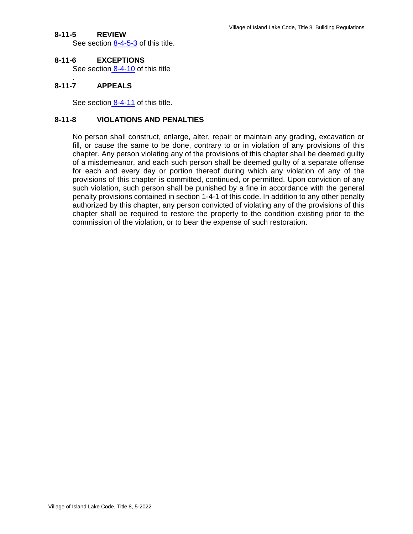# **8-11-5 REVIEW**

See section  $8-4-5-3$  of this title.

#### **8-11-6 EXCEPTIONS**

See section 8-4-10 of this title

## **8-11-7 APPEALS**

.

See section 8-4-11 of this title.

## **8-11-8 VIOLATIONS AND PENALTIES**

No person shall construct, enlarge, alter, repair or maintain any grading, excavation or fill, or cause the same to be done, contrary to or in violation of any provisions of this chapter. Any person violating any of the provisions of this chapter shall be deemed guilty of a misdemeanor, and each such person shall be deemed guilty of a separate offense for each and every day or portion thereof during which any violation of any of the provisions of this chapter is committed, continued, or permitted. Upon conviction of any such violation, such person shall be punished by a fine in accordance with the general penalty provisions contained in section 1-4-1 of this code. In addition to any other penalty authorized by this chapter, any person convicted of violating any of the provisions of this chapter shall be required to restore the property to the condition existing prior to the commission of the violation, or to bear the expense of such restoration.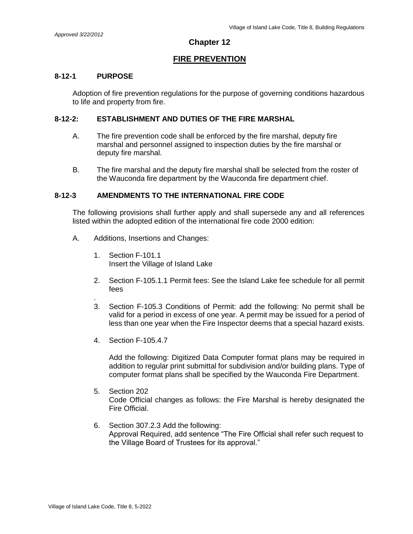# **Chapter 12**

# **FIRE PREVENTION**

## **8-12-1 PURPOSE**

Adoption of fire prevention regulations for the purpose of governing conditions hazardous to life and property from fire.

## **8-12-2: ESTABLISHMENT AND DUTIES OF THE FIRE MARSHAL**

- A. The fire prevention code shall be enforced by the fire marshal, deputy fire marshal and personnel assigned to inspection duties by the fire marshal or deputy fire marshal.
- B. The fire marshal and the deputy fire marshal shall be selected from the roster of the Wauconda fire department by the Wauconda fire department chief.

## **8-12-3 AMENDMENTS TO THE INTERNATIONAL FIRE CODE**

The following provisions shall further apply and shall supersede any and all references listed within the adopted edition of the international fire code 2000 edition:

- A. Additions, Insertions and Changes:
	- 1. Section F-101.1 Insert the Village of Island Lake
	- 2. Section F-105.1.1 Permit fees: See the Island Lake fee schedule for all permit fees
	- . 3. Section F-105.3 Conditions of Permit: add the following: No permit shall be valid for a period in excess of one year. A permit may be issued for a period of less than one year when the Fire Inspector deems that a special hazard exists.
	- 4. Section F-105.4.7

Add the following: Digitized Data Computer format plans may be required in addition to regular print submittal for subdivision and/or building plans. Type of computer format plans shall be specified by the Wauconda Fire Department.

- 5. Section 202 Code Official changes as follows: the Fire Marshal is hereby designated the Fire Official.
- 6. Section 307.2.3 Add the following: Approval Required, add sentence "The Fire Official shall refer such request to the Village Board of Trustees for its approval."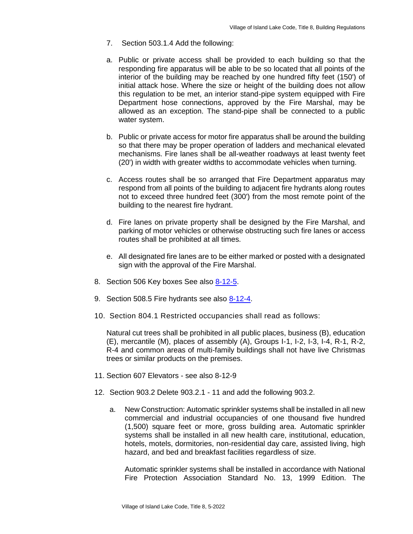- 7. Section 503.1.4 Add the following:
- a. Public or private access shall be provided to each building so that the responding fire apparatus will be able to be so located that all points of the interior of the building may be reached by one hundred fifty feet (150') of initial attack hose. Where the size or height of the building does not allow this regulation to be met, an interior stand-pipe system equipped with Fire Department hose connections, approved by the Fire Marshal, may be allowed as an exception. The stand-pipe shall be connected to a public water system.
- b. Public or private access for motor fire apparatus shall be around the building so that there may be proper operation of ladders and mechanical elevated mechanisms. Fire lanes shall be all-weather roadways at least twenty feet (20') in width with greater widths to accommodate vehicles when turning.
- c. Access routes shall be so arranged that Fire Department apparatus may respond from all points of the building to adjacent fire hydrants along routes not to exceed three hundred feet (300') from the most remote point of the building to the nearest fire hydrant.
- d. Fire lanes on private property shall be designed by the Fire Marshal, and parking of motor vehicles or otherwise obstructing such fire lanes or access routes shall be prohibited at all times.
- e. All designated fire lanes are to be either marked or posted with a designated sign with the approval of the Fire Marshal.
- 8. Section 506 Key boxes See also 8-12-5.
- 9. Section 508.5 Fire hydrants see also 8-12-4.
- 10. Section 804.1 Restricted occupancies shall read as follows:

Natural cut trees shall be prohibited in all public places, business (B), education (E), mercantile (M), places of assembly (A), Groups I-1, I-2, I-3, I-4, R-1, R-2, R-4 and common areas of multi-family buildings shall not have live Christmas trees or similar products on the premises.

- 11. Section 607 Elevators see also 8-12-9
- 12. Section 903.2 Delete 903.2.1 11 and add the following 903.2.
	- a. New Construction: Automatic sprinkler systems shall be installed in all new commercial and industrial occupancies of one thousand five hundred (1,500) square feet or more, gross building area. Automatic sprinkler systems shall be installed in all new health care, institutional, education, hotels, motels, dormitories, non-residential day care, assisted living, high hazard, and bed and breakfast facilities regardless of size.

Automatic sprinkler systems shall be installed in accordance with National Fire Protection Association Standard No. 13, 1999 Edition. The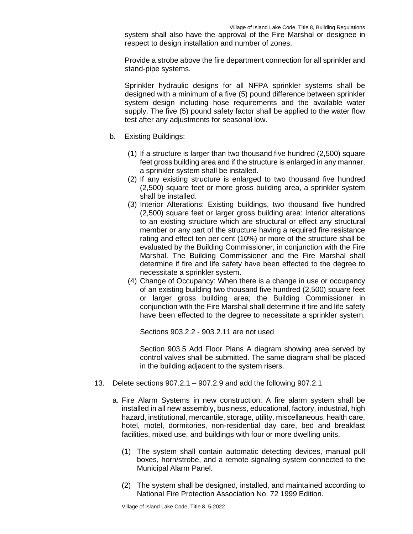system shall also have the approval of the Fire Marshal or designee in respect to design installation and number of zones.

Provide a strobe above the fire department connection for all sprinkler and stand-pipe systems.

Sprinkler hydraulic designs for all NFPA sprinkler systems shall be designed with a minimum of a five (5) pound difference between sprinkler system design including hose requirements and the available water supply. The five (5) pound safety factor shall be applied to the water flow test after any adjustments for seasonal low.

- b. Existing Buildings:
	- (1) If a structure is larger than two thousand five hundred (2,500) square feet gross building area and if the structure is enlarged in any manner, a sprinkler system shall be installed.
	- (2) If any existing structure is enlarged to two thousand five hundred (2,500) square feet or more gross building area, a sprinkler system shall be installed.
	- (3) Interior Alterations: Existing buildings, two thousand five hundred (2,500) square feet or larger gross building area: Interior alterations to an existing structure which are structural or effect any structural member or any part of the structure having a required fire resistance rating and effect ten per cent (10%) or more of the structure shall be evaluated by the Building Commissioner, in conjunction with the Fire Marshal. The Building Commissioner and the Fire Marshal shall determine if fire and life safety have been effected to the degree to necessitate a sprinkler system.
	- (4) Change of Occupancy: When there is a change in use or occupancy of an existing building two thousand five hundred (2,500) square feet or larger gross building area; the Building Commissioner in conjunction with the Fire Marshal shall determine if fire and life safety have been effected to the degree to necessitate a sprinkler system.

Sections 903.2.2 - 903.2.11 are not used

Section 903.5 Add Floor Plans A diagram showing area served by control valves shall be submitted. The same diagram shall be placed in the building adjacent to the system risers.

- 13. Delete sections 907.2.1 907.2.9 and add the following 907.2.1
	- a. Fire Alarm Systems in new construction: A fire alarm system shall be installed in all new assembly, business, educational, factory, industrial, high hazard, institutional, mercantile, storage, utility, miscellaneous, health care, hotel, motel, dormitories, non-residential day care, bed and breakfast facilities, mixed use, and buildings with four or more dwelling units.
		- (1) The system shall contain automatic detecting devices, manual pull boxes, horn/strobe, and a remote signaling system connected to the Municipal Alarm Panel.
		- (2) The system shall be designed, installed, and maintained according to National Fire Protection Association No. 72 1999 Edition.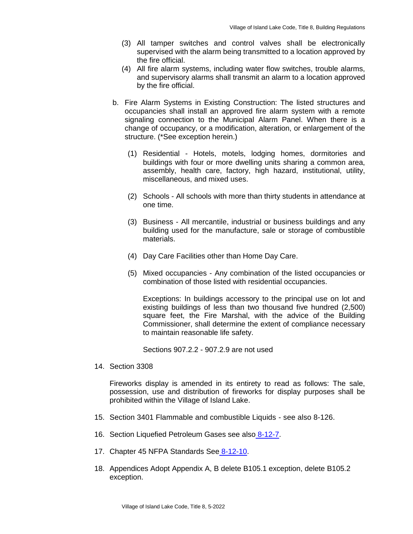- (3) All tamper switches and control valves shall be electronically supervised with the alarm being transmitted to a location approved by the fire official.
- (4) All fire alarm systems, including water flow switches, trouble alarms, and supervisory alarms shall transmit an alarm to a location approved by the fire official.
- b. Fire Alarm Systems in Existing Construction: The listed structures and occupancies shall install an approved fire alarm system with a remote signaling connection to the Municipal Alarm Panel. When there is a change of occupancy, or a modification, alteration, or enlargement of the structure. (\*See exception herein.)
	- (1) Residential Hotels, motels, lodging homes, dormitories and buildings with four or more dwelling units sharing a common area, assembly, health care, factory, high hazard, institutional, utility, miscellaneous, and mixed uses.
	- (2) Schools All schools with more than thirty students in attendance at one time.
	- (3) Business All mercantile, industrial or business buildings and any building used for the manufacture, sale or storage of combustible materials.
	- (4) Day Care Facilities other than Home Day Care.
	- (5) Mixed occupancies Any combination of the listed occupancies or combination of those listed with residential occupancies.

Exceptions: In buildings accessory to the principal use on lot and existing buildings of less than two thousand five hundred (2,500) square feet, the Fire Marshal, with the advice of the Building Commissioner, shall determine the extent of compliance necessary to maintain reasonable life safety.

Sections 907.2.2 - 907.2.9 are not used

14. Section 3308

Fireworks display is amended in its entirety to read as follows: The sale, possession, use and distribution of fireworks for display purposes shall be prohibited within the Village of Island Lake.

- 15. Section 3401 Flammable and combustible Liquids see also 8-126.
- 16. Section Liquefied Petroleum Gases see also 8-12-7.
- 17. Chapter 45 NFPA Standards See 8-12-10.
- 18. Appendices Adopt Appendix A, B delete B105.1 exception, delete B105.2 exception.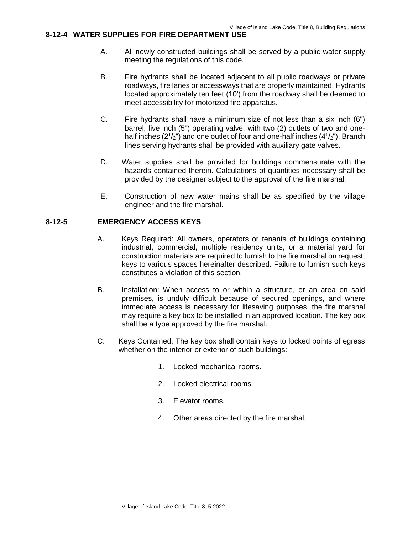# **8-12-4 WATER SUPPLIES FOR FIRE DEPARTMENT USE**

- A. All newly constructed buildings shall be served by a public water supply meeting the regulations of this code.
- B. Fire hydrants shall be located adjacent to all public roadways or private roadways, fire lanes or accessways that are properly maintained. Hydrants located approximately ten feet (10') from the roadway shall be deemed to meet accessibility for motorized fire apparatus.
- C. Fire hydrants shall have a minimum size of not less than a six inch (6") barrel, five inch (5") operating valve, with two (2) outlets of two and onehalf inches  $(2^{1}/2^{n})$  and one outlet of four and one-half inches  $(4^{1}/2^{n})$ . Branch lines serving hydrants shall be provided with auxiliary gate valves.
- D. Water supplies shall be provided for buildings commensurate with the hazards contained therein. Calculations of quantities necessary shall be provided by the designer subject to the approval of the fire marshal.
- E. Construction of new water mains shall be as specified by the village engineer and the fire marshal.

#### **8-12-5 EMERGENCY ACCESS KEYS**

- A. Keys Required: All owners, operators or tenants of buildings containing industrial, commercial, multiple residency units, or a material yard for construction materials are required to furnish to the fire marshal on request, keys to various spaces hereinafter described. Failure to furnish such keys constitutes a violation of this section.
- B. Installation: When access to or within a structure, or an area on said premises, is unduly difficult because of secured openings, and where immediate access is necessary for lifesaving purposes, the fire marshal may require a key box to be installed in an approved location. The key box shall be a type approved by the fire marshal.
- C. Keys Contained: The key box shall contain keys to locked points of egress whether on the interior or exterior of such buildings:
	- 1. Locked mechanical rooms.
	- 2. Locked electrical rooms.
	- 3. Elevator rooms.
	- 4. Other areas directed by the fire marshal.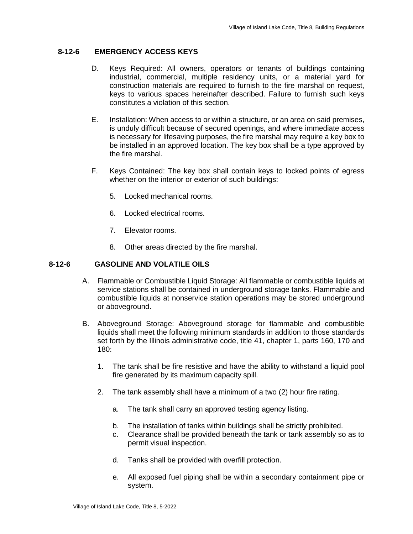# **8-12-6 EMERGENCY ACCESS KEYS**

- D. Keys Required: All owners, operators or tenants of buildings containing industrial, commercial, multiple residency units, or a material yard for construction materials are required to furnish to the fire marshal on request, keys to various spaces hereinafter described. Failure to furnish such keys constitutes a violation of this section.
- E. Installation: When access to or within a structure, or an area on said premises, is unduly difficult because of secured openings, and where immediate access is necessary for lifesaving purposes, the fire marshal may require a key box to be installed in an approved location. The key box shall be a type approved by the fire marshal.
- F. Keys Contained: The key box shall contain keys to locked points of egress whether on the interior or exterior of such buildings:
	- 5. Locked mechanical rooms.
	- 6. Locked electrical rooms.
	- 7. Elevator rooms.
	- 8. Other areas directed by the fire marshal.

# **8-12-6 GASOLINE AND VOLATILE OILS**

- A. Flammable or Combustible Liquid Storage: All flammable or combustible liquids at service stations shall be contained in underground storage tanks. Flammable and combustible liquids at nonservice station operations may be stored underground or aboveground.
- B. Aboveground Storage: Aboveground storage for flammable and combustible liquids shall meet the following minimum standards in addition to those standards set forth by the Illinois administrative code, title 41, chapter 1, parts 160, 170 and 180:
	- 1. The tank shall be fire resistive and have the ability to withstand a liquid pool fire generated by its maximum capacity spill.
	- 2. The tank assembly shall have a minimum of a two (2) hour fire rating.
		- a. The tank shall carry an approved testing agency listing.
		- b. The installation of tanks within buildings shall be strictly prohibited.
		- c. Clearance shall be provided beneath the tank or tank assembly so as to permit visual inspection.
		- d. Tanks shall be provided with overfill protection.
		- e. All exposed fuel piping shall be within a secondary containment pipe or system.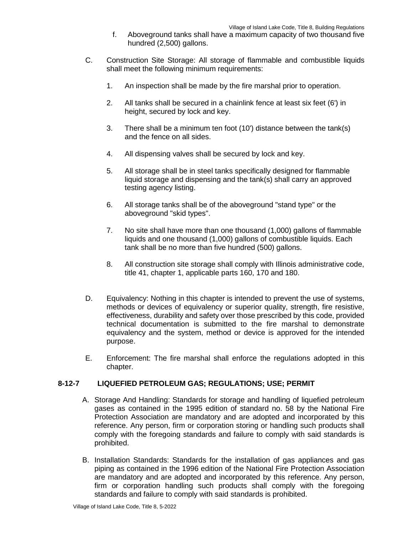- f. Aboveground tanks shall have a maximum capacity of two thousand five hundred (2,500) gallons.
- C. Construction Site Storage: All storage of flammable and combustible liquids shall meet the following minimum requirements:
	- 1. An inspection shall be made by the fire marshal prior to operation.
	- 2. All tanks shall be secured in a chainlink fence at least six feet (6') in height, secured by lock and key.
	- 3. There shall be a minimum ten foot (10') distance between the tank(s) and the fence on all sides.
	- 4. All dispensing valves shall be secured by lock and key.
	- 5. All storage shall be in steel tanks specifically designed for flammable liquid storage and dispensing and the tank(s) shall carry an approved testing agency listing.
	- 6. All storage tanks shall be of the aboveground "stand type" or the aboveground "skid types".
	- 7. No site shall have more than one thousand (1,000) gallons of flammable liquids and one thousand (1,000) gallons of combustible liquids. Each tank shall be no more than five hundred (500) gallons.
	- 8. All construction site storage shall comply with Illinois administrative code, title 41, chapter 1, applicable parts 160, 170 and 180.
- D. Equivalency: Nothing in this chapter is intended to prevent the use of systems, methods or devices of equivalency or superior quality, strength, fire resistive, effectiveness, durability and safety over those prescribed by this code, provided technical documentation is submitted to the fire marshal to demonstrate equivalency and the system, method or device is approved for the intended purpose.
- E. Enforcement: The fire marshal shall enforce the regulations adopted in this chapter.

# **8-12-7 LIQUEFIED PETROLEUM GAS; REGULATIONS; USE; PERMIT**

- A. Storage And Handling: Standards for storage and handling of liquefied petroleum gases as contained in the 1995 edition of standard no. 58 by the National Fire Protection Association are mandatory and are adopted and incorporated by this reference. Any person, firm or corporation storing or handling such products shall comply with the foregoing standards and failure to comply with said standards is prohibited.
- B. Installation Standards: Standards for the installation of gas appliances and gas piping as contained in the 1996 edition of the National Fire Protection Association are mandatory and are adopted and incorporated by this reference. Any person, firm or corporation handling such products shall comply with the foregoing standards and failure to comply with said standards is prohibited.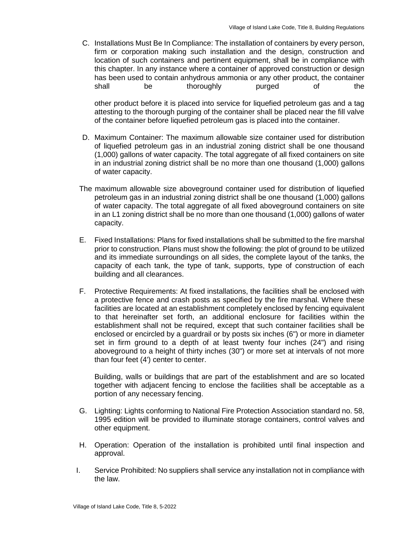C. Installations Must Be In Compliance: The installation of containers by every person, firm or corporation making such installation and the design, construction and location of such containers and pertinent equipment, shall be in compliance with this chapter. In any instance where a container of approved construction or design has been used to contain anhydrous ammonia or any other product, the container shall be thoroughly purged of the

other product before it is placed into service for liquefied petroleum gas and a tag attesting to the thorough purging of the container shall be placed near the fill valve of the container before liquefied petroleum gas is placed into the container.

- D. Maximum Container: The maximum allowable size container used for distribution of liquefied petroleum gas in an industrial zoning district shall be one thousand (1,000) gallons of water capacity. The total aggregate of all fixed containers on site in an industrial zoning district shall be no more than one thousand (1,000) gallons of water capacity.
- The maximum allowable size aboveground container used for distribution of liquefied petroleum gas in an industrial zoning district shall be one thousand (1,000) gallons of water capacity. The total aggregate of all fixed aboveground containers on site in an L1 zoning district shall be no more than one thousand (1,000) gallons of water capacity.
- E. Fixed Installations: Plans for fixed installations shall be submitted to the fire marshal prior to construction. Plans must show the following: the plot of ground to be utilized and its immediate surroundings on all sides, the complete layout of the tanks, the capacity of each tank, the type of tank, supports, type of construction of each building and all clearances.
- F. Protective Requirements: At fixed installations, the facilities shall be enclosed with a protective fence and crash posts as specified by the fire marshal. Where these facilities are located at an establishment completely enclosed by fencing equivalent to that hereinafter set forth, an additional enclosure for facilities within the establishment shall not be required, except that such container facilities shall be enclosed or encircled by a guardrail or by posts six inches (6") or more in diameter set in firm ground to a depth of at least twenty four inches (24") and rising aboveground to a height of thirty inches (30") or more set at intervals of not more than four feet (4') center to center.

Building, walls or buildings that are part of the establishment and are so located together with adjacent fencing to enclose the facilities shall be acceptable as a portion of any necessary fencing.

- G. Lighting: Lights conforming to National Fire Protection Association standard no. 58, 1995 edition will be provided to illuminate storage containers, control valves and other equipment.
- H. Operation: Operation of the installation is prohibited until final inspection and approval.
- I. Service Prohibited: No suppliers shall service any installation not in compliance with the law.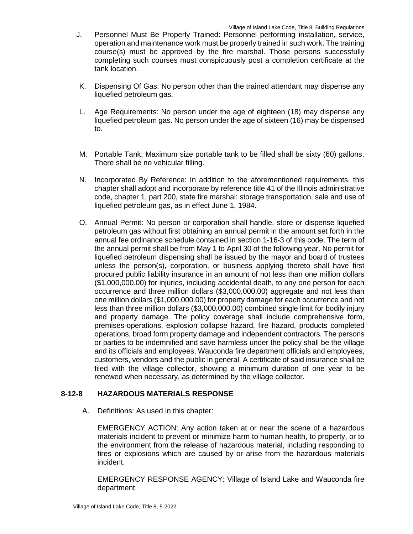- J. Personnel Must Be Properly Trained: Personnel performing installation, service, operation and maintenance work must be properly trained in such work. The training course(s) must be approved by the fire marshal. Those persons successfully completing such courses must conspicuously post a completion certificate at the tank location.
- K. Dispensing Of Gas: No person other than the trained attendant may dispense any liquefied petroleum gas.
- L. Age Requirements: No person under the age of eighteen (18) may dispense any liquefied petroleum gas. No person under the age of sixteen (16) may be dispensed to.
- M. Portable Tank: Maximum size portable tank to be filled shall be sixty (60) gallons. There shall be no vehicular filling.
- N. Incorporated By Reference: In addition to the aforementioned requirements, this chapter shall adopt and incorporate by reference title 41 of the Illinois administrative code, chapter 1, part 200, state fire marshal: storage transportation, sale and use of liquefied petroleum gas, as in effect June 1, 1984.
- O. Annual Permit: No person or corporation shall handle, store or dispense liquefied petroleum gas without first obtaining an annual permit in the amount set forth in the annual fee ordinance schedule contained in section 1-16-3 of this code. The term of the annual permit shall be from May 1 to April 30 of the following year. No permit for liquefied petroleum dispensing shall be issued by the mayor and board of trustees unless the person(s), corporation, or business applying thereto shall have first procured public liability insurance in an amount of not less than one million dollars (\$1,000,000.00) for injuries, including accidental death, to any one person for each occurrence and three million dollars (\$3,000,000.00) aggregate and not less than one million dollars (\$1,000,000.00) for property damage for each occurrence and not less than three million dollars (\$3,000,000.00) combined single limit for bodily injury and property damage. The policy coverage shall include comprehensive form, premises-operations, explosion collapse hazard, fire hazard, products completed operations, broad form property damage and independent contractors. The persons or parties to be indemnified and save harmless under the policy shall be the village and its officials and employees, Wauconda fire department officials and employees, customers, vendors and the public in general. A certificate of said insurance shall be filed with the village collector, showing a minimum duration of one year to be renewed when necessary, as determined by the village collector.

# **8-12-8 HAZARDOUS MATERIALS RESPONSE**

A. Definitions: As used in this chapter:

EMERGENCY ACTION: Any action taken at or near the scene of a hazardous materials incident to prevent or minimize harm to human health, to property, or to the environment from the release of hazardous material, including responding to fires or explosions which are caused by or arise from the hazardous materials incident.

EMERGENCY RESPONSE AGENCY: Village of Island Lake and Wauconda fire department.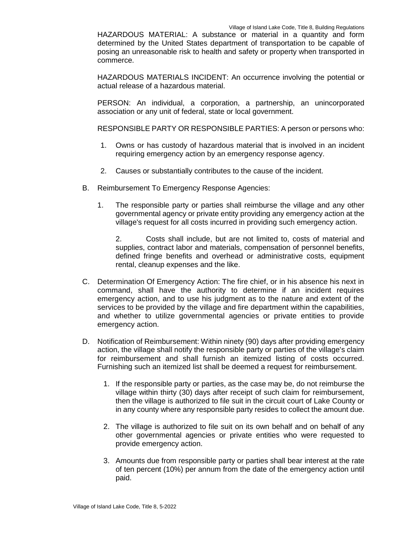HAZARDOUS MATERIAL: A substance or material in a quantity and form determined by the United States department of transportation to be capable of posing an unreasonable risk to health and safety or property when transported in commerce.

HAZARDOUS MATERIALS INCIDENT: An occurrence involving the potential or actual release of a hazardous material.

PERSON: An individual, a corporation, a partnership, an unincorporated association or any unit of federal, state or local government.

RESPONSIBLE PARTY OR RESPONSIBLE PARTIES: A person or persons who:

- 1. Owns or has custody of hazardous material that is involved in an incident requiring emergency action by an emergency response agency.
- 2. Causes or substantially contributes to the cause of the incident.
- B. Reimbursement To Emergency Response Agencies:
	- 1. The responsible party or parties shall reimburse the village and any other governmental agency or private entity providing any emergency action at the village's request for all costs incurred in providing such emergency action.

2. Costs shall include, but are not limited to, costs of material and supplies, contract labor and materials, compensation of personnel benefits, defined fringe benefits and overhead or administrative costs, equipment rental, cleanup expenses and the like.

- C. Determination Of Emergency Action: The fire chief, or in his absence his next in command, shall have the authority to determine if an incident requires emergency action, and to use his judgment as to the nature and extent of the services to be provided by the village and fire department within the capabilities, and whether to utilize governmental agencies or private entities to provide emergency action.
- D. Notification of Reimbursement: Within ninety (90) days after providing emergency action, the village shall notify the responsible party or parties of the village's claim for reimbursement and shall furnish an itemized listing of costs occurred. Furnishing such an itemized list shall be deemed a request for reimbursement.
	- 1. If the responsible party or parties, as the case may be, do not reimburse the village within thirty (30) days after receipt of such claim for reimbursement, then the village is authorized to file suit in the circuit court of Lake County or in any county where any responsible party resides to collect the amount due.
	- 2. The village is authorized to file suit on its own behalf and on behalf of any other governmental agencies or private entities who were requested to provide emergency action.
	- 3. Amounts due from responsible party or parties shall bear interest at the rate of ten percent (10%) per annum from the date of the emergency action until paid.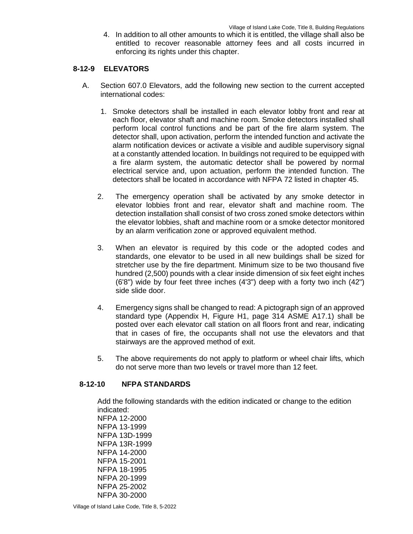4. In addition to all other amounts to which it is entitled, the village shall also be entitled to recover reasonable attorney fees and all costs incurred in enforcing its rights under this chapter.

## **8-12-9 ELEVATORS**

- A. Section 607.0 Elevators, add the following new section to the current accepted international codes:
	- 1. Smoke detectors shall be installed in each elevator lobby front and rear at each floor, elevator shaft and machine room. Smoke detectors installed shall perform local control functions and be part of the fire alarm system. The detector shall, upon activation, perform the intended function and activate the alarm notification devices or activate a visible and audible supervisory signal at a constantly attended location. In buildings not required to be equipped with a fire alarm system, the automatic detector shall be powered by normal electrical service and, upon actuation, perform the intended function. The detectors shall be located in accordance with NFPA 72 listed in chapter 45.
	- 2. The emergency operation shall be activated by any smoke detector in elevator lobbies front and rear, elevator shaft and machine room. The detection installation shall consist of two cross zoned smoke detectors within the elevator lobbies, shaft and machine room or a smoke detector monitored by an alarm verification zone or approved equivalent method.
	- 3. When an elevator is required by this code or the adopted codes and standards, one elevator to be used in all new buildings shall be sized for stretcher use by the fire department. Minimum size to be two thousand five hundred (2,500) pounds with a clear inside dimension of six feet eight inches (6'8") wide by four feet three inches (4'3") deep with a forty two inch (42") side slide door.
	- 4. Emergency signs shall be changed to read: A pictograph sign of an approved standard type (Appendix H, Figure H1, page 314 ASME A17.1) shall be posted over each elevator call station on all floors front and rear, indicating that in cases of fire, the occupants shall not use the elevators and that stairways are the approved method of exit.
	- 5. The above requirements do not apply to platform or wheel chair lifts, which do not serve more than two levels or travel more than 12 feet.

#### **8-12-10 NFPA STANDARDS**

Add the following standards with the edition indicated or change to the edition indicated: NFPA 12-2000 NFPA 13-1999 NFPA 13D-1999 NFPA 13R-1999 NFPA 14-2000 NFPA 15-2001 NFPA 18-1995 NFPA 20-1999 NFPA 25-2002 NFPA 30-2000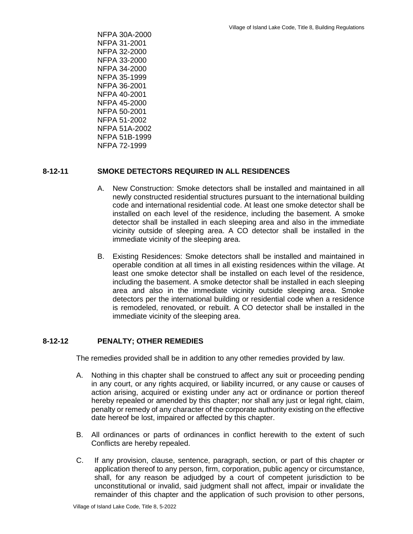NFPA 30A-2000 NFPA 31-2001 NFPA 32-2000 NFPA 33-2000 NFPA 34-2000 NFPA 35-1999 NFPA 36-2001 NFPA 40-2001 NFPA 45-2000 NFPA 50-2001 NFPA 51-2002 NFPA 51A-2002 NFPA 51B-1999 NFPA 72-1999

# **8-12-11 SMOKE DETECTORS REQUIRED IN ALL RESIDENCES**

- A. New Construction: Smoke detectors shall be installed and maintained in all newly constructed residential structures pursuant to the international building code and international residential code. At least one smoke detector shall be installed on each level of the residence, including the basement. A smoke detector shall be installed in each sleeping area and also in the immediate vicinity outside of sleeping area. A CO detector shall be installed in the immediate vicinity of the sleeping area.
- B. Existing Residences: Smoke detectors shall be installed and maintained in operable condition at all times in all existing residences within the village. At least one smoke detector shall be installed on each level of the residence, including the basement. A smoke detector shall be installed in each sleeping area and also in the immediate vicinity outside sleeping area. Smoke detectors per the international building or residential code when a residence is remodeled, renovated, or rebuilt. A CO detector shall be installed in the immediate vicinity of the sleeping area.

# **8-12-12 PENALTY; OTHER REMEDIES**

The remedies provided shall be in addition to any other remedies provided by law.

- A. Nothing in this chapter shall be construed to affect any suit or proceeding pending in any court, or any rights acquired, or liability incurred, or any cause or causes of action arising, acquired or existing under any act or ordinance or portion thereof hereby repealed or amended by this chapter; nor shall any just or legal right, claim, penalty or remedy of any character of the corporate authority existing on the effective date hereof be lost, impaired or affected by this chapter.
- B. All ordinances or parts of ordinances in conflict herewith to the extent of such Conflicts are hereby repealed.
- C. If any provision, clause, sentence, paragraph, section, or part of this chapter or application thereof to any person, firm, corporation, public agency or circumstance, shall, for any reason be adjudged by a court of competent jurisdiction to be unconstitutional or invalid, said judgment shall not affect, impair or invalidate the remainder of this chapter and the application of such provision to other persons,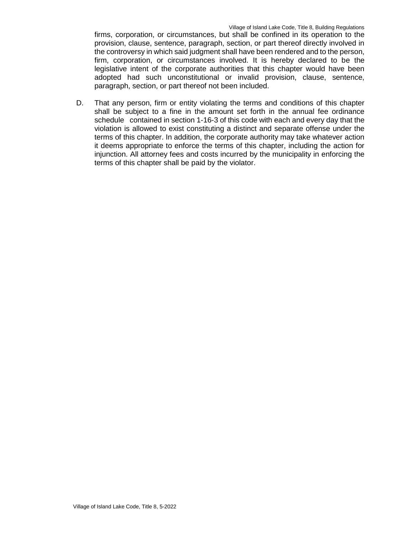firms, corporation, or circumstances, but shall be confined in its operation to the provision, clause, sentence, paragraph, section, or part thereof directly involved in the controversy in which said judgment shall have been rendered and to the person, firm, corporation, or circumstances involved. It is hereby declared to be the legislative intent of the corporate authorities that this chapter would have been adopted had such unconstitutional or invalid provision, clause, sentence, paragraph, section, or part thereof not been included.

D. That any person, firm or entity violating the terms and conditions of this chapter shall be subject to a fine in the amount set forth in the annual fee ordinance schedule contained in section 1-16-3 of this code with each and every day that the violation is allowed to exist constituting a distinct and separate offense under the terms of this chapter. In addition, the corporate authority may take whatever action it deems appropriate to enforce the terms of this chapter, including the action for injunction. All attorney fees and costs incurred by the municipality in enforcing the terms of this chapter shall be paid by the violator.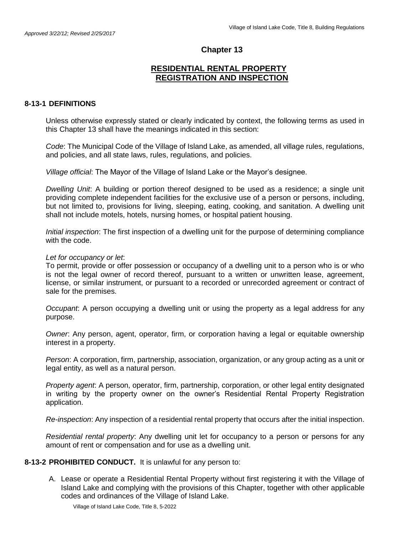# **Chapter 13**

# **RESIDENTIAL RENTAL PROPERTY REGISTRATION AND INSPECTION**

## **8-13-1 DEFINITIONS**

Unless otherwise expressly stated or clearly indicated by context, the following terms as used in this Chapter 13 shall have the meanings indicated in this section:

*Code*: The Municipal Code of the Village of Island Lake, as amended, all village rules, regulations, and policies, and all state laws, rules, regulations, and policies.

*Village official*: The Mayor of the Village of Island Lake or the Mayor's designee.

*Dwelling Unit*: A building or portion thereof designed to be used as a residence; a single unit providing complete independent facilities for the exclusive use of a person or persons, including, but not limited to, provisions for living, sleeping, eating, cooking, and sanitation. A dwelling unit shall not include motels, hotels, nursing homes, or hospital patient housing.

*Initial inspection*: The first inspection of a dwelling unit for the purpose of determining compliance with the code.

#### *Let for occupancy or let*:

To permit, provide or offer possession or occupancy of a dwelling unit to a person who is or who is not the legal owner of record thereof, pursuant to a written or unwritten lease, agreement, license, or similar instrument, or pursuant to a recorded or unrecorded agreement or contract of sale for the premises.

*Occupant*: A person occupying a dwelling unit or using the property as a legal address for any purpose.

*Owner*: Any person, agent, operator, firm, or corporation having a legal or equitable ownership interest in a property.

*Person*: A corporation, firm, partnership, association, organization, or any group acting as a unit or legal entity, as well as a natural person.

*Property agent*: A person, operator, firm, partnership, corporation, or other legal entity designated in writing by the property owner on the owner's Residential Rental Property Registration application.

*Re-inspection*: Any inspection of a residential rental property that occurs after the initial inspection.

*Residential rental property*: Any dwelling unit let for occupancy to a person or persons for any amount of rent or compensation and for use as a dwelling unit.

#### **8-13-2 PROHIBITED CONDUCT.** It is unlawful for any person to:

A. Lease or operate a Residential Rental Property without first registering it with the Village of Island Lake and complying with the provisions of this Chapter, together with other applicable codes and ordinances of the Village of Island Lake.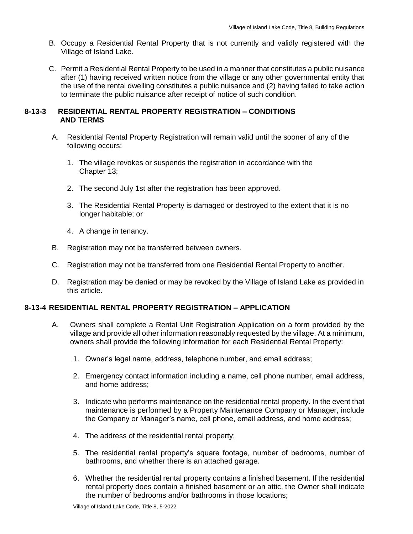- B. Occupy a Residential Rental Property that is not currently and validly registered with the Village of Island Lake.
- C. Permit a Residential Rental Property to be used in a manner that constitutes a public nuisance after (1) having received written notice from the village or any other governmental entity that the use of the rental dwelling constitutes a public nuisance and (2) having failed to take action to terminate the public nuisance after receipt of notice of such condition.

# **8-13-3 RESIDENTIAL RENTAL PROPERTY REGISTRATION – CONDITIONS AND TERMS**

- A. Residential Rental Property Registration will remain valid until the sooner of any of the following occurs:
	- 1. The village revokes or suspends the registration in accordance with the Chapter 13;
	- 2. The second July 1st after the registration has been approved.
	- 3. The Residential Rental Property is damaged or destroyed to the extent that it is no longer habitable; or
	- 4. A change in tenancy.
- B. Registration may not be transferred between owners.
- C. Registration may not be transferred from one Residential Rental Property to another.
- D. Registration may be denied or may be revoked by the Village of Island Lake as provided in this article.

# **8-13-4 RESIDENTIAL RENTAL PROPERTY REGISTRATION – APPLICATION**

- A. Owners shall complete a Rental Unit Registration Application on a form provided by the village and provide all other information reasonably requested by the village. At a minimum, owners shall provide the following information for each Residential Rental Property:
	- 1. Owner's legal name, address, telephone number, and email address;
	- 2. Emergency contact information including a name, cell phone number, email address, and home address;
	- 3. Indicate who performs maintenance on the residential rental property. In the event that maintenance is performed by a Property Maintenance Company or Manager, include the Company or Manager's name, cell phone, email address, and home address;
	- 4. The address of the residential rental property;
	- 5. The residential rental property's square footage, number of bedrooms, number of bathrooms, and whether there is an attached garage.
	- 6. Whether the residential rental property contains a finished basement. If the residential rental property does contain a finished basement or an attic, the Owner shall indicate the number of bedrooms and/or bathrooms in those locations;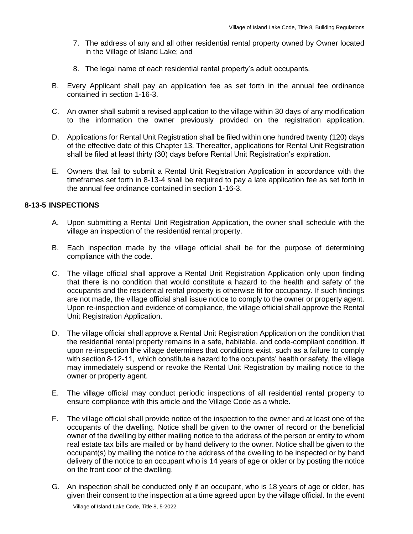- 7. The address of any and all other residential rental property owned by Owner located in the Village of Island Lake; and
- 8. The legal name of each residential rental property's adult occupants.
- B. Every Applicant shall pay an application fee as set forth in the annual fee ordinance contained in section 1-16-3.
- C. An owner shall submit a revised application to the village within 30 days of any modification to the information the owner previously provided on the registration application.
- D. Applications for Rental Unit Registration shall be filed within one hundred twenty (120) days of the effective date of this Chapter 13. Thereafter, applications for Rental Unit Registration shall be filed at least thirty (30) days before Rental Unit Registration's expiration.
- E. Owners that fail to submit a Rental Unit Registration Application in accordance with the timeframes set forth in 8-13-4 shall be required to pay a late application fee as set forth in the annual fee ordinance contained in section 1-16-3.

# **8-13-5 INSPECTIONS**

- A. Upon submitting a Rental Unit Registration Application, the owner shall schedule with the village an inspection of the residential rental property.
- B. Each inspection made by the village official shall be for the purpose of determining compliance with the code.
- C. The village official shall approve a Rental Unit Registration Application only upon finding that there is no condition that would constitute a hazard to the health and safety of the occupants and the residential rental property is otherwise fit for occupancy. If such findings are not made, the village official shall issue notice to comply to the owner or property agent. Upon re-inspection and evidence of compliance, the village official shall approve the Rental Unit Registration Application.
- D. The village official shall approve a Rental Unit Registration Application on the condition that the residential rental property remains in a safe, habitable, and code-compliant condition. If upon re-inspection the village determines that conditions exist, such as a failure to comply with section 8-12-11, which constitute a hazard to the occupants' health or safety, the village may immediately suspend or revoke the Rental Unit Registration by mailing notice to the owner or property agent.
- E. The village official may conduct periodic inspections of all residential rental property to ensure compliance with this article and the Village Code as a whole.
- F. The village official shall provide notice of the inspection to the owner and at least one of the occupants of the dwelling. Notice shall be given to the owner of record or the beneficial owner of the dwelling by either mailing notice to the address of the person or entity to whom real estate tax bills are mailed or by hand delivery to the owner. Notice shall be given to the occupant(s) by mailing the notice to the address of the dwelling to be inspected or by hand delivery of the notice to an occupant who is 14 years of age or older or by posting the notice on the front door of the dwelling.
- G. An inspection shall be conducted only if an occupant, who is 18 years of age or older, has given their consent to the inspection at a time agreed upon by the village official. In the event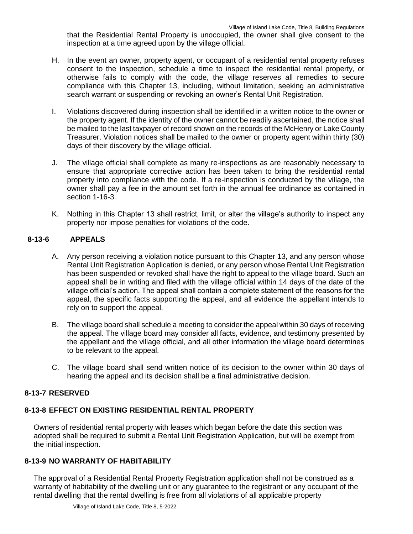that the Residential Rental Property is unoccupied, the owner shall give consent to the inspection at a time agreed upon by the village official.

- H. In the event an owner, property agent, or occupant of a residential rental property refuses consent to the inspection, schedule a time to inspect the residential rental property, or otherwise fails to comply with the code, the village reserves all remedies to secure compliance with this Chapter 13, including, without limitation, seeking an administrative search warrant or suspending or revoking an owner's Rental Unit Registration.
- I. Violations discovered during inspection shall be identified in a written notice to the owner or the property agent. If the identity of the owner cannot be readily ascertained, the notice shall be mailed to the last taxpayer of record shown on the records of the McHenry or Lake County Treasurer. Violation notices shall be mailed to the owner or property agent within thirty (30) days of their discovery by the village official.
- J. The village official shall complete as many re-inspections as are reasonably necessary to ensure that appropriate corrective action has been taken to bring the residential rental property into compliance with the code. If a re-inspection is conducted by the village, the owner shall pay a fee in the amount set forth in the annual fee ordinance as contained in section 1-16-3.
- K. Nothing in this Chapter 13 shall restrict, limit, or alter the village's authority to inspect any property nor impose penalties for violations of the code.

# **8-13-6 APPEALS**

- A. Any person receiving a violation notice pursuant to this Chapter 13, and any person whose Rental Unit Registration Application is denied, or any person whose Rental Unit Registration has been suspended or revoked shall have the right to appeal to the village board. Such an appeal shall be in writing and filed with the village official within 14 days of the date of the village official's action. The appeal shall contain a complete statement of the reasons for the appeal, the specific facts supporting the appeal, and all evidence the appellant intends to rely on to support the appeal.
- B. The village board shall schedule a meeting to consider the appeal within 30 days of receiving the appeal. The village board may consider all facts, evidence, and testimony presented by the appellant and the village official, and all other information the village board determines to be relevant to the appeal.
- C. The village board shall send written notice of its decision to the owner within 30 days of hearing the appeal and its decision shall be a final administrative decision.

# **8-13-7 RESERVED**

# **8-13-8 EFFECT ON EXISTING RESIDENTIAL RENTAL PROPERTY**

Owners of residential rental property with leases which began before the date this section was adopted shall be required to submit a Rental Unit Registration Application, but will be exempt from the initial inspection.

# **8-13-9 NO WARRANTY OF HABITABILITY**

The approval of a Residential Rental Property Registration application shall not be construed as a warranty of habitability of the dwelling unit or any guarantee to the registrant or any occupant of the rental dwelling that the rental dwelling is free from all violations of all applicable property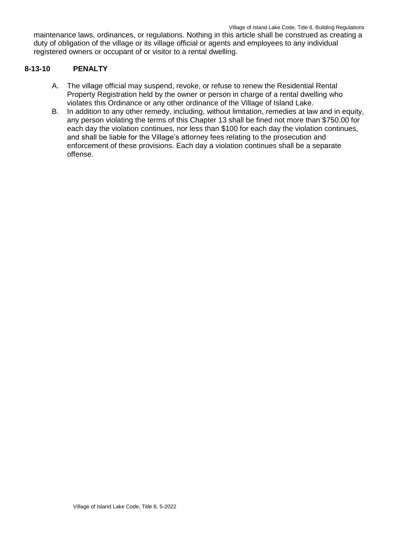maintenance laws, ordinances, or regulations. Nothing in this article shall be construed as creating a duty of obligation of the village or its village official or agents and employees to any individual registered owners or occupant of or visitor to a rental dwelling.

## **8-13-10 PENALTY**

- A. The village official may suspend, revoke, or refuse to renew the Residential Rental Property Registration held by the owner or person in charge of a rental dwelling who violates this Ordinance or any other ordinance of the Village of Island Lake.
- B. In addition to any other remedy, including, without limitation, remedies at law and in equity, any person violating the terms of this Chapter 13 shall be fined not more than \$750.00 for each day the violation continues, nor less than \$100 for each day the violation continues, and shall be liable for the Village's attorney fees relating to the prosecution and enforcement of these provisions. Each day a violation continues shall be a separate offense.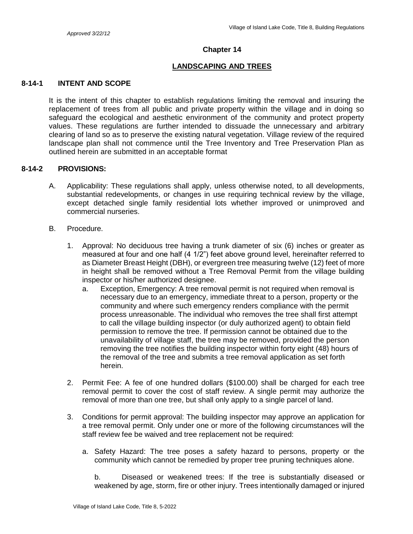#### **Chapter 14**

## **LANDSCAPING AND TREES**

## **8-14-1 INTENT AND SCOPE**

It is the intent of this chapter to establish regulations limiting the removal and insuring the replacement of trees from all public and private property within the village and in doing so safeguard the ecological and aesthetic environment of the community and protect property values. These regulations are further intended to dissuade the unnecessary and arbitrary clearing of land so as to preserve the existing natural vegetation. Village review of the required landscape plan shall not commence until the Tree Inventory and Tree Preservation Plan as outlined herein are submitted in an acceptable format

## **8-14-2 PROVISIONS:**

- A. Applicability: These regulations shall apply, unless otherwise noted, to all developments, substantial redevelopments, or changes in use requiring technical review by the village, except detached single family residential lots whether improved or unimproved and commercial nurseries.
- B. Procedure.
	- 1. Approval: No deciduous tree having a trunk diameter of six (6) inches or greater as measured at four and one half (4 1/2") feet above ground level, hereinafter referred to as Diameter Breast Height (DBH), or evergreen tree measuring twelve (12) feet of more in height shall be removed without a Tree Removal Permit from the village building inspector or his/her authorized designee.
		- a. Exception, Emergency: A tree removal permit is not required when removal is necessary due to an emergency, immediate threat to a person, property or the community and where such emergency renders compliance with the permit process unreasonable. The individual who removes the tree shall first attempt to call the village building inspector (or duly authorized agent) to obtain field permission to remove the tree. If permission cannot be obtained due to the unavailability of village staff, the tree may be removed, provided the person removing the tree notifies the building inspector within forty eight (48) hours of the removal of the tree and submits a tree removal application as set forth herein.
	- 2. Permit Fee: A fee of one hundred dollars (\$100.00) shall be charged for each tree removal permit to cover the cost of staff review. A single permit may authorize the removal of more than one tree, but shall only apply to a single parcel of land.
	- 3. Conditions for permit approval: The building inspector may approve an application for a tree removal permit. Only under one or more of the following circumstances will the staff review fee be waived and tree replacement not be required:
		- a. Safety Hazard: The tree poses a safety hazard to persons, property or the community which cannot be remedied by proper tree pruning techniques alone.

b. Diseased or weakened trees: If the tree is substantially diseased or weakened by age, storm, fire or other injury. Trees intentionally damaged or injured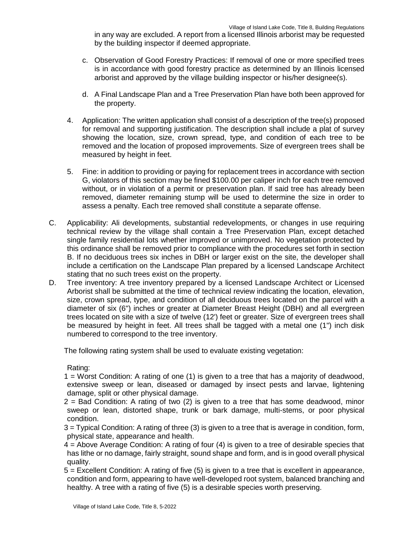in any way are excluded. A report from a licensed Illinois arborist may be requested by the building inspector if deemed appropriate.

- c. Observation of Good Forestry Practices: If removal of one or more specified trees is in accordance with good forestry practice as determined by an Illinois licensed arborist and approved by the village building inspector or his/her designee(s).
- d. A Final Landscape Plan and a Tree Preservation Plan have both been approved for the property.
- 4. Application: The written application shall consist of a description of the tree(s) proposed for removal and supporting justification. The description shall include a plat of survey showing the location, size, crown spread, type, and condition of each tree to be removed and the location of proposed improvements. Size of evergreen trees shall be measured by height in feet.
- 5. Fine: in addition to providing or paying for replacement trees in accordance with section G, violators of this section may be fined \$100.00 per caliper inch for each tree removed without, or in violation of a permit or preservation plan. If said tree has already been removed, diameter remaining stump will be used to determine the size in order to assess a penalty. Each tree removed shall constitute a separate offense.
- C. Applicability: Ali developments, substantial redevelopments, or changes in use requiring technical review by the village shall contain a Tree Preservation Plan, except detached single family residential lots whether improved or unimproved. No vegetation protected by this ordinance shall be removed prior to compliance with the procedures set forth in section B. If no deciduous trees six inches in DBH or larger exist on the site, the developer shall include a certification on the Landscape Plan prepared by a licensed Landscape Architect stating that no such trees exist on the property.
- D. Tree inventory: A tree inventory prepared by a licensed Landscape Architect or Licensed Arborist shall be submitted at the time of technical review indicating the location, elevation, size, crown spread, type, and condition of all deciduous trees located on the parcel with a diameter of six (6") inches or greater at Diameter Breast Height (DBH) and all evergreen trees located on site with a size of twelve (12') feet or greater. Size of evergreen trees shall be measured by height in feet. All trees shall be tagged with a metal one (1") inch disk numbered to correspond to the tree inventory.

The following rating system shall be used to evaluate existing vegetation:

Rating:

1 = Worst Condition: A rating of one (1) is given to a tree that has a majority of deadwood, extensive sweep or lean, diseased or damaged by insect pests and larvae, lightening damage, split or other physical damage.

 $2 =$  Bad Condition: A rating of two (2) is given to a tree that has some deadwood, minor sweep or lean, distorted shape, trunk or bark damage, multi-stems, or poor physical condition.

3 = Typical Condition: A rating of three (3) is given to a tree that is average in condition, form, physical state, appearance and health.

- 4 = Above Average Condition: A rating of four (4) is given to a tree of desirable species that has lithe or no damage, fairly straight, sound shape and form, and is in good overall physical quality.
- 5 = Excellent Condition: A rating of five (5) is given to a tree that is excellent in appearance, condition and form, appearing to have well-developed root system, balanced branching and healthy. A tree with a rating of five (5) is a desirable species worth preserving.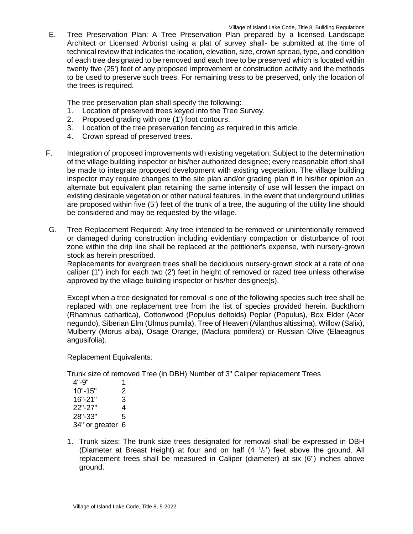E. Tree Preservation Plan: A Tree Preservation Plan prepared by a licensed Landscape Architect or Licensed Arborist using a plat of survey shall- be submitted at the time of technical review that indicates the location, elevation, size, crown spread, type, and condition of each tree designated to be removed and each tree to be preserved which is located within twenty five (25') feet of any proposed improvement or construction activity and the methods to be used to preserve such trees. For remaining tress to be preserved, only the location of the trees is required.

The tree preservation plan shall specify the following:

- 1. Location of preserved trees keyed into the Tree Survey.
- 2. Proposed grading with one (1') foot contours.
- 3. Location of the tree preservation fencing as required in this article.
- 4. Crown spread of preserved trees.
- F. Integration of proposed improvements with existing vegetation: Subject to the determination of the village building inspector or his/her authorized designee; every reasonable effort shall be made to integrate proposed development with existing vegetation. The village building inspector may require changes to the site plan and/or grading plan if in his/her opinion an alternate but equivalent plan retaining the same intensity of use will lessen the impact on existing desirable vegetation or other natural features. In the event that underground utilities are proposed within five (5') feet of the trunk of a tree, the auguring of the utility line should be considered and may be requested by the village.
- G. Tree Replacement Required: Any tree intended to be removed or unintentionally removed or damaged during construction including evidentiary compaction or disturbance of root zone within the drip line shall be replaced at the petitioner's expense, with nursery-grown stock as herein prescribed.

Replacements for evergreen trees shall be deciduous nursery-grown stock at a rate of one caliper (1") inch for each two (2') feet in height of removed or razed tree unless otherwise approved by the village building inspector or his/her designee(s).

Except when a tree designated for removal is one of the following species such tree shall be replaced with one replacement tree from the list of species provided herein. Buckthorn (Rhamnus cathartica), Cottonwood (Populus deltoids) Poplar (Populus), Box Elder (Acer negundo), Siberian Elm (Ulmus pumila), Tree of Heaven (Ailanthus altissima), Willow (Salix), Mulberry (Morus alba), Osage Orange, (Maclura pomifera) or Russian Olive (Elaeagnus angusifolia).

Replacement Equivalents:

Trunk size of removed Tree (in DBH) Number of 3" Caliper replacement Trees

| 4"-9"          | 1 |
|----------------|---|
| 10"-15"        | 2 |
| 16"-21"        | 3 |
| 22"-27"        | 4 |
| 28"-33"        | 5 |
| 34" or greater | 6 |

1. Trunk sizes: The trunk size trees designated for removal shall be expressed in DBH (Diameter at Breast Height) at four and on half  $(4<sup>-1</sup>/2<sup>2</sup>)$  feet above the ground. All replacement trees shall be measured in Caliper (diameter) at six (6") inches above ground.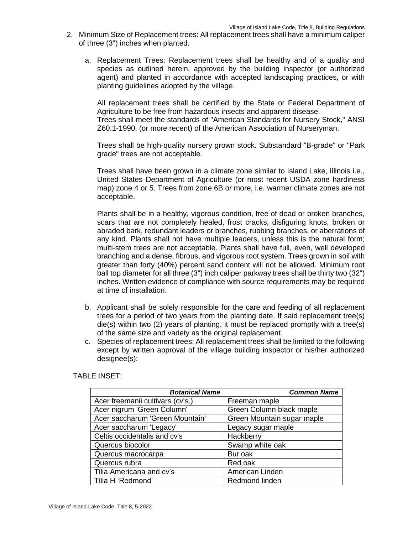- 2. Minimum Size of Replacement trees: All replacement trees shall have a minimum caliper of three (3") inches when planted.
	- a. Replacement Trees: Replacement trees shall be healthy and of a quality and species as outlined herein, approved by the building inspector (or authorized agent) and planted in accordance with accepted landscaping practices, or with planting guidelines adopted by the village.

All replacement trees shall be certified by the State or Federal Department of Agriculture to be free from hazardous insects and apparent disease. Trees shall meet the standards of "American Standards for Nursery Stock," ANSI Z60.1-1990, (or more recent) of the American Association of Nurseryman.

Trees shall be high-quality nursery grown stock. Substandard "B-grade" or "Park grade" trees are not acceptable.

Trees shall have been grown in a climate zone similar to Island Lake, Illinois i.e., United States Department of Agriculture (or most recent USDA zone hardiness map) zone 4 or 5. Trees from zone 6B or more, i.e. warmer climate zones are not acceptable.

Plants shall be in a healthy, vigorous condition, free of dead or broken branches, scars that are not completely healed, frost cracks, disfiguring knots, broken or abraded bark, redundant leaders or branches, rubbing branches, or aberrations of any kind. Plants shall not have multiple leaders, unless this is the natural form; multi-stem trees are not acceptable. Plants shall have full, even, well developed branching and a dense, fibrous, and vigorous root system. Trees grown in soil with greater than forty (40%) percent sand content will not be allowed. Minimum root ball top diameter for all three (3") inch caliper parkway trees shall be thirty two (32") inches. Written evidence of compliance with source requirements may be required at time of installation.

- b. Applicant shall be solely responsible for the care and feeding of all replacement trees for a period of two years from the planting date. If said replacement tree(s) die(s) within two (2) years of planting, it must be replaced promptly with a tree(s) of the same size and variety as the original replacement.
- c. Species of replacement trees: All replacement trees shall be limited to the following except by written approval of the village building inspector or his/her authorized designee(s):

TABLE INSET:

| <b>Botanical Name</b>            | <b>Common Name</b>         |
|----------------------------------|----------------------------|
| Acer freemanii cultivars (cv's.) | Freeman maple              |
| Acer nigrum 'Green Column'       | Green Column black maple   |
| Acer saccharum 'Green Mountain'  | Green Mountain sugar maple |
| Acer saccharum 'Legacy'          | Legacy sugar maple         |
| Celtis occidentalis and cv's     | Hackberry                  |
| Quercus biocolor                 | Swamp white oak            |
| Quercus macrocarpa               | Bur oak                    |
| Quercus rubra                    | Red oak                    |
| Tilia Americana and cv's         | American Linden            |
| Tilia H 'Redmond'                | Redmond linden             |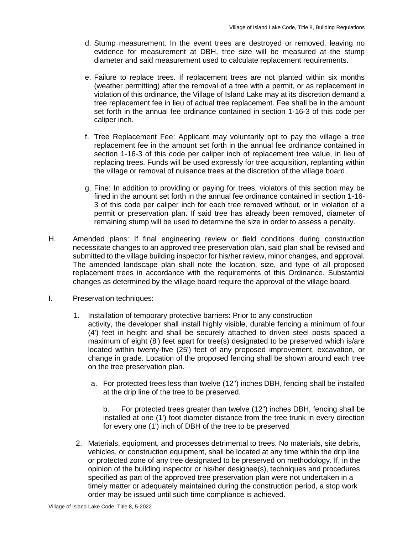- d. Stump measurement. In the event trees are destroyed or removed, leaving no evidence for measurement at DBH, tree size will be measured at the stump diameter and said measurement used to calculate replacement requirements.
- e. Failure to replace trees. If replacement trees are not planted within six months (weather permitting) after the removal of a tree with a permit, or as replacement in violation of this ordinance, the Village of Island Lake may at its discretion demand a tree replacement fee in lieu of actual tree replacement. Fee shall be in the amount set forth in the annual fee ordinance contained in section 1-16-3 of this code per caliper inch.
- f. Tree Replacement Fee: Applicant may voluntarily opt to pay the village a tree replacement fee in the amount set forth in the annual fee ordinance contained in section 1-16-3 of this code per caliper inch of replacement tree value, in lieu of replacing trees. Funds will be used expressly for tree acquisition, replanting within the village or removal of nuisance trees at the discretion of the village board.
- g. Fine: In addition to providing or paying for trees, violators of this section may be fined in the amount set forth in the annual fee ordinance contained in section 1-16- 3 of this code per caliper inch for each tree removed without, or in violation of a permit or preservation plan. If said tree has already been removed, diameter of remaining stump will be used to determine the size in order to assess a penalty.
- H. Amended plans: If final engineering review or field conditions during construction necessitate changes to an approved tree preservation plan, said plan shall be revised and submitted to the village building inspector for his/her review, minor changes, and approval. The amended landscape plan shall note the location, size, and type of all proposed replacement trees in accordance with the requirements of this Ordinance. Substantial changes as determined by the village board require the approval of the village board.
- I. Preservation techniques:
	- 1. Installation of temporary protective barriers: Prior to any construction activity, the developer shall install highly visible, durable fencing a minimum of four (4') feet in height and shall be securely attached to driven steel posts spaced a maximum of eight (8') feet apart for tree(s) designated to be preserved which is/are located within twenty-five (25') feet of any proposed improvement, excavation, or change in grade. Location of the proposed fencing shall be shown around each tree on the tree preservation plan.
		- a. For protected trees less than twelve (12") inches DBH, fencing shall be installed at the drip line of the tree to be preserved.

b. For protected trees greater than twelve (12") inches DBH, fencing shall be installed at one (1') foot diameter distance from the tree trunk in every direction for every one (1') inch of DBH of the tree to be preserved

2. Materials, equipment, and processes detrimental to trees. No materials, site debris, vehicles, or construction equipment, shall be located at any time within the drip line or protected zone of any tree designated to be preserved on methodology. If, in the opinion of the building inspector or his/her designee(s), techniques and procedures specified as part of the approved tree preservation plan were not undertaken in a timely matter or adequately maintained during the construction period, a stop work order may be issued until such time compliance is achieved.